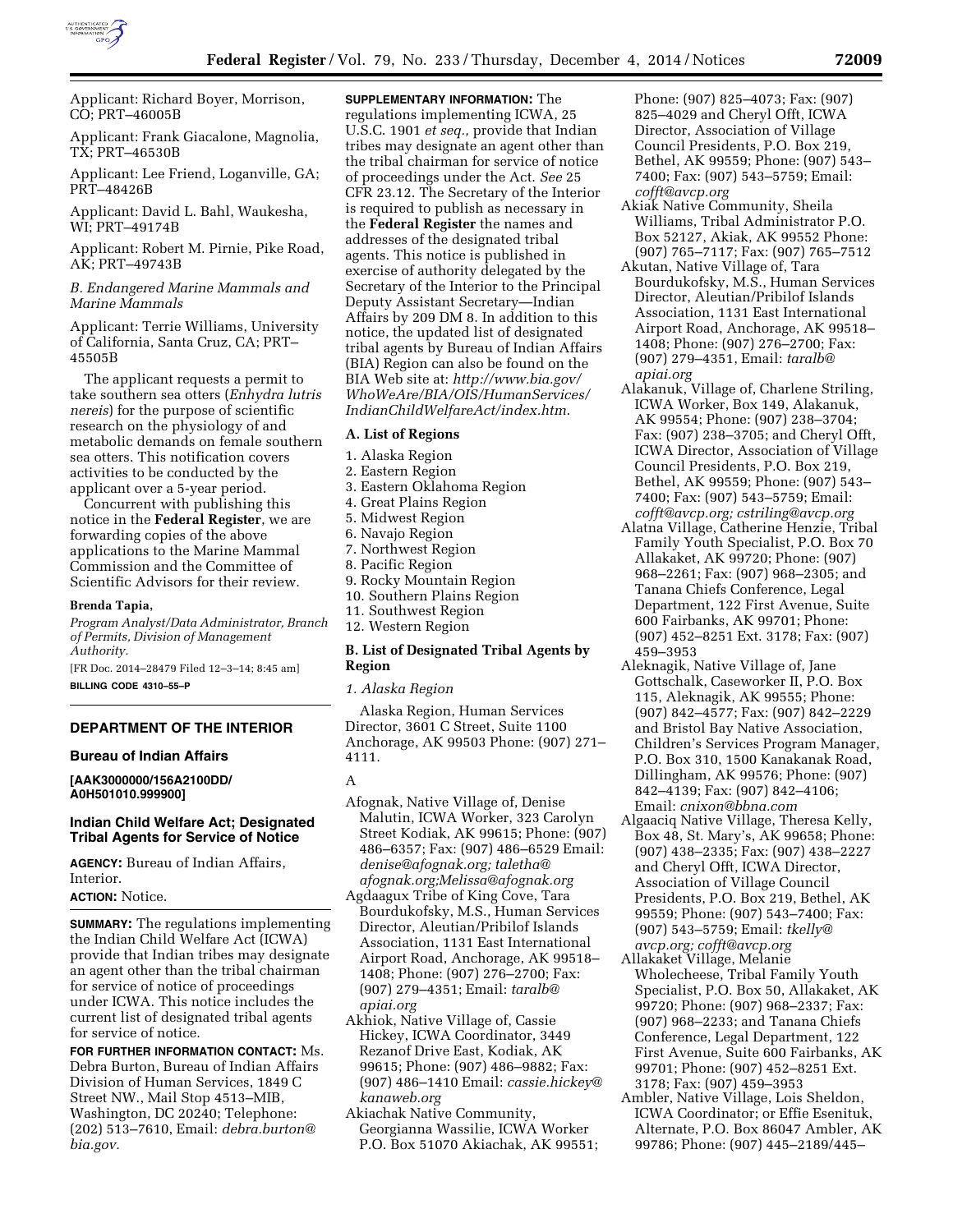

Applicant: Richard Boyer, Morrison, CO; PRT–46005B

Applicant: Frank Giacalone, Magnolia, TX; PRT–46530B

Applicant: Lee Friend, Loganville, GA; PRT–48426B

Applicant: David L. Bahl, Waukesha, WI; PRT–49174B

Applicant: Robert M. Pirnie, Pike Road, AK; PRT–49743B

*B. Endangered Marine Mammals and Marine Mammals* 

Applicant: Terrie Williams, University of California, Santa Cruz, CA; PRT– 45505B

The applicant requests a permit to take southern sea otters (*Enhydra lutris nereis*) for the purpose of scientific research on the physiology of and metabolic demands on female southern sea otters. This notification covers activities to be conducted by the applicant over a 5-year period.

Concurrent with publishing this notice in the **Federal Register**, we are forwarding copies of the above applications to the Marine Mammal Commission and the Committee of Scientific Advisors for their review.

#### **Brenda Tapia,**

*Program Analyst/Data Administrator, Branch of Permits, Division of Management Authority.* 

[FR Doc. 2014–28479 Filed 12–3–14; 8:45 am] **BILLING CODE 4310–55–P** 

# **DEPARTMENT OF THE INTERIOR**

## **Bureau of Indian Affairs**

**[AAK3000000/156A2100DD/ A0H501010.999900]** 

# **Indian Child Welfare Act; Designated Tribal Agents for Service of Notice**

**AGENCY:** Bureau of Indian Affairs, Interior.

# **ACTION:** Notice.

**SUMMARY:** The regulations implementing the Indian Child Welfare Act (ICWA) provide that Indian tribes may designate an agent other than the tribal chairman for service of notice of proceedings under ICWA. This notice includes the current list of designated tribal agents for service of notice.

**FOR FURTHER INFORMATION CONTACT:** Ms. Debra Burton, Bureau of Indian Affairs Division of Human Services, 1849 C Street NW., Mail Stop 4513–MIB, Washington, DC 20240; Telephone: (202) 513–7610, Email: *[debra.burton@](mailto:debra.burton@bia.gov) [bia.gov.](mailto:debra.burton@bia.gov)* 

**SUPPLEMENTARY INFORMATION:** The regulations implementing ICWA, 25 U.S.C. 1901 *et seq.,* provide that Indian tribes may designate an agent other than the tribal chairman for service of notice of proceedings under the Act. *See* 25 CFR 23.12. The Secretary of the Interior is required to publish as necessary in the **Federal Register** the names and addresses of the designated tribal agents. This notice is published in exercise of authority delegated by the Secretary of the Interior to the Principal Deputy Assistant Secretary—Indian Affairs by 209 DM 8. In addition to this notice, the updated list of designated tribal agents by Bureau of Indian Affairs (BIA) Region can also be found on the BIA Web site at: *[http://www.bia.gov/](http://www.bia.gov/WhoWeAre/BIA/OIS/HumanServices/IndianChildWelfareAct/index.htm) [WhoWeAre/BIA/OIS/HumanServices/](http://www.bia.gov/WhoWeAre/BIA/OIS/HumanServices/IndianChildWelfareAct/index.htm) [IndianChildWelfareAct/index.htm](http://www.bia.gov/WhoWeAre/BIA/OIS/HumanServices/IndianChildWelfareAct/index.htm)*.

# **A. List of Regions**

- 1. Alaska Region
- 2. Eastern Region
- 3. Eastern Oklahoma Region
- 4. Great Plains Region
- 5. Midwest Region
- 6. Navajo Region
- 7. Northwest Region
- 8. Pacific Region
- 9. Rocky Mountain Region
- 10. Southern Plains Region
- 11. Southwest Region
- 12. Western Region

# **B. List of Designated Tribal Agents by Region**

#### *1. Alaska Region*

Alaska Region, Human Services Director, 3601 C Street, Suite 1100 Anchorage, AK 99503 Phone: (907) 271– 4111.

A

- Afognak, Native Village of, Denise Malutin, ICWA Worker, 323 Carolyn Street Kodiak, AK 99615; Phone: (907) 486–6357; Fax: (907) 486–6529 Email: *[denise@afognak.org;](mailto:denise@afognak.org) [taletha@](mailto:taletha@afognak.org) [afognak.org;](mailto:taletha@afognak.org)[Melissa@afognak.org](mailto:Melissa@afognak.org)*
- Agdaagux Tribe of King Cove, Tara Bourdukofsky, M.S., Human Services Director, Aleutian/Pribilof Islands Association, 1131 East International Airport Road, Anchorage, AK 99518– 1408; Phone: (907) 276–2700; Fax: (907) 279–4351; Email: *[taralb@](mailto:taralb@apiai.org) [apiai.org](mailto:taralb@apiai.org)*
- Akhiok, Native Village of, Cassie Hickey, ICWA Coordinator, 3449 Rezanof Drive East, Kodiak, AK 99615; Phone: (907) 486–9882; Fax: (907) 486–1410 Email: *[cassie.hickey@](mailto:cassie.hickey@kanaweb.org) [kanaweb.org](mailto:cassie.hickey@kanaweb.org)*
- Akiachak Native Community, Georgianna Wassilie, ICWA Worker P.O. Box 51070 Akiachak, AK 99551;

Phone: (907) 825–4073; Fax: (907) 825–4029 and Cheryl Offt, ICWA Director, Association of Village Council Presidents, P.O. Box 219, Bethel, AK 99559; Phone: (907) 543– 7400; Fax: (907) 543–5759; Email: *[cofft@avcp.org](mailto:cofft@avcp.org)* 

- Akiak Native Community, Sheila Williams, Tribal Administrator P.O. Box 52127, Akiak, AK 99552 Phone: (907) 765–7117; Fax: (907) 765–7512
- Akutan, Native Village of, Tara Bourdukofsky, M.S., Human Services Director, Aleutian/Pribilof Islands Association, 1131 East International Airport Road, Anchorage, AK 99518– 1408; Phone: (907) 276–2700; Fax: (907) 279–4351, Email: *[taralb@](mailto:taralb@apiai.org) [apiai.org](mailto:taralb@apiai.org)*
- Alakanuk, Village of, Charlene Striling, ICWA Worker, Box 149, Alakanuk, AK 99554; Phone: (907) 238–3704; Fax: (907) 238–3705; and Cheryl Offt, ICWA Director, Association of Village Council Presidents, P.O. Box 219, Bethel, AK 99559; Phone: (907) 543– 7400; Fax: (907) 543–5759; Email: *[cofft@avcp.org;](mailto:cofft@avcp.org) [cstriling@avcp.org](mailto:cstriling@avcp.org)*
- Alatna Village, Catherine Henzie, Tribal Family Youth Specialist, P.O. Box 70 Allakaket, AK 99720; Phone: (907) 968–2261; Fax: (907) 968–2305; and Tanana Chiefs Conference, Legal Department, 122 First Avenue, Suite 600 Fairbanks, AK 99701; Phone: (907) 452–8251 Ext. 3178; Fax: (907) 459–3953
- Aleknagik, Native Village of, Jane Gottschalk, Caseworker II, P.O. Box 115, Aleknagik, AK 99555; Phone: (907) 842–4577; Fax: (907) 842–2229 and Bristol Bay Native Association, Children's Services Program Manager, P.O. Box 310, 1500 Kanakanak Road, Dillingham, AK 99576; Phone: (907) 842–4139; Fax: (907) 842–4106; Email: *[cnixon@bbna.com](mailto:cnixon@bbna.com)*
- Algaaciq Native Village, Theresa Kelly, Box 48, St. Mary's, AK 99658; Phone: (907) 438–2335; Fax: (907) 438–2227 and Cheryl Offt, ICWA Director, Association of Village Council Presidents, P.O. Box 219, Bethel, AK 99559; Phone: (907) 543–7400; Fax: (907) 543–5759; Email: *[tkelly@](mailto:tkelly@avcp.org) [avcp.org;](mailto:tkelly@avcp.org) [cofft@avcp.org](mailto:cofft@avcp.org)*
- Allakaket Village, Melanie Wholecheese, Tribal Family Youth Specialist, P.O. Box 50, Allakaket, AK 99720; Phone: (907) 968–2337; Fax: (907) 968–2233; and Tanana Chiefs Conference, Legal Department, 122 First Avenue, Suite 600 Fairbanks, AK 99701; Phone: (907) 452–8251 Ext. 3178; Fax: (907) 459–3953
- Ambler, Native Village, Lois Sheldon, ICWA Coordinator; or Effie Esenituk, Alternate, P.O. Box 86047 Ambler, AK 99786; Phone: (907) 445–2189/445–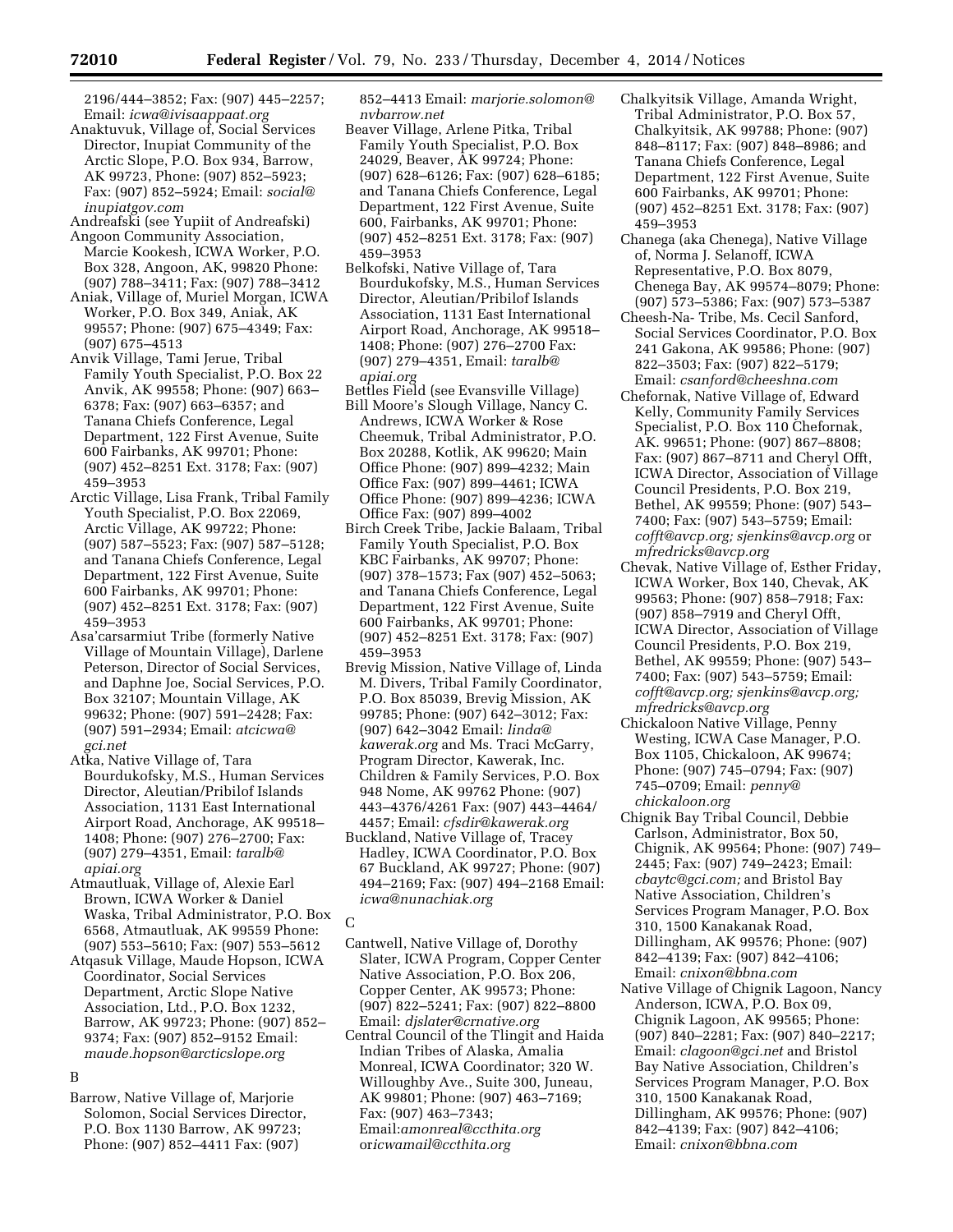2196/444–3852; Fax: (907) 445–2257; Email: *[icwa@ivisaappaat.org](mailto:icwa@ivisaappaat.org)* 

Anaktuvuk, Village of, Social Services Director, Inupiat Community of the Arctic Slope, P.O. Box 934, Barrow, AK 99723, Phone: (907) 852–5923; Fax: (907) 852–5924; Email: *[social@](mailto:social@inupiatgov.com) [inupiatgov.com](mailto:social@inupiatgov.com)* 

Andreafski (see Yupiit of Andreafski)

- Angoon Community Association, Marcie Kookesh, ICWA Worker, P.O. Box 328, Angoon, AK, 99820 Phone: (907) 788–3411; Fax: (907) 788–3412
- Aniak, Village of, Muriel Morgan, ICWA Worker, P.O. Box 349, Aniak, AK 99557; Phone: (907) 675–4349; Fax: (907) 675–4513
- Anvik Village, Tami Jerue, Tribal Family Youth Specialist, P.O. Box 22 Anvik, AK 99558; Phone: (907) 663– 6378; Fax: (907) 663–6357; and Tanana Chiefs Conference, Legal Department, 122 First Avenue, Suite 600 Fairbanks, AK 99701; Phone: (907) 452–8251 Ext. 3178; Fax: (907) 459–3953
- Arctic Village, Lisa Frank, Tribal Family Youth Specialist, P.O. Box 22069, Arctic Village, AK 99722; Phone: (907) 587–5523; Fax: (907) 587–5128; and Tanana Chiefs Conference, Legal Department, 122 First Avenue, Suite 600 Fairbanks, AK 99701; Phone: (907) 452–8251 Ext. 3178; Fax: (907) 459–3953
- Asa'carsarmiut Tribe (formerly Native Village of Mountain Village), Darlene Peterson, Director of Social Services, and Daphne Joe, Social Services, P.O. Box 32107; Mountain Village, AK 99632; Phone: (907) 591–2428; Fax: (907) 591–2934; Email: *[atcicwa@](mailto:atcicwa@gci.net) [gci.net](mailto:atcicwa@gci.net)*
- Atka, Native Village of, Tara Bourdukofsky, M.S., Human Services Director, Aleutian/Pribilof Islands Association, 1131 East International Airport Road, Anchorage, AK 99518– 1408; Phone: (907) 276–2700; Fax: (907) 279–4351, Email: *[taralb@](mailto:taralb@apiai.org) [apiai.org](mailto:taralb@apiai.org)*
- Atmautluak, Village of, Alexie Earl Brown, ICWA Worker & Daniel Waska, Tribal Administrator, P.O. Box 6568, Atmautluak, AK 99559 Phone: (907) 553–5610; Fax: (907) 553–5612
- Atqasuk Village, Maude Hopson, ICWA Coordinator, Social Services Department, Arctic Slope Native Association, Ltd., P.O. Box 1232, Barrow, AK 99723; Phone: (907) 852– 9374; Fax: (907) 852–9152 Email: *[maude.hopson@arcticslope.org](mailto:maude.hopson@arcticslope.org)*

# B

Barrow, Native Village of, Marjorie Solomon, Social Services Director, P.O. Box 1130 Barrow, AK 99723; Phone: (907) 852–4411 Fax: (907)

852–4413 Email: *[marjorie.solomon@](mailto:marjorie.solomon@nvbarrow.net) [nvbarrow.net](mailto:marjorie.solomon@nvbarrow.net)* 

- Beaver Village, Arlene Pitka, Tribal Family Youth Specialist, P.O. Box 24029, Beaver, AK 99724; Phone: (907) 628–6126; Fax: (907) 628–6185; and Tanana Chiefs Conference, Legal Department, 122 First Avenue, Suite 600, Fairbanks, AK 99701; Phone: (907) 452–8251 Ext. 3178; Fax: (907) 459–3953
- Belkofski, Native Village of, Tara Bourdukofsky, M.S., Human Services Director, Aleutian/Pribilof Islands Association, 1131 East International Airport Road, Anchorage, AK 99518– 1408; Phone: (907) 276–2700 Fax: (907) 279–4351, Email: *[taralb@](mailto:taralb@apiai.org) [apiai.org](mailto:taralb@apiai.org)*
- Bettles Field (see Evansville Village) Bill Moore's Slough Village, Nancy C. Andrews, ICWA Worker & Rose Cheemuk, Tribal Administrator, P.O. Box 20288, Kotlik, AK 99620; Main Office Phone: (907) 899–4232; Main Office Fax: (907) 899–4461; ICWA Office Phone: (907) 899–4236; ICWA Office Fax: (907) 899–4002
- Birch Creek Tribe, Jackie Balaam, Tribal Family Youth Specialist, P.O. Box KBC Fairbanks, AK 99707; Phone: (907) 378–1573; Fax (907) 452–5063; and Tanana Chiefs Conference, Legal Department, 122 First Avenue, Suite 600 Fairbanks, AK 99701; Phone: (907) 452–8251 Ext. 3178; Fax: (907) 459–3953
- Brevig Mission, Native Village of, Linda M. Divers, Tribal Family Coordinator, P.O. Box 85039, Brevig Mission, AK 99785; Phone: (907) 642–3012; Fax: (907) 642–3042 Email: *[linda@](mailto:linda@kawerak.org) [kawerak.org](mailto:linda@kawerak.org)* and Ms. Traci McGarry, Program Director, Kawerak, Inc. Children & Family Services, P.O. Box 948 Nome, AK 99762 Phone: (907) 443–4376/4261 Fax: (907) 443–4464/ 4457; Email: *[cfsdir@kawerak.org](mailto:cfsdir@kawerak.org)*
- Buckland, Native Village of, Tracey Hadley, ICWA Coordinator, P.O. Box 67 Buckland, AK 99727; Phone: (907) 494–2169; Fax: (907) 494–2168 Email: *[icwa@nunachiak.org](mailto:icwa@nunachiak.org)*
- $\cap$
- Cantwell, Native Village of, Dorothy Slater, ICWA Program, Copper Center Native Association, P.O. Box 206, Copper Center, AK 99573; Phone: (907) 822–5241; Fax: (907) 822–8800 Email: *[djslater@crnative.org](mailto:djslater@crnative.org)*
- Central Council of the Tlingit and Haida Indian Tribes of Alaska, Amalia Monreal, ICWA Coordinator; 320 W. Willoughby Ave., Suite 300, Juneau, AK 99801; Phone: (907) 463–7169; Fax: (907) 463–7343; Email:*[amonreal@ccthita.org](mailto:amonreal@ccthita.org)*  or*[icwamail@ccthita.org](mailto:oricwamail@ccthita.org)*
- Chalkyitsik Village, Amanda Wright, Tribal Administrator, P.O. Box 57, Chalkyitsik, AK 99788; Phone: (907) 848–8117; Fax: (907) 848–8986; and Tanana Chiefs Conference, Legal Department, 122 First Avenue, Suite 600 Fairbanks, AK 99701; Phone: (907) 452–8251 Ext. 3178; Fax: (907) 459–3953
- Chanega (aka Chenega), Native Village of, Norma J. Selanoff, ICWA Representative, P.O. Box 8079, Chenega Bay, AK 99574–8079; Phone: (907) 573–5386; Fax: (907) 573–5387
- Cheesh-Na- Tribe, Ms. Cecil Sanford, Social Services Coordinator, P.O. Box 241 Gakona, AK 99586; Phone: (907) 822–3503; Fax: (907) 822–5179; Email: *[csanford@cheeshna.com](mailto:csanford@cheeshna.com)*
- Chefornak, Native Village of, Edward Kelly, Community Family Services Specialist, P.O. Box 110 Chefornak, AK. 99651; Phone: (907) 867–8808; Fax: (907) 867–8711 and Cheryl Offt, ICWA Director, Association of Village Council Presidents, P.O. Box 219, Bethel, AK 99559; Phone: (907) 543– 7400; Fax: (907) 543–5759; Email: *[cofft@avcp.org;](mailto:cofft@avcp.org) [sjenkins@avcp.org](mailto:sjenkins@avcp.org)* or *[mfredricks@avcp.org](mailto:mfredricks@avcp.org)*
- Chevak, Native Village of, Esther Friday, ICWA Worker, Box 140, Chevak, AK 99563; Phone: (907) 858–7918; Fax: (907) 858–7919 and Cheryl Offt, ICWA Director, Association of Village Council Presidents, P.O. Box 219, Bethel, AK 99559; Phone: (907) 543– 7400; Fax: (907) 543–5759; Email: *[cofft@avcp.org;](mailto:cofft@avcp.org) [sjenkins@avcp.org;](mailto:sjenkins@avcp.org)  [mfredricks@avcp.org](mailto:mfredricks@avcp.org)*
- Chickaloon Native Village, Penny Westing, ICWA Case Manager, P.O. Box 1105, Chickaloon, AK 99674; Phone: (907) 745–0794; Fax: (907) 745–0709; Email: *[penny@](mailto:penny@chickaloon.org) [chickaloon.org](mailto:penny@chickaloon.org)*
- Chignik Bay Tribal Council, Debbie Carlson, Administrator, Box 50, Chignik, AK 99564; Phone: (907) 749– 2445; Fax: (907) 749–2423; Email: *[cbaytc@gci.com;](mailto:cbaytc@gci.com)* and Bristol Bay Native Association, Children's Services Program Manager, P.O. Box 310, 1500 Kanakanak Road, Dillingham, AK 99576; Phone: (907) 842–4139; Fax: (907) 842–4106; Email: *[cnixon@bbna.com](mailto:cnixon@bbna.com)*
- Native Village of Chignik Lagoon, Nancy Anderson, ICWA, P.O. Box 09, Chignik Lagoon, AK 99565; Phone: (907) 840–2281; Fax: (907) 840–2217; Email: *[clagoon@gci.net](mailto:clagoon@gci.net)* and Bristol Bay Native Association, Children's Services Program Manager, P.O. Box 310, 1500 Kanakanak Road, Dillingham, AK 99576; Phone: (907) 842–4139; Fax: (907) 842–4106; Email: *[cnixon@bbna.com](mailto:cnixon@bbna.com)*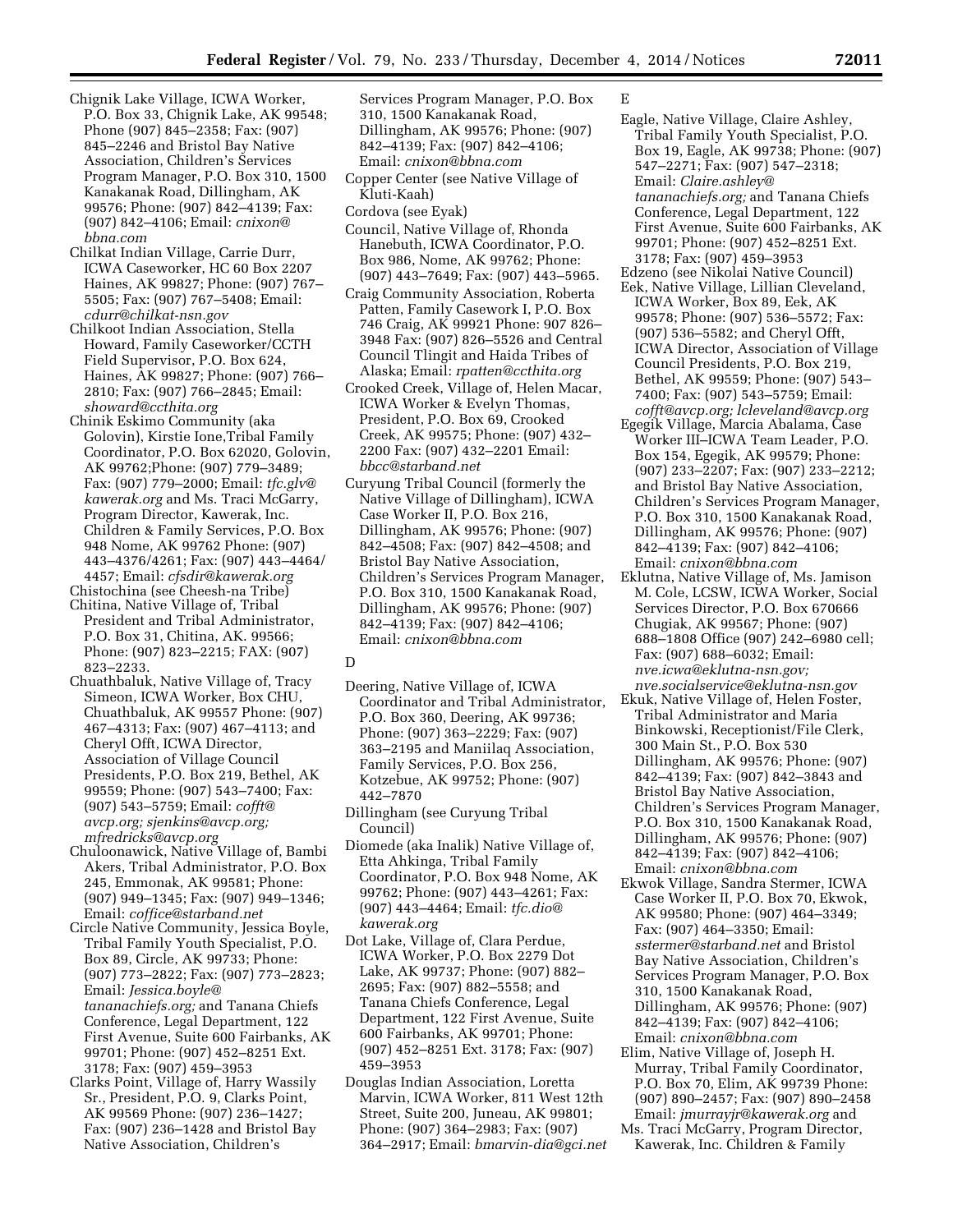- Chignik Lake Village, ICWA Worker, P.O. Box 33, Chignik Lake, AK 99548; Phone (907) 845–2358; Fax: (907) 845–2246 and Bristol Bay Native Association, Children's Services Program Manager, P.O. Box 310, 1500 Kanakanak Road, Dillingham, AK 99576; Phone: (907) 842–4139; Fax: (907) 842–4106; Email: *[cnixon@](mailto:cnixon@bbna.com) [bbna.com](mailto:cnixon@bbna.com)*
- Chilkat Indian Village, Carrie Durr, ICWA Caseworker, HC 60 Box 2207 Haines, AK 99827; Phone: (907) 767– 5505; Fax: (907) 767–5408; Email: *[cdurr@chilkat-nsn.gov](mailto:cdurr@chilkat-nsn.gov)*
- Chilkoot Indian Association, Stella Howard, Family Caseworker/CCTH Field Supervisor, P.O. Box 624, Haines, AK 99827; Phone: (907) 766– 2810; Fax: (907) 766–2845; Email: *[showard@ccthita.org](mailto:showard@ccthita.org)*
- Chinik Eskimo Community (aka Golovin), Kirstie Ione,Tribal Family Coordinator, P.O. Box 62020, Golovin, AK 99762;Phone: (907) 779–3489; Fax: (907) 779–2000; Email: *[tfc.glv@](mailto:tfc.glv@kawerak.org) [kawerak.org](mailto:tfc.glv@kawerak.org)* and Ms. Traci McGarry, Program Director, Kawerak, Inc. Children & Family Services, P.O. Box 948 Nome, AK 99762 Phone: (907) 443–4376/4261; Fax: (907) 443–4464/ 4457; Email: *[cfsdir@kawerak.org](mailto:cfsdir@kawerak.org)*
- Chistochina (see Cheesh-na Tribe) Chitina, Native Village of, Tribal
- President and Tribal Administrator, P.O. Box 31, Chitina, AK. 99566; Phone: (907) 823–2215; FAX: (907) 823–2233.
- Chuathbaluk, Native Village of, Tracy Simeon, ICWA Worker, Box CHU, Chuathbaluk, AK 99557 Phone: (907) 467–4313; Fax: (907) 467–4113; and Cheryl Offt, ICWA Director, Association of Village Council Presidents, P.O. Box 219, Bethel, AK 99559; Phone: (907) 543–7400; Fax: (907) 543–5759; Email: *[cofft@](mailto:cofft@avcp.org) [avcp.org;](mailto:cofft@avcp.org) [sjenkins@avcp.org;](mailto:sjenkins@avcp.org) [mfredricks@avcp.org](mailto:mfredricks@avcp.org)*
- Chuloonawick, Native Village of, Bambi Akers, Tribal Administrator, P.O. Box 245, Emmonak, AK 99581; Phone: (907) 949–1345; Fax: (907) 949–1346; Email: *[coffice@starband.net](mailto:coffice@starband.net)*
- Circle Native Community, Jessica Boyle, Tribal Family Youth Specialist, P.O. Box 89, Circle, AK 99733; Phone: (907) 773–2822; Fax: (907) 773–2823; Email: *[Jessica.boyle@](mailto:Jessica.boyle@tananachiefs.org) [tananachiefs.org;](mailto:Jessica.boyle@tananachiefs.org)* and Tanana Chiefs Conference, Legal Department, 122 First Avenue, Suite 600 Fairbanks, AK 99701; Phone: (907) 452–8251 Ext. 3178; Fax: (907) 459–3953
- Clarks Point, Village of, Harry Wassily Sr., President, P.O. 9, Clarks Point, AK 99569 Phone: (907) 236–1427; Fax: (907) 236–1428 and Bristol Bay Native Association, Children's

Services Program Manager, P.O. Box 310, 1500 Kanakanak Road, Dillingham, AK 99576; Phone: (907) 842–4139; Fax: (907) 842–4106; Email: *[cnixon@bbna.com](mailto:cnixon@bbna.com)* 

- Copper Center (see Native Village of Kluti-Kaah)
- Cordova (see Eyak)
- Council, Native Village of, Rhonda Hanebuth, ICWA Coordinator, P.O. Box 986, Nome, AK 99762; Phone: (907) 443–7649; Fax: (907) 443–5965.
- Craig Community Association, Roberta Patten, Family Casework I, P.O. Box 746 Craig, AK 99921 Phone: 907 826– 3948 Fax: (907) 826–5526 and Central Council Tlingit and Haida Tribes of Alaska; Email: *[rpatten@ccthita.org](mailto:rpatten@ccthita.org)*
- Crooked Creek, Village of, Helen Macar, ICWA Worker & Evelyn Thomas, President, P.O. Box 69, Crooked Creek, AK 99575; Phone: (907) 432– 2200 Fax: (907) 432–2201 Email: *[bbcc@starband.net](mailto:bbcc@starband.net)*
- Curyung Tribal Council (formerly the Native Village of Dillingham), ICWA Case Worker II, P.O. Box 216, Dillingham, AK 99576; Phone: (907) 842–4508; Fax: (907) 842–4508; and Bristol Bay Native Association, Children's Services Program Manager, P.O. Box 310, 1500 Kanakanak Road, Dillingham, AK 99576; Phone: (907) 842–4139; Fax: (907) 842–4106; Email: *[cnixon@bbna.com](mailto:cnixon@bbna.com)*

#### $\overline{D}$

- Deering, Native Village of, ICWA Coordinator and Tribal Administrator, P.O. Box 360, Deering, AK 99736; Phone: (907) 363–2229; Fax: (907) 363–2195 and Maniilaq Association, Family Services, P.O. Box 256, Kotzebue, AK 99752; Phone: (907) 442–7870
- Dillingham (see Curyung Tribal Council)
- Diomede (aka Inalik) Native Village of, Etta Ahkinga, Tribal Family Coordinator, P.O. Box 948 Nome, AK 99762; Phone: (907) 443–4261; Fax: (907) 443–4464; Email: *[tfc.dio@](mailto:tfc.dio@kawerak.org) [kawerak.org](mailto:tfc.dio@kawerak.org)*
- Dot Lake, Village of, Clara Perdue, ICWA Worker, P.O. Box 2279 Dot Lake, AK 99737; Phone: (907) 882– 2695; Fax: (907) 882–5558; and Tanana Chiefs Conference, Legal Department, 122 First Avenue, Suite 600 Fairbanks, AK 99701; Phone: (907) 452–8251 Ext. 3178; Fax: (907) 459–3953
- Douglas Indian Association, Loretta Marvin, ICWA Worker, 811 West 12th Street, Suite 200, Juneau, AK 99801; Phone: (907) 364–2983; Fax: (907) 364–2917; Email: *[bmarvin-dia@gci.net](mailto:bmarvin-dia@gci.net)*

# E

- Eagle, Native Village, Claire Ashley, Tribal Family Youth Specialist, P.O. Box 19, Eagle, AK 99738; Phone: (907) 547–2271; Fax: (907) 547–2318; Email: *[Claire.ashley@](mailto:Claire.ashley@tananachiefs.org) [tananachiefs.org;](mailto:Claire.ashley@tananachiefs.org)* and Tanana Chiefs Conference, Legal Department, 122 First Avenue, Suite 600 Fairbanks, AK 99701; Phone: (907) 452–8251 Ext. 3178; Fax: (907) 459–3953
- Edzeno (see Nikolai Native Council) Eek, Native Village, Lillian Cleveland, ICWA Worker, Box 89, Eek, AK 99578; Phone: (907) 536–5572; Fax: (907) 536–5582; and Cheryl Offt, ICWA Director, Association of Village Council Presidents, P.O. Box 219, Bethel, AK 99559; Phone: (907) 543–
- 7400; Fax: (907) 543–5759; Email: *[cofft@avcp.org;](mailto:cofft@avcp.org) [lcleveland@avcp.org](mailto:lcleveland@avcp.org)*  Egegik Village, Marcia Abalama, Case
- Worker III–ICWA Team Leader, P.O. Box 154, Egegik, AK 99579; Phone: (907) 233–2207; Fax: (907) 233–2212; and Bristol Bay Native Association, Children's Services Program Manager, P.O. Box 310, 1500 Kanakanak Road, Dillingham, AK 99576; Phone: (907) 842–4139; Fax: (907) 842–4106; Email: *[cnixon@bbna.com](mailto:cnixon@bbna.com)*
- Eklutna, Native Village of, Ms. Jamison M. Cole, LCSW, ICWA Worker, Social Services Director, P.O. Box 670666 Chugiak, AK 99567; Phone: (907) 688–1808 Office (907) 242–6980 cell; Fax: (907) 688–6032; Email: *[nve.icwa@eklutna-nsn.gov;](mailto:nve.icwa@eklutna-nsn.gov)  [nve.socialservice@eklutna-nsn.gov](mailto:nve.socialservice@eklutna-nsn.gov)*
- Ekuk, Native Village of, Helen Foster, Tribal Administrator and Maria Binkowski, Receptionist/File Clerk, 300 Main St., P.O. Box 530 Dillingham, AK 99576; Phone: (907) 842–4139; Fax: (907) 842–3843 and Bristol Bay Native Association, Children's Services Program Manager, P.O. Box 310, 1500 Kanakanak Road, Dillingham, AK 99576; Phone: (907) 842–4139; Fax: (907) 842–4106; Email: *[cnixon@bbna.com](mailto:cnixon@bbna.com)*
- Ekwok Village, Sandra Stermer, ICWA Case Worker II, P.O. Box 70, Ekwok, AK 99580; Phone: (907) 464–3349; Fax: (907) 464–3350; Email: *[sstermer@starband.net](mailto:sstermer@starband.net)* and Bristol Bay Native Association, Children's Services Program Manager, P.O. Box 310, 1500 Kanakanak Road, Dillingham, AK 99576; Phone: (907) 842–4139; Fax: (907) 842–4106; Email: *[cnixon@bbna.com](mailto:cnixon@bbna.com)*
- Elim, Native Village of, Joseph H. Murray, Tribal Family Coordinator, P.O. Box 70, Elim, AK 99739 Phone: (907) 890–2457; Fax: (907) 890–2458 Email: *[jmurrayjr@kawerak.org](mailto:jmurrayjr@kawerak.org)* and
- Ms. Traci McGarry, Program Director, Kawerak, Inc. Children & Family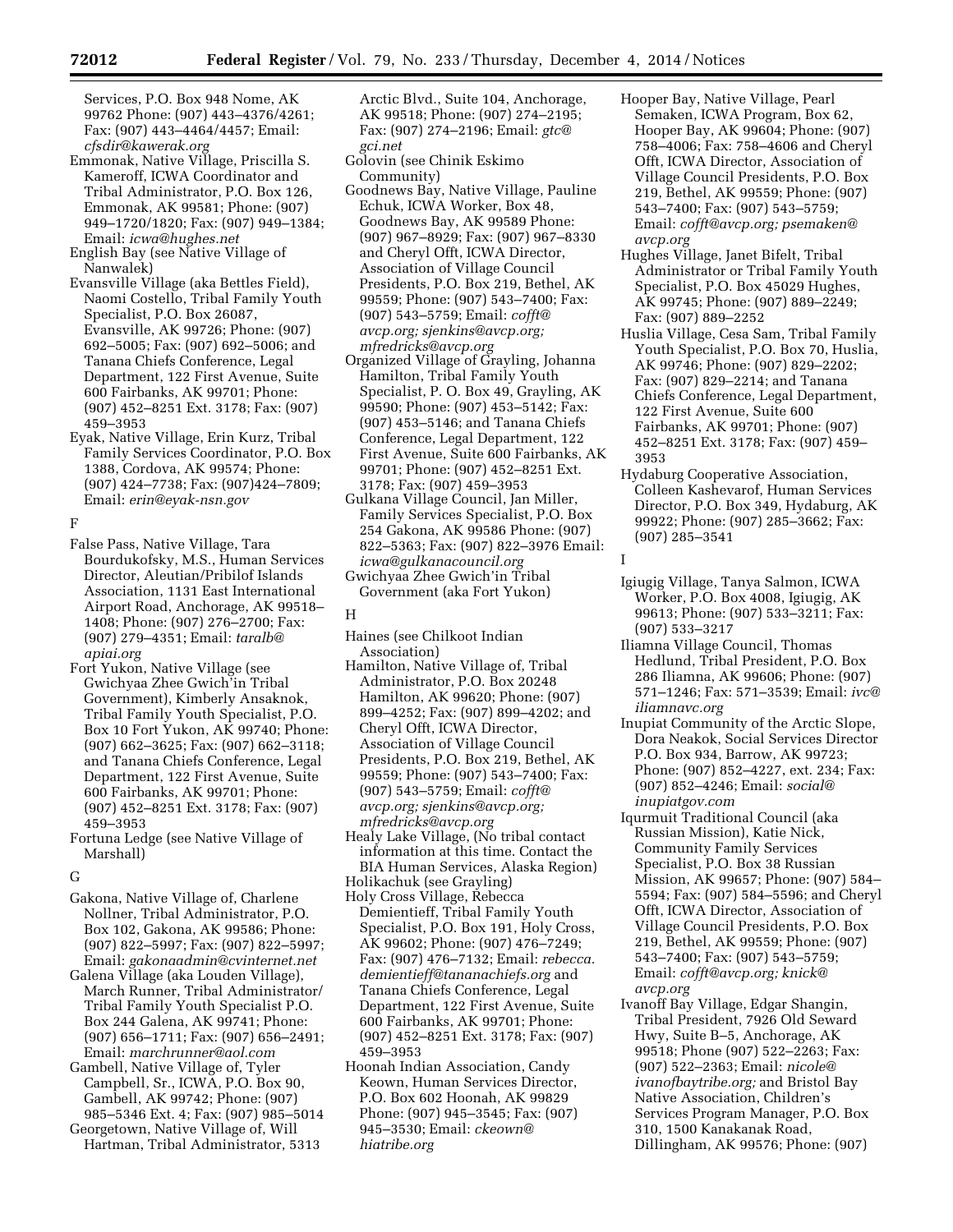Services, P.O. Box 948 Nome, AK 99762 Phone: (907) 443–4376/4261; Fax: (907) 443–4464/4457; Email: *[cfsdir@kawerak.org](mailto:cfsdir@kawerak.org)* 

- Emmonak, Native Village, Priscilla S. Kameroff, ICWA Coordinator and Tribal Administrator, P.O. Box 126, Emmonak, AK 99581; Phone: (907) 949–1720/1820; Fax: (907) 949–1384; Email: *[icwa@hughes.net](mailto:icwa@hughes.net)*
- English Bay (see Native Village of Nanwalek)
- Evansville Village (aka Bettles Field), Naomi Costello, Tribal Family Youth Specialist, P.O. Box 26087, Evansville, AK 99726; Phone: (907) 692–5005; Fax: (907) 692–5006; and Tanana Chiefs Conference, Legal Department, 122 First Avenue, Suite 600 Fairbanks, AK 99701; Phone: (907) 452–8251 Ext. 3178; Fax: (907) 459–3953
- Eyak, Native Village, Erin Kurz, Tribal Family Services Coordinator, P.O. Box 1388, Cordova, AK 99574; Phone: (907) 424–7738; Fax: (907)424–7809; Email: *[erin@eyak-nsn.gov](mailto:erin@eyak-nsn.gov)*

#### F

- False Pass, Native Village, Tara Bourdukofsky, M.S., Human Services Director, Aleutian/Pribilof Islands Association, 1131 East International Airport Road, Anchorage, AK 99518– 1408; Phone: (907) 276–2700; Fax: (907) 279–4351; Email: *[taralb@](mailto:taralb@apiai.org) [apiai.org](mailto:taralb@apiai.org)*
- Fort Yukon, Native Village (see Gwichyaa Zhee Gwich'in Tribal Government), Kimberly Ansaknok, Tribal Family Youth Specialist, P.O. Box 10 Fort Yukon, AK 99740; Phone: (907) 662–3625; Fax: (907) 662–3118; and Tanana Chiefs Conference, Legal Department, 122 First Avenue, Suite 600 Fairbanks, AK 99701; Phone: (907) 452–8251 Ext. 3178; Fax: (907) 459–3953
- Fortuna Ledge (see Native Village of Marshall)

## G

- Gakona, Native Village of, Charlene Nollner, Tribal Administrator, P.O. Box 102, Gakona, AK 99586; Phone: (907) 822–5997; Fax: (907) 822–5997; Email: *[gakonaadmin@cvinternet.net](mailto:gakonaadmin@cvinternet.net)*
- Galena Village (aka Louden Village), March Runner, Tribal Administrator/ Tribal Family Youth Specialist P.O. Box 244 Galena, AK 99741; Phone: (907) 656–1711; Fax: (907) 656–2491; Email: *[marchrunner@aol.com](mailto:marchrunner@aol.com)*
- Gambell, Native Village of, Tyler Campbell, Sr., ICWA, P.O. Box 90, Gambell, AK 99742; Phone: (907) 985–5346 Ext. 4; Fax: (907) 985–5014
- Georgetown, Native Village of, Will Hartman, Tribal Administrator, 5313

Arctic Blvd., Suite 104, Anchorage, AK 99518; Phone: (907) 274–2195; Fax: (907) 274–2196; Email: *[gtc@](mailto:gtc@gci.net) [gci.net](mailto:gtc@gci.net)* 

- Golovin (see Chinik Eskimo Community)
- Goodnews Bay, Native Village, Pauline Echuk, ICWA Worker, Box 48, Goodnews Bay, AK 99589 Phone: (907) 967–8929; Fax: (907) 967–8330 and Cheryl Offt, ICWA Director, Association of Village Council Presidents, P.O. Box 219, Bethel, AK 99559; Phone: (907) 543–7400; Fax: (907) 543–5759; Email: *[cofft@](mailto:cofft@avcp.org) [avcp.org;](mailto:cofft@avcp.org) [sjenkins@avcp.org;](mailto:sjenkins@avcp.org) [mfredricks@avcp.org](mailto:mfredricks@avcp.org)*
- Organized Village of Grayling, Johanna Hamilton, Tribal Family Youth Specialist, P. O. Box 49, Grayling, AK 99590; Phone: (907) 453–5142; Fax: (907) 453–5146; and Tanana Chiefs Conference, Legal Department, 122 First Avenue, Suite 600 Fairbanks, AK 99701; Phone: (907) 452–8251 Ext. 3178; Fax: (907) 459–3953
- Gulkana Village Council, Jan Miller, Family Services Specialist, P.O. Box 254 Gakona, AK 99586 Phone: (907) 822–5363; Fax: (907) 822–3976 Email: *[icwa@gulkanacouncil.org](mailto:icwa@gulkanacouncil.org)*

Gwichyaa Zhee Gwich'in Tribal Government (aka Fort Yukon)

# H

- Haines (see Chilkoot Indian Association)
- Hamilton, Native Village of, Tribal Administrator, P.O. Box 20248 Hamilton, AK 99620; Phone: (907) 899–4252; Fax: (907) 899–4202; and Cheryl Offt, ICWA Director, Association of Village Council Presidents, P.O. Box 219, Bethel, AK 99559; Phone: (907) 543–7400; Fax: (907) 543–5759; Email: *[cofft@](mailto:cofft@avcp.org) [avcp.org;](mailto:cofft@avcp.org) [sjenkins@avcp.org;](mailto:sjenkins@avcp.org) [mfredricks@avcp.org](mailto:mfredricks@avcp.org)*
- Healy Lake Village, (No tribal contact information at this time. Contact the BIA Human Services, Alaska Region)
- Holikachuk (see Grayling)
- Holy Cross Village, Rebecca Demientieff, Tribal Family Youth Specialist, P.O. Box 191, Holy Cross, AK 99602; Phone: (907) 476–7249; Fax: (907) 476–7132; Email: *[rebecca.](mailto:rebecca.demientieff@tananachiefs.org) [demientieff@tananachiefs.org](mailto:rebecca.demientieff@tananachiefs.org)* and Tanana Chiefs Conference, Legal Department, 122 First Avenue, Suite 600 Fairbanks, AK 99701; Phone: (907) 452–8251 Ext. 3178; Fax: (907) 459–3953
- Hoonah Indian Association, Candy Keown, Human Services Director, P.O. Box 602 Hoonah, AK 99829 Phone: (907) 945–3545; Fax: (907) 945–3530; Email: *[ckeown@](mailto:ckeown@hiatribe.org) [hiatribe.org](mailto:ckeown@hiatribe.org)*
- Hooper Bay, Native Village, Pearl Semaken, ICWA Program, Box 62, Hooper Bay, AK 99604; Phone: (907) 758–4006; Fax: 758–4606 and Cheryl Offt, ICWA Director, Association of Village Council Presidents, P.O. Box 219, Bethel, AK 99559; Phone: (907) 543–7400; Fax: (907) 543–5759; Email: *[cofft@avcp.org;](mailto:cofft@avcp.org) [psemaken@](mailto:psemaken@avcp.org) [avcp.org](mailto:psemaken@avcp.org)*
- Hughes Village, Janet Bifelt, Tribal Administrator or Tribal Family Youth Specialist, P.O. Box 45029 Hughes, AK 99745; Phone: (907) 889–2249; Fax: (907) 889–2252
- Huslia Village, Cesa Sam, Tribal Family Youth Specialist, P.O. Box 70, Huslia, AK 99746; Phone: (907) 829–2202; Fax: (907) 829–2214; and Tanana Chiefs Conference, Legal Department, 122 First Avenue, Suite 600 Fairbanks, AK 99701; Phone: (907) 452–8251 Ext. 3178; Fax: (907) 459– 3953
- Hydaburg Cooperative Association, Colleen Kashevarof, Human Services Director, P.O. Box 349, Hydaburg, AK 99922; Phone: (907) 285–3662; Fax: (907) 285–3541
- I
	- Igiugig Village, Tanya Salmon, ICWA Worker, P.O. Box 4008, Igiugig, AK 99613; Phone: (907) 533–3211; Fax: (907) 533–3217
	- Iliamna Village Council, Thomas Hedlund, Tribal President, P.O. Box 286 Iliamna, AK 99606; Phone: (907) 571–1246; Fax: 571–3539; Email: *[ivc@](mailto:ivc@iliamnavc.org) [iliamnavc.org](mailto:ivc@iliamnavc.org)*
	- Inupiat Community of the Arctic Slope, Dora Neakok, Social Services Director P.O. Box 934, Barrow, AK 99723; Phone: (907) 852–4227, ext. 234; Fax: (907) 852–4246; Email: *[social@](mailto:social@inupiatgov.com) [inupiatgov.com](mailto:social@inupiatgov.com)*
	- Iqurmuit Traditional Council (aka Russian Mission), Katie Nick, Community Family Services Specialist, P.O. Box 38 Russian Mission, AK 99657; Phone: (907) 584– 5594; Fax: (907) 584–5596; and Cheryl Offt, ICWA Director, Association of Village Council Presidents, P.O. Box 219, Bethel, AK 99559; Phone: (907) 543–7400; Fax: (907) 543–5759; Email: *[cofft@avcp.org;](mailto:cofft@avcp.org) [knick@](mailto:knick@avcp.org) [avcp.org](mailto:knick@avcp.org)*
	- Ivanoff Bay Village, Edgar Shangin, Tribal President, 7926 Old Seward Hwy, Suite B–5, Anchorage, AK 99518; Phone (907) 522–2263; Fax: (907) 522–2363; Email: *[nicole@](mailto:nicole@ivanofbaytribe.org) [ivanofbaytribe.org;](mailto:nicole@ivanofbaytribe.org)* and Bristol Bay Native Association, Children's Services Program Manager, P.O. Box 310, 1500 Kanakanak Road, Dillingham, AK 99576; Phone: (907)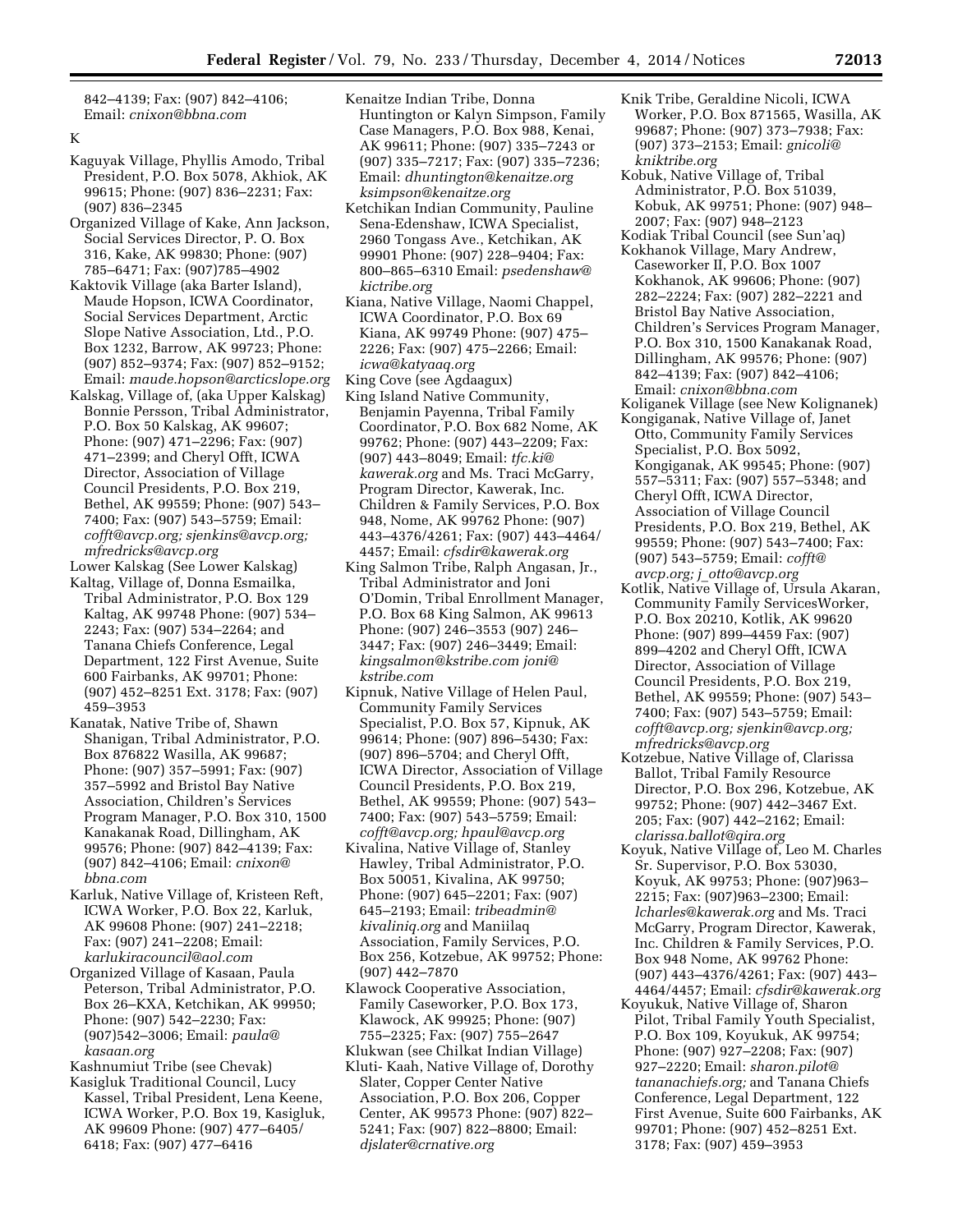842–4139; Fax: (907) 842–4106; Email: *[cnixon@bbna.com](mailto:cnixon@bbna.com)* 

#### K

- Kaguyak Village, Phyllis Amodo, Tribal President, P.O. Box 5078, Akhiok, AK 99615; Phone: (907) 836–2231; Fax: (907) 836–2345
- Organized Village of Kake, Ann Jackson, Social Services Director, P. O. Box 316, Kake, AK 99830; Phone: (907) 785–6471; Fax: (907)785–4902
- Kaktovik Village (aka Barter Island), Maude Hopson, ICWA Coordinator, Social Services Department, Arctic Slope Native Association, Ltd., P.O. Box 1232, Barrow, AK 99723; Phone: (907) 852–9374; Fax: (907) 852–9152; Email: *[maude.hopson@arcticslope.org](mailto:maude.hopson@arcticslope.org)*
- Kalskag, Village of, (aka Upper Kalskag) Bonnie Persson, Tribal Administrator, P.O. Box 50 Kalskag, AK 99607; Phone: (907) 471–2296; Fax: (907) 471–2399; and Cheryl Offt, ICWA Director, Association of Village Council Presidents, P.O. Box 219, Bethel, AK 99559; Phone: (907) 543– 7400; Fax: (907) 543–5759; Email: *[cofft@avcp.org;](mailto:cofft@avcp.org) [sjenkins@avcp.org;](mailto:sjenkins@avcp.org)  [mfredricks@avcp.org](mailto:mfredricks@avcp.org)*

Lower Kalskag (See Lower Kalskag)

- Kaltag, Village of, Donna Esmailka, Tribal Administrator, P.O. Box 129 Kaltag, AK 99748 Phone: (907) 534– 2243; Fax: (907) 534–2264; and Tanana Chiefs Conference, Legal Department, 122 First Avenue, Suite 600 Fairbanks, AK 99701; Phone: (907) 452–8251 Ext. 3178; Fax: (907) 459–3953
- Kanatak, Native Tribe of, Shawn Shanigan, Tribal Administrator, P.O. Box 876822 Wasilla, AK 99687; Phone: (907) 357–5991; Fax: (907) 357–5992 and Bristol Bay Native Association, Children's Services Program Manager, P.O. Box 310, 1500 Kanakanak Road, Dillingham, AK 99576; Phone: (907) 842–4139; Fax: (907) 842–4106; Email: *[cnixon@](mailto:cnixon@bbna.com) [bbna.com](mailto:cnixon@bbna.com)*
- Karluk, Native Village of, Kristeen Reft, ICWA Worker, P.O. Box 22, Karluk, AK 99608 Phone: (907) 241–2218; Fax: (907) 241–2208; Email: *[karlukiracouncil@aol.com](mailto:karlukiracouncil@aol.com)*
- Organized Village of Kasaan, Paula Peterson, Tribal Administrator, P.O. Box 26–KXA, Ketchikan, AK 99950; Phone: (907) 542–2230; Fax: (907)542–3006; Email: *[paula@](mailto:paula@kasaan.org) [kasaan.org](mailto:paula@kasaan.org)*
- Kashnumiut Tribe (see Chevak)
- Kasigluk Traditional Council, Lucy Kassel, Tribal President, Lena Keene, ICWA Worker, P.O. Box 19, Kasigluk, AK 99609 Phone: (907) 477–6405/ 6418; Fax: (907) 477–6416
- Kenaitze Indian Tribe, Donna Huntington or Kalyn Simpson, Family Case Managers, P.O. Box 988, Kenai, AK 99611; Phone: (907) 335–7243 or (907) 335–7217; Fax: (907) 335–7236; Email: *[dhuntington@kenaitze.org](mailto:dhuntington@kenaitze.org) [ksimpson@kenaitze.org](mailto:ksimpson@kenaitze.org)*
- Ketchikan Indian Community, Pauline Sena-Edenshaw, ICWA Specialist, 2960 Tongass Ave., Ketchikan, AK 99901 Phone: (907) 228–9404; Fax: 800–865–6310 Email: *[psedenshaw@](mailto:psedenshaw@kictribe.org) [kictribe.org](mailto:psedenshaw@kictribe.org)*
- Kiana, Native Village, Naomi Chappel, ICWA Coordinator, P.O. Box 69 Kiana, AK 99749 Phone: (907) 475– 2226; Fax: (907) 475–2266; Email: *[icwa@katyaaq.org](mailto:icwa@katyaaq.org)*
- King Cove (see Agdaagux)
- King Island Native Community, Benjamin Payenna, Tribal Family Coordinator, P.O. Box 682 Nome, AK 99762; Phone: (907) 443–2209; Fax: (907) 443–8049; Email: *[tfc.ki@](mailto:tfc.ki@kawerak.org) [kawerak.org](mailto:tfc.ki@kawerak.org)* and Ms. Traci McGarry, Program Director, Kawerak, Inc. Children & Family Services, P.O. Box 948, Nome, AK 99762 Phone: (907) 443–4376/4261; Fax: (907) 443–4464/ 4457; Email: *[cfsdir@kawerak.org](mailto:cfsdir@kawerak.org)*
- King Salmon Tribe, Ralph Angasan, Jr., Tribal Administrator and Joni O'Domin, Tribal Enrollment Manager, P.O. Box 68 King Salmon, AK 99613 Phone: (907) 246–3553 (907) 246– 3447; Fax: (907) 246–3449; Email: *[kingsalmon@kstribe.com](mailto:kingsalmon@kstribe.com) j[oni@](mailto:joni@kstribe.com) [kstribe.com](mailto:joni@kstribe.com)*
- Kipnuk, Native Village of Helen Paul, Community Family Services Specialist, P.O. Box 57, Kipnuk, AK 99614; Phone: (907) 896–5430; Fax: (907) 896–5704; and Cheryl Offt, ICWA Director, Association of Village Council Presidents, P.O. Box 219, Bethel, AK 99559; Phone: (907) 543– 7400; Fax: (907) 543–5759; Email: *[cofft@avcp.org;](mailto:cofft@avcp.org) [hpaul@avcp.org](mailto:hpaul@avcp.org)*
- Kivalina, Native Village of, Stanley Hawley, Tribal Administrator, P.O. Box 50051, Kivalina, AK 99750; Phone: (907) 645–2201; Fax: (907) 645–2193; Email: *[tribeadmin@](mailto:tribeadmin@kivaliniq.org) [kivaliniq.org](mailto:tribeadmin@kivaliniq.org)* and Maniilaq Association, Family Services, P.O. Box 256, Kotzebue, AK 99752; Phone: (907) 442–7870
- Klawock Cooperative Association, Family Caseworker, P.O. Box 173, Klawock, AK 99925; Phone: (907) 755–2325; Fax: (907) 755–2647
- Klukwan (see Chilkat Indian Village) Kluti- Kaah, Native Village of, Dorothy
- Slater, Copper Center Native Association, P.O. Box 206, Copper Center, AK 99573 Phone: (907) 822– 5241; Fax: (907) 822–8800; Email: *[djslater@crnative.org](mailto:djslater@crnative.org)*
- Knik Tribe, Geraldine Nicoli, ICWA Worker, P.O. Box 871565, Wasilla, AK 99687; Phone: (907) 373–7938; Fax: (907) 373–2153; Email: *[gnicoli@](mailto:gnicoli@kniktribe.org) [kniktribe.org](mailto:gnicoli@kniktribe.org)*
- Kobuk, Native Village of, Tribal Administrator, P.O. Box 51039, Kobuk, AK 99751; Phone: (907) 948– 2007; Fax: (907) 948–2123
- Kodiak Tribal Council (see Sun'aq)
- Kokhanok Village, Mary Andrew, Caseworker II, P.O. Box 1007 Kokhanok, AK 99606; Phone: (907) 282–2224; Fax: (907) 282–2221 and Bristol Bay Native Association, Children's Services Program Manager, P.O. Box 310, 1500 Kanakanak Road, Dillingham, AK 99576; Phone: (907) 842–4139; Fax: (907) 842–4106; Email: *[cnixon@bbna.com](mailto:cnixon@bbna.com)*
- Koliganek Village (see New Kolignanek) Kongiganak, Native Village of, Janet Otto, Community Family Services Specialist, P.O. Box 5092, Kongiganak, AK 99545; Phone: (907) 557–5311; Fax: (907) 557–5348; and Cheryl Offt, ICWA Director, Association of Village Council Presidents, P.O. Box 219, Bethel, AK 99559; Phone: (907) 543–7400; Fax: (907) 543–5759; Email: *[cofft@](mailto:cofft@avcp.org) [avcp.org;](mailto:cofft@avcp.org) j*\_*[otto@avcp.org](mailto:j_otto@avcp.org)*
- Kotlik, Native Village of, Ursula Akaran, Community Family ServicesWorker, P.O. Box 20210, Kotlik, AK 99620 Phone: (907) 899–4459 Fax: (907) 899–4202 and Cheryl Offt, ICWA Director, Association of Village Council Presidents, P.O. Box 219, Bethel, AK 99559; Phone: (907) 543– 7400; Fax: (907) 543–5759; Email: *[cofft@avcp.org;](mailto:cofft@avcp.org) [sjenkin@avcp.org;](mailto:sjenkin@avcp.org)  [mfredricks@avcp.org](mailto:mfredricks@avcp.org)*
- Kotzebue, Native Village of, Clarissa Ballot, Tribal Family Resource Director, P.O. Box 296, Kotzebue, AK 99752; Phone: (907) 442–3467 Ext. 205; Fax: (907) 442–2162; Email: *[clarissa.ballot@qira.org](mailto:clarissa.ballot@qira.org)*
- Koyuk, Native Village of, Leo M. Charles Sr. Supervisor, P.O. Box 53030, Koyuk, AK 99753; Phone: (907)963– 2215; Fax: (907)963–2300; Email: *[lcharles@kawerak.org](mailto:lcharles@kawerak.org)* and Ms. Traci McGarry, Program Director, Kawerak, Inc. Children & Family Services, P.O. Box 948 Nome, AK 99762 Phone: (907) 443–4376/4261; Fax: (907) 443– 4464/4457; Email: *[cfsdir@kawerak.org](mailto:cfsdir@kawerak.org)*
- Koyukuk, Native Village of, Sharon Pilot, Tribal Family Youth Specialist, P.O. Box 109, Koyukuk, AK 99754; Phone: (907) 927–2208; Fax: (907) 927–2220; Email: *[sharon.pilot@](mailto:sharon.pilot@tananachiefs.org) [tananachiefs.org;](mailto:sharon.pilot@tananachiefs.org)* and Tanana Chiefs Conference, Legal Department, 122 First Avenue, Suite 600 Fairbanks, AK 99701; Phone: (907) 452–8251 Ext. 3178; Fax: (907) 459–3953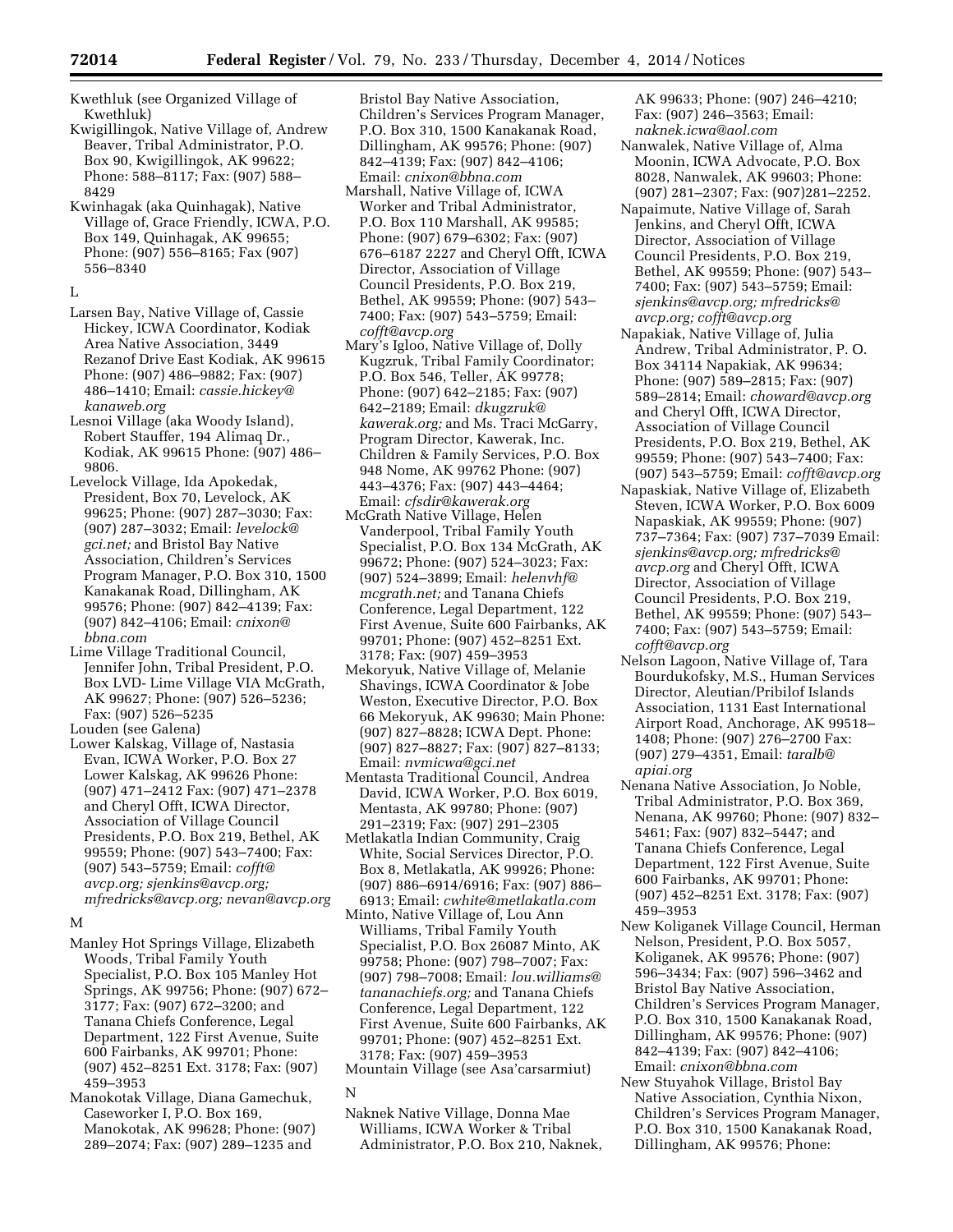Kwethluk (see Organized Village of Kwethluk)

Kwigillingok, Native Village of, Andrew Beaver, Tribal Administrator, P.O. Box 90, Kwigillingok, AK 99622; Phone: 588–8117; Fax: (907) 588– 8429

Kwinhagak (aka Quinhagak), Native Village of, Grace Friendly, ICWA, P.O. Box 149, Quinhagak, AK 99655; Phone: (907) 556–8165; Fax (907) 556–8340

L

Larsen Bay, Native Village of, Cassie Hickey, ICWA Coordinator, Kodiak Area Native Association, 3449 Rezanof Drive East Kodiak, AK 99615 Phone: (907) 486–9882; Fax: (907) 486–1410; Email: *[cassie.hickey@](mailto:cassie.hickey@kanaweb.org) [kanaweb.org](mailto:cassie.hickey@kanaweb.org)* 

Lesnoi Village (aka Woody Island), Robert Stauffer, 194 Alimaq Dr., Kodiak, AK 99615 Phone: (907) 486– 9806.

Levelock Village, Ida Apokedak, President, Box 70, Levelock, AK 99625; Phone: (907) 287–3030; Fax: (907) 287–3032; Email: *[levelock@](mailto:levelock@gci.net) [gci.net;](mailto:levelock@gci.net)* and Bristol Bay Native Association, Children's Services Program Manager, P.O. Box 310, 1500 Kanakanak Road, Dillingham, AK 99576; Phone: (907) 842–4139; Fax: (907) 842–4106; Email: *[cnixon@](mailto:cnixon@bbna.com) [bbna.com](mailto:cnixon@bbna.com)* 

Lime Village Traditional Council, Jennifer John, Tribal President, P.O. Box LVD- Lime Village VIA McGrath, AK 99627; Phone: (907) 526-5236; Fax: (907) 526–5235

Louden (see Galena)

Lower Kalskag, Village of, Nastasia Evan, ICWA Worker, P.O. Box 27 Lower Kalskag, AK 99626 Phone: (907) 471–2412 Fax: (907) 471–2378 and Cheryl Offt, ICWA Director, Association of Village Council Presidents, P.O. Box 219, Bethel, AK 99559; Phone: (907) 543–7400; Fax: (907) 543–5759; Email: *[cofft@](mailto:cofft@avcp.org) [avcp.org;](mailto:cofft@avcp.org) [sjenkins@avcp.org;](mailto:sjenkins@avcp.org) [mfredricks@avcp.org;](mailto:mfredricks@avcp.org) [nevan@avcp.org](mailto:nevan@avcp.org)* 

#### M

- Manley Hot Springs Village, Elizabeth Woods, Tribal Family Youth Specialist, P.O. Box 105 Manley Hot Springs, AK 99756; Phone: (907) 672– 3177; Fax: (907) 672–3200; and Tanana Chiefs Conference, Legal Department, 122 First Avenue, Suite 600 Fairbanks, AK 99701; Phone: (907) 452–8251 Ext. 3178; Fax: (907) 459–3953
- Manokotak Village, Diana Gamechuk, Caseworker I, P.O. Box 169, Manokotak, AK 99628; Phone: (907) 289–2074; Fax: (907) 289–1235 and

Bristol Bay Native Association, Children's Services Program Manager, P.O. Box 310, 1500 Kanakanak Road, Dillingham, AK 99576; Phone: (907) 842–4139; Fax: (907) 842–4106; Email: *[cnixon@bbna.com](mailto:cnixon@bbna.com)* 

- Marshall, Native Village of, ICWA Worker and Tribal Administrator, P.O. Box 110 Marshall, AK 99585; Phone: (907) 679–6302; Fax: (907) 676–6187 2227 and Cheryl Offt, ICWA Director, Association of Village Council Presidents, P.O. Box 219, Bethel, AK 99559; Phone: (907) 543– 7400; Fax: (907) 543–5759; Email: *[cofft@avcp.org](mailto:cofft@avcp.org)*
- Mary's Igloo, Native Village of, Dolly Kugzruk, Tribal Family Coordinator; P.O. Box 546, Teller, AK 99778; Phone: (907) 642–2185; Fax: (907) 642–2189; Email: *[dkugzruk@](mailto:dkugzruk@kawerak.org) [kawerak.org;](mailto:dkugzruk@kawerak.org)* and Ms. Traci McGarry, Program Director, Kawerak, Inc. Children & Family Services, P.O. Box 948 Nome, AK 99762 Phone: (907) 443–4376; Fax: (907) 443–4464; Email: *[cfsdir@kawerak.org](mailto:cfsdir@kawerak.org)*
- McGrath Native Village, Helen Vanderpool, Tribal Family Youth Specialist, P.O. Box 134 McGrath, AK 99672; Phone: (907) 524–3023; Fax: (907) 524–3899; Email: *[helenvhf@](mailto:helenvhf@mcgrath.net) [mcgrath.net;](mailto:helenvhf@mcgrath.net)* and Tanana Chiefs Conference, Legal Department, 122 First Avenue, Suite 600 Fairbanks, AK 99701; Phone: (907) 452–8251 Ext. 3178; Fax: (907) 459–3953
- Mekoryuk, Native Village of, Melanie Shavings, ICWA Coordinator & Jobe Weston, Executive Director, P.O. Box 66 Mekoryuk, AK 99630; Main Phone: (907) 827–8828; ICWA Dept. Phone: (907) 827–8827; Fax: (907) 827–8133; Email: *[nvmicwa@gci.net](mailto:nvmicwa@gci.net)*
- Mentasta Traditional Council, Andrea David, ICWA Worker, P.O. Box 6019, Mentasta, AK 99780; Phone: (907) 291–2319; Fax: (907) 291–2305
- Metlakatla Indian Community, Craig White, Social Services Director, P.O. Box 8, Metlakatla, AK 99926; Phone: (907) 886–6914/6916; Fax: (907) 886– 6913; Email: *[cwhite@metlakatla.com](mailto:cwhite@metlakatla.com)*
- Minto, Native Village of, Lou Ann Williams, Tribal Family Youth Specialist, P.O. Box 26087 Minto, AK 99758; Phone: (907) 798–7007; Fax: (907) 798–7008; Email: *[lou.williams@](mailto:lou.williams@tananachiefs.org) [tananachiefs.org;](mailto:lou.williams@tananachiefs.org)* and Tanana Chiefs Conference, Legal Department, 122 First Avenue, Suite 600 Fairbanks, AK 99701; Phone: (907) 452–8251 Ext. 3178; Fax: (907) 459–3953

Mountain Village (see Asa'carsarmiut)

Naknek Native Village, Donna Mae Williams, ICWA Worker & Tribal Administrator, P.O. Box 210, Naknek, AK 99633; Phone: (907) 246–4210; Fax: (907) 246–3563; Email: *[naknek.icwa@aol.com](mailto:naknek.icwa@aol.com)* 

- Nanwalek, Native Village of, Alma Moonin, ICWA Advocate, P.O. Box 8028, Nanwalek, AK 99603; Phone: (907) 281–2307; Fax: (907)281–2252.
- Napaimute, Native Village of, Sarah Jenkins, and Cheryl Offt, ICWA Director, Association of Village Council Presidents, P.O. Box 219, Bethel, AK 99559; Phone: (907) 543– 7400; Fax: (907) 543–5759; Email: *[sjenkins@avcp.org;](mailto:sjenkins@avcp.org) [mfredricks@](mailto:mfredricks@avcp.org) [avcp.org;](mailto:mfredricks@avcp.org) [cofft@avcp.org](mailto:cofft@avcp.org)*
- Napakiak, Native Village of, Julia Andrew, Tribal Administrator, P. O. Box 34114 Napakiak, AK 99634; Phone: (907) 589–2815; Fax: (907) 589–2814; Email: *[choward@avcp.org](mailto:choward@avcp.org)*  and Cheryl Offt, ICWA Director, Association of Village Council Presidents, P.O. Box 219, Bethel, AK 99559; Phone: (907) 543–7400; Fax: (907) 543–5759; Email: *[cofft@avcp.org](mailto:cofft@avcp.org)*
- Napaskiak, Native Village of, Elizabeth Steven, ICWA Worker, P.O. Box 6009 Napaskiak, AK 99559; Phone: (907) 737–7364; Fax: (907) 737–7039 Email: *[sjenkins@avcp.org;](mailto:sjenkins@avcp.org) [mfredricks@](mailto:mfredricks@avcp.org) [avcp.org](mailto:mfredricks@avcp.org)* and Cheryl Offt, ICWA Director, Association of Village Council Presidents, P.O. Box 219, Bethel, AK 99559; Phone: (907) 543– 7400; Fax: (907) 543–5759; Email: *[cofft@avcp.org](mailto:cofft@avcp.org)*
- Nelson Lagoon, Native Village of, Tara Bourdukofsky, M.S., Human Services Director, Aleutian/Pribilof Islands Association, 1131 East International Airport Road, Anchorage, AK 99518– 1408; Phone: (907) 276–2700 Fax: (907) 279–4351, Email: *[taralb@](mailto:taralb@apiai.org) [apiai.org](mailto:taralb@apiai.org)*
- Nenana Native Association, Jo Noble, Tribal Administrator, P.O. Box 369, Nenana, AK 99760; Phone: (907) 832– 5461; Fax: (907) 832–5447; and Tanana Chiefs Conference, Legal Department, 122 First Avenue, Suite 600 Fairbanks, AK 99701; Phone: (907) 452–8251 Ext. 3178; Fax: (907) 459–3953
- New Koliganek Village Council, Herman Nelson, President, P.O. Box 5057, Koliganek, AK 99576; Phone: (907) 596–3434; Fax: (907) 596–3462 and Bristol Bay Native Association, Children's Services Program Manager, P.O. Box 310, 1500 Kanakanak Road, Dillingham, AK 99576; Phone: (907) 842–4139; Fax: (907) 842–4106; Email: *[cnixon@bbna.com](mailto:cnixon@bbna.com)*
- New Stuyahok Village, Bristol Bay Native Association, Cynthia Nixon, Children's Services Program Manager, P.O. Box 310, 1500 Kanakanak Road, Dillingham, AK 99576; Phone:

N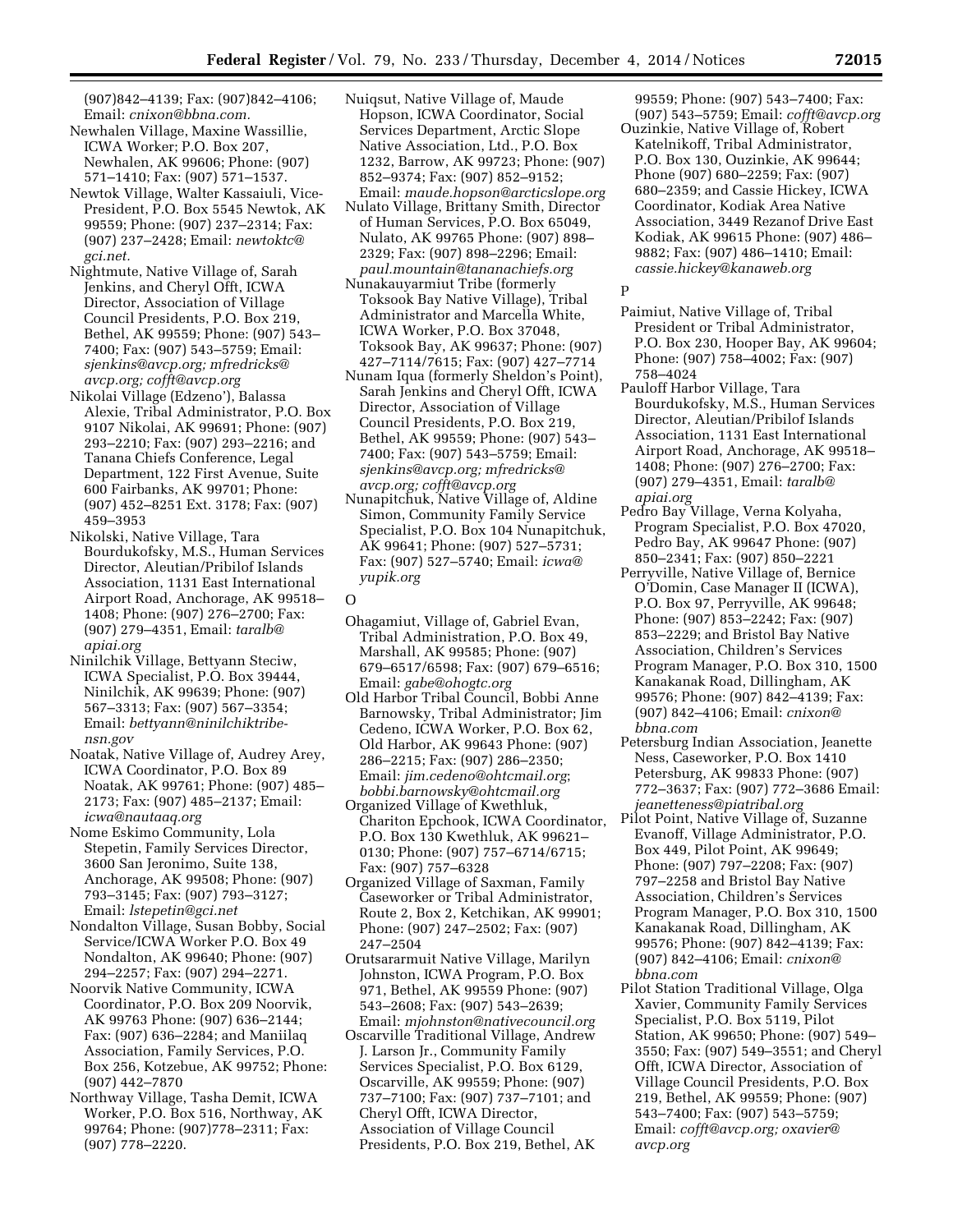(907)842–4139; Fax: (907)842–4106; Email: *[cnixon@bbna.com.](mailto:cnixon@bbna.com)* 

- Newhalen Village, Maxine Wassillie, ICWA Worker; P.O. Box 207, Newhalen, AK 99606; Phone: (907) 571–1410; Fax: (907) 571–1537.
- Newtok Village, Walter Kassaiuli, Vice-President, P.O. Box 5545 Newtok, AK 99559; Phone: (907) 237–2314; Fax: (907) 237–2428; Email: *[newtoktc@](mailto:newtoktc@gci.net) [gci.net.](mailto:newtoktc@gci.net)*
- Nightmute, Native Village of, Sarah Jenkins, and Cheryl Offt, ICWA Director, Association of Village Council Presidents, P.O. Box 219, Bethel, AK 99559; Phone: (907) 543– 7400; Fax: (907) 543–5759; Email: *[sjenkins@avcp.org;](mailto:sjenkins@avcp.org) [mfredricks@](mailto:mfredricks@avcp.org) [avcp.org;](mailto:mfredricks@avcp.org) [cofft@avcp.org](mailto:cofft@avcp.org)*
- Nikolai Village (Edzeno'), Balassa Alexie, Tribal Administrator, P.O. Box 9107 Nikolai, AK 99691; Phone: (907) 293–2210; Fax: (907) 293–2216; and Tanana Chiefs Conference, Legal Department, 122 First Avenue, Suite 600 Fairbanks, AK 99701; Phone: (907) 452–8251 Ext. 3178; Fax: (907) 459–3953
- Nikolski, Native Village, Tara Bourdukofsky, M.S., Human Services Director, Aleutian/Pribilof Islands Association, 1131 East International Airport Road, Anchorage, AK 99518– 1408; Phone: (907) 276–2700; Fax: (907) 279–4351, Email: *[taralb@](mailto:taralb@apiai.org) [apiai.org](mailto:taralb@apiai.org)*
- Ninilchik Village, Bettyann Steciw, ICWA Specialist, P.O. Box 39444, Ninilchik, AK 99639; Phone: (907) 567–3313; Fax: (907) 567–3354; Email: *[bettyann@ninilchiktribe](mailto:bettyann@ninilchiktribe-nsn.gov)[nsn.gov](mailto:bettyann@ninilchiktribe-nsn.gov)*
- Noatak, Native Village of, Audrey Arey, ICWA Coordinator, P.O. Box 89 Noatak, AK 99761; Phone: (907) 485– 2173; Fax: (907) 485–2137; Email: *[icwa@nautaaq.org](mailto:icwa@nautaaq.org)*
- Nome Eskimo Community, Lola Stepetin, Family Services Director, 3600 San Jeronimo, Suite 138, Anchorage, AK 99508; Phone: (907) 793–3145; Fax: (907) 793–3127; Email: *[lstepetin@gci.net](mailto:lstepetin@gci.net)*
- Nondalton Village, Susan Bobby, Social Service/ICWA Worker P.O. Box 49 Nondalton, AK 99640; Phone: (907) 294–2257; Fax: (907) 294–2271.
- Noorvik Native Community, ICWA Coordinator, P.O. Box 209 Noorvik, AK 99763 Phone: (907) 636–2144; Fax: (907) 636–2284; and Maniilaq Association, Family Services, P.O. Box 256, Kotzebue, AK 99752; Phone: (907) 442–7870
- Northway Village, Tasha Demit, ICWA Worker, P.O. Box 516, Northway, AK 99764; Phone: (907)778–2311; Fax: (907) 778–2220.
- Nuiqsut, Native Village of, Maude Hopson, ICWA Coordinator, Social Services Department, Arctic Slope Native Association, Ltd., P.O. Box 1232, Barrow, AK 99723; Phone: (907) 852–9374; Fax: (907) 852–9152; Email: *[maude.hopson@arcticslope.org](mailto:maude.hopson@arcticslope.org)*
- Nulato Village, Brittany Smith, Director of Human Services, P.O. Box 65049, Nulato, AK 99765 Phone: (907) 898– 2329; Fax: (907) 898–2296; Email: *[paul.mountain@tananachiefs.org](mailto:paul.mountain@tananachiefs.org)*
- Nunakauyarmiut Tribe (formerly Toksook Bay Native Village), Tribal Administrator and Marcella White, ICWA Worker, P.O. Box 37048, Toksook Bay, AK 99637; Phone: (907) 427–7114/7615; Fax: (907) 427–7714
- Nunam Iqua (formerly Sheldon's Point), Sarah Jenkins and Cheryl Offt, ICWA Director, Association of Village Council Presidents, P.O. Box 219, Bethel, AK 99559; Phone: (907) 543– 7400; Fax: (907) 543–5759; Email: *[sjenkins@avcp.org;](mailto:sjenkins@avcp.org) [mfredricks@](mailto:mfredricks@avcp.org) [avcp.org;](mailto:mfredricks@avcp.org) [cofft@avcp.org](mailto:cofft@avcp.org)*
- Nunapitchuk, Native Village of, Aldine Simon, Community Family Service Specialist, P.O. Box 104 Nunapitchuk, AK 99641; Phone: (907) 527–5731; Fax: (907) 527–5740; Email: *[icwa@](mailto:icwa@yupik.org) [yupik.org](mailto:icwa@yupik.org)*
- $\Omega$
- Ohagamiut, Village of, Gabriel Evan, Tribal Administration, P.O. Box 49, Marshall, AK 99585; Phone: (907) 679–6517/6598; Fax: (907) 679–6516; Email: *[gabe@ohogtc.org](mailto:gabe@ohogtc.org)*
- Old Harbor Tribal Council, Bobbi Anne Barnowsky, Tribal Administrator; Jim Cedeno, ICWA Worker, P.O. Box 62, Old Harbor, AK 99643 Phone: (907) 286–2215; Fax: (907) 286–2350; Email: *[jim.cedeno@ohtcmail.org](mailto:jim.cedeno@ohtcmail.org)*; *[bobbi.barnowsky@ohtcmail.org](mailto:bobbi.barnowsky@ohtcmail.org)*
- Organized Village of Kwethluk, Chariton Epchook, ICWA Coordinator, P.O. Box 130 Kwethluk, AK 99621– 0130; Phone: (907) 757–6714/6715; Fax: (907) 757–6328
- Organized Village of Saxman, Family Caseworker or Tribal Administrator, Route 2, Box 2, Ketchikan, AK 99901; Phone: (907) 247–2502; Fax: (907) 247–2504
- Orutsararmuit Native Village, Marilyn Johnston, ICWA Program, P.O. Box 971, Bethel, AK 99559 Phone: (907) 543–2608; Fax: (907) 543–2639; Email: *[mjohnston@nativecouncil.org](mailto:mjohnston@nativecouncil.org)*
- Oscarville Traditional Village, Andrew J. Larson Jr., Community Family Services Specialist, P.O. Box 6129, Oscarville, AK 99559; Phone: (907) 737–7100; Fax: (907) 737–7101; and Cheryl Offt, ICWA Director, Association of Village Council Presidents, P.O. Box 219, Bethel, AK

99559; Phone: (907) 543–7400; Fax: (907) 543–5759; Email: *[cofft@avcp.org](mailto:cofft@avcp.org)* 

Ouzinkie, Native Village of, Robert Katelnikoff, Tribal Administrator, P.O. Box 130, Ouzinkie, AK 99644; Phone (907) 680–2259; Fax: (907) 680–2359; and Cassie Hickey, ICWA Coordinator, Kodiak Area Native Association, 3449 Rezanof Drive East Kodiak, AK 99615 Phone: (907) 486– 9882; Fax: (907) 486–1410; Email: *[cassie.hickey@kanaweb.org](mailto:cassie.hickey@kanaweb.org)* 

P

- Paimiut, Native Village of, Tribal President or Tribal Administrator, P.O. Box 230, Hooper Bay, AK 99604; Phone: (907) 758–4002; Fax: (907) 758–4024
- Pauloff Harbor Village, Tara Bourdukofsky, M.S., Human Services Director, Aleutian/Pribilof Islands Association, 1131 East International Airport Road, Anchorage, AK 99518– 1408; Phone: (907) 276–2700; Fax: (907) 279–4351, Email: *[taralb@](mailto:taralb@apiai.org) [apiai.org](mailto:taralb@apiai.org)*
- Pedro Bay Village, Verna Kolyaha, Program Specialist, P.O. Box 47020, Pedro Bay, AK 99647 Phone: (907) 850–2341; Fax: (907) 850–2221
- Perryville, Native Village of, Bernice O'Domin, Case Manager II (ICWA), P.O. Box 97, Perryville, AK 99648; Phone: (907) 853–2242; Fax: (907) 853–2229; and Bristol Bay Native Association, Children's Services Program Manager, P.O. Box 310, 1500 Kanakanak Road, Dillingham, AK 99576; Phone: (907) 842–4139; Fax: (907) 842–4106; Email: *[cnixon@](mailto:cnixon@bbna.com) [bbna.com](mailto:cnixon@bbna.com)*
- Petersburg Indian Association, Jeanette Ness, Caseworker, P.O. Box 1410 Petersburg, AK 99833 Phone: (907) 772–3637; Fax: (907) 772–3686 Email: *[jeanetteness@piatribal.org](mailto:jeanetteness@piatribal.org)*
- Pilot Point, Native Village of, Suzanne Evanoff, Village Administrator, P.O. Box 449, Pilot Point, AK 99649; Phone: (907) 797–2208; Fax: (907) 797–2258 and Bristol Bay Native Association, Children's Services Program Manager, P.O. Box 310, 1500 Kanakanak Road, Dillingham, AK 99576; Phone: (907) 842–4139; Fax: (907) 842–4106; Email: *[cnixon@](mailto:cnixon@bbna.com) [bbna.com](mailto:cnixon@bbna.com)*
- Pilot Station Traditional Village, Olga Xavier, Community Family Services Specialist, P.O. Box 5119, Pilot Station, AK 99650; Phone: (907) 549– 3550; Fax: (907) 549–3551; and Cheryl Offt, ICWA Director, Association of Village Council Presidents, P.O. Box 219, Bethel, AK 99559; Phone: (907) 543–7400; Fax: (907) 543–5759; Email: *[cofft@avcp.org;](mailto:cofft@avcp.org) [oxavier@](mailto:oxavier@avcp.org) [avcp.org](mailto:oxavier@avcp.org)*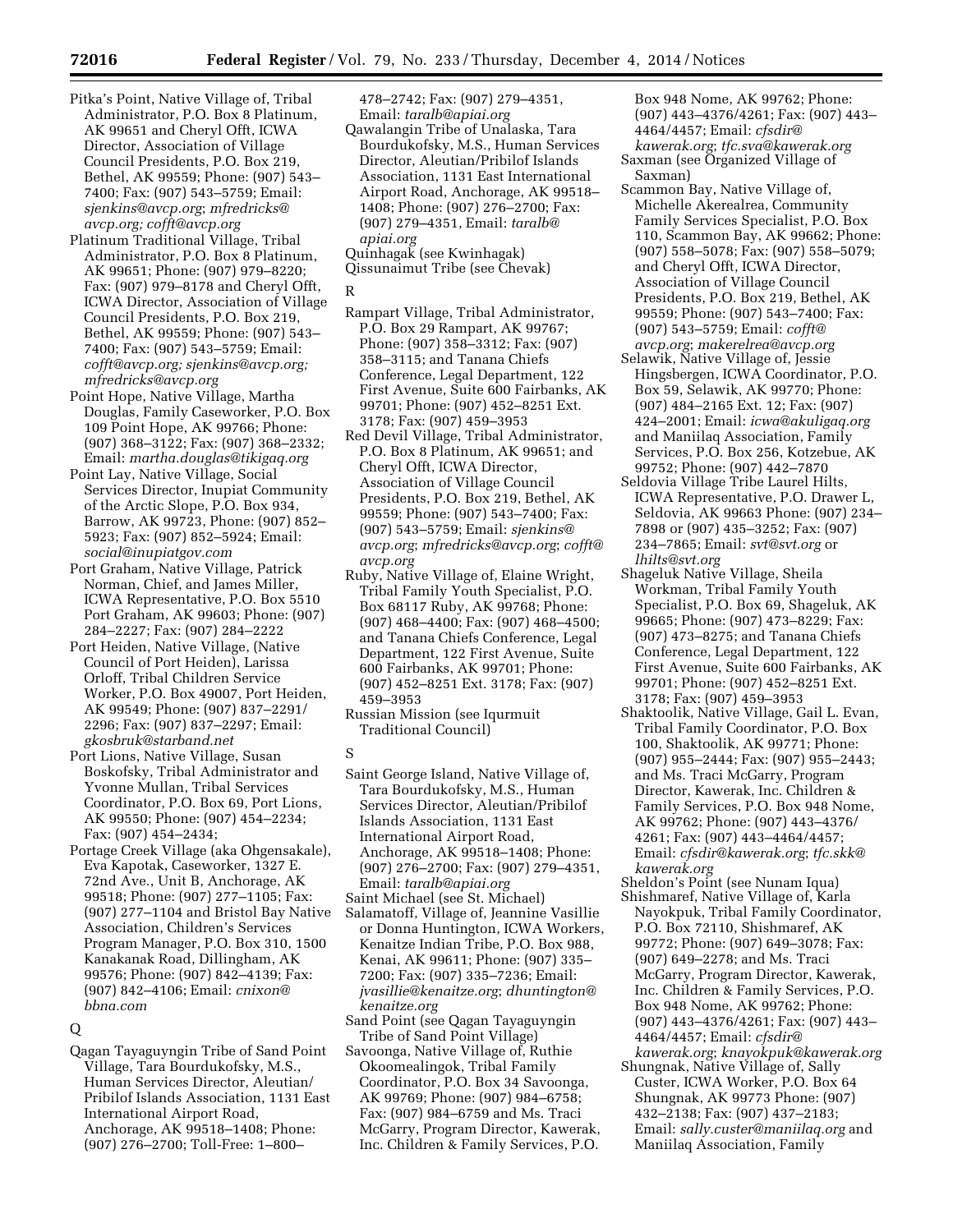- Pitka's Point, Native Village of, Tribal Administrator, P.O. Box 8 Platinum, AK 99651 and Cheryl Offt, ICWA Director, Association of Village Council Presidents, P.O. Box 219, Bethel, AK 99559; Phone: (907) 543– 7400; Fax: (907) 543–5759; Email: *[sjenkins@avcp.org](mailto:sjenkins@avcp.org)*; *[mfredricks@](mailto:mfredricks@avcp.org) [avcp.org;](mailto:mfredricks@avcp.org) [cofft@avcp.org](mailto:cofft@avcp.org)*
- Platinum Traditional Village, Tribal Administrator, P.O. Box 8 Platinum, AK 99651; Phone: (907) 979–8220; Fax: (907) 979–8178 and Cheryl Offt, ICWA Director, Association of Village Council Presidents, P.O. Box 219, Bethel, AK 99559; Phone: (907) 543– 7400; Fax: (907) 543–5759; Email: *[cofft@avcp.org;](mailto:cofft@avcp.org) [sjenkins@avcp.org;](mailto:sjenkins@avcp.org)  [mfredricks@avcp.org](mailto:mfredricks@avcp.org)*
- Point Hope, Native Village, Martha Douglas, Family Caseworker, P.O. Box 109 Point Hope, AK 99766; Phone: (907) 368–3122; Fax: (907) 368–2332; Email: *[martha.douglas@tikigaq.org](mailto:martha.douglas@tikigaq.org)*
- Point Lay, Native Village, Social Services Director, Inupiat Community of the Arctic Slope, P.O. Box 934, Barrow, AK 99723, Phone: (907) 852– 5923; Fax: (907) 852–5924; Email: *[social@inupiatgov.com](mailto:social@inupiatgov.com)*
- Port Graham, Native Village, Patrick Norman, Chief, and James Miller, ICWA Representative, P.O. Box 5510 Port Graham, AK 99603; Phone: (907) 284–2227; Fax: (907) 284–2222
- Port Heiden, Native Village, (Native Council of Port Heiden), Larissa Orloff, Tribal Children Service Worker, P.O. Box 49007, Port Heiden, AK 99549; Phone: (907) 837–2291/ 2296; Fax: (907) 837–2297; Email: *[gkosbruk@starband.net](mailto:gkosbruk@starband.net)*
- Port Lions, Native Village, Susan Boskofsky, Tribal Administrator and Yvonne Mullan, Tribal Services Coordinator, P.O. Box 69, Port Lions, AK 99550; Phone: (907) 454–2234; Fax: (907) 454–2434;
- Portage Creek Village (aka Ohgensakale), Eva Kapotak, Caseworker, 1327 E. 72nd Ave., Unit B, Anchorage, AK 99518; Phone: (907) 277–1105; Fax: (907) 277–1104 and Bristol Bay Native Association, Children's Services Program Manager, P.O. Box 310, 1500 Kanakanak Road, Dillingham, AK 99576; Phone: (907) 842–4139; Fax: (907) 842–4106; Email: *[cnixon@](mailto:cnixon@bbna.com) [bbna.com](mailto:cnixon@bbna.com)*

# Q

Qagan Tayaguyngin Tribe of Sand Point Village, Tara Bourdukofsky, M.S., Human Services Director, Aleutian/ Pribilof Islands Association, 1131 East International Airport Road, Anchorage, AK 99518–1408; Phone: (907) 276–2700; Toll-Free: 1–800–

478–2742; Fax: (907) 279–4351, Email: *[taralb@apiai.org](mailto:taralb@apiai.org)* 

Qawalangin Tribe of Unalaska, Tara Bourdukofsky, M.S., Human Services Director, Aleutian/Pribilof Islands Association, 1131 East International Airport Road, Anchorage, AK 99518– 1408; Phone: (907) 276–2700; Fax: (907) 279–4351, Email: *[taralb@](mailto:taralb@apiai.org) [apiai.org](mailto:taralb@apiai.org)* 

Quinhagak (see Kwinhagak) Qissunaimut Tribe (see Chevak)

## R

- Rampart Village, Tribal Administrator, P.O. Box 29 Rampart, AK 99767; Phone: (907) 358–3312; Fax: (907) 358–3115; and Tanana Chiefs Conference, Legal Department, 122 First Avenue, Suite 600 Fairbanks, AK 99701; Phone: (907) 452–8251 Ext. 3178; Fax: (907) 459–3953
- Red Devil Village, Tribal Administrator, P.O. Box 8 Platinum, AK 99651; and Cheryl Offt, ICWA Director, Association of Village Council Presidents, P.O. Box 219, Bethel, AK 99559; Phone: (907) 543–7400; Fax: (907) 543–5759; Email: *[sjenkins@](mailto:sjenkins@avcp.org) [avcp.org](mailto:sjenkins@avcp.org)*; *[mfredricks@avcp.org](mailto:mfredricks@avcp.org)*; *[cofft@](mailto:cofft@avcp.org) [avcp.org](mailto:cofft@avcp.org)*
- Ruby, Native Village of, Elaine Wright, Tribal Family Youth Specialist, P.O. Box 68117 Ruby, AK 99768; Phone: (907) 468–4400; Fax: (907) 468–4500; and Tanana Chiefs Conference, Legal Department, 122 First Avenue, Suite 600 Fairbanks, AK 99701; Phone: (907) 452–8251 Ext. 3178; Fax: (907) 459–3953
- Russian Mission (see Iqurmuit Traditional Council)
- S
- Saint George Island, Native Village of, Tara Bourdukofsky, M.S., Human Services Director, Aleutian/Pribilof Islands Association, 1131 East International Airport Road, Anchorage, AK 99518–1408; Phone: (907) 276–2700; Fax: (907) 279–4351, Email: *[taralb@apiai.org](mailto:taralb@apiai.org)*
- Saint Michael (see St. Michael)
- Salamatoff, Village of, Jeannine Vasillie or Donna Huntington, ICWA Workers, Kenaitze Indian Tribe, P.O. Box 988, Kenai, AK 99611; Phone: (907) 335– 7200; Fax: (907) 335–7236; Email: *[jvasillie@kenaitze.org](mailto:jvasillie@kenaitze.org)*; *[dhuntington@](mailto:dhuntington@kenaitze.org) [kenaitze.org](mailto:dhuntington@kenaitze.org)*
- Sand Point (see Qagan Tayaguyngin Tribe of Sand Point Village)
- Savoonga, Native Village of, Ruthie Okoomealingok, Tribal Family Coordinator, P.O. Box 34 Savoonga, AK 99769; Phone: (907) 984–6758; Fax: (907) 984–6759 and Ms. Traci McGarry, Program Director, Kawerak, Inc. Children & Family Services, P.O.

Box 948 Nome, AK 99762; Phone: (907) 443–4376/4261; Fax: (907) 443– 4464/4457; Email: *[cfsdir@](mailto:cfsdir@kawerak.org) [kawerak.org](mailto:cfsdir@kawerak.org)*; *[tfc.sva@kawerak.org](mailto:tfc.sva@kawerak.org)*  Saxman (see Organized Village of

- Saxman) Scammon Bay, Native Village of, Michelle Akerealrea, Community Family Services Specialist, P.O. Box 110, Scammon Bay, AK 99662; Phone: (907) 558–5078; Fax: (907) 558–5079; and Cheryl Offt, ICWA Director, Association of Village Council Presidents, P.O. Box 219, Bethel, AK 99559; Phone: (907) 543–7400; Fax: (907) 543–5759; Email: *[cofft@](mailto:cofft@avcp.org) [avcp.org](mailto:cofft@avcp.org)*; *[makerelrea@avcp.org](mailto:makerelrea@avcp.org)*
- Selawik, Native Village of, Jessie Hingsbergen, ICWA Coordinator, P.O. Box 59, Selawik, AK 99770; Phone: (907) 484–2165 Ext. 12; Fax: (907) 424–2001; Email: *[icwa@akuligaq.org](mailto:icwa@akuligaq.org)*  and Maniilaq Association, Family Services, P.O. Box 256, Kotzebue, AK 99752; Phone: (907) 442–7870
- Seldovia Village Tribe Laurel Hilts, ICWA Representative, P.O. Drawer L, Seldovia, AK 99663 Phone: (907) 234– 7898 or (907) 435–3252; Fax: (907) 234–7865; Email: *[svt@svt.org](mailto:svt@svt.org)* or *[lhilts@svt.org](mailto:lhilts@svt.org)*
- Shageluk Native Village, Sheila Workman, Tribal Family Youth Specialist, P.O. Box 69, Shageluk, AK 99665; Phone: (907) 473–8229; Fax: (907) 473–8275; and Tanana Chiefs Conference, Legal Department, 122 First Avenue, Suite 600 Fairbanks, AK 99701; Phone: (907) 452–8251 Ext. 3178; Fax: (907) 459–3953
- Shaktoolik, Native Village, Gail L. Evan, Tribal Family Coordinator, P.O. Box 100, Shaktoolik, AK 99771; Phone: (907) 955–2444; Fax: (907) 955–2443; and Ms. Traci McGarry, Program Director, Kawerak, Inc. Children & Family Services, P.O. Box 948 Nome, AK 99762; Phone: (907) 443–4376/ 4261; Fax: (907) 443–4464/4457; Email: *[cfsdir@kawerak.org](mailto:cfsdir@kawerak.org)*; *[tfc.skk@](mailto:tfc.skk@kawerak.org) [kawerak.org](mailto:tfc.skk@kawerak.org)*
- Sheldon's Point (see Nunam Iqua) Shishmaref, Native Village of, Karla Nayokpuk, Tribal Family Coordinator, P.O. Box 72110, Shishmaref, AK 99772; Phone: (907) 649–3078; Fax: (907) 649–2278; and Ms. Traci McGarry, Program Director, Kawerak, Inc. Children & Family Services, P.O. Box 948 Nome, AK 99762; Phone: (907) 443–4376/4261; Fax: (907) 443– 4464/4457; Email: *[cfsdir@](mailto:cfsdir@kawerak.org) [kawerak.org](mailto:cfsdir@kawerak.org)*; *[knayokpuk@kawerak.org](mailto:knayokpuk@kawerak.org)*
- Shungnak, Native Village of, Sally Custer, ICWA Worker, P.O. Box 64 Shungnak, AK 99773 Phone: (907) 432–2138; Fax: (907) 437–2183; Email: *[sally.custer@maniilaq.org](mailto:sally.custer@maniilaq.org)* and Maniilaq Association, Family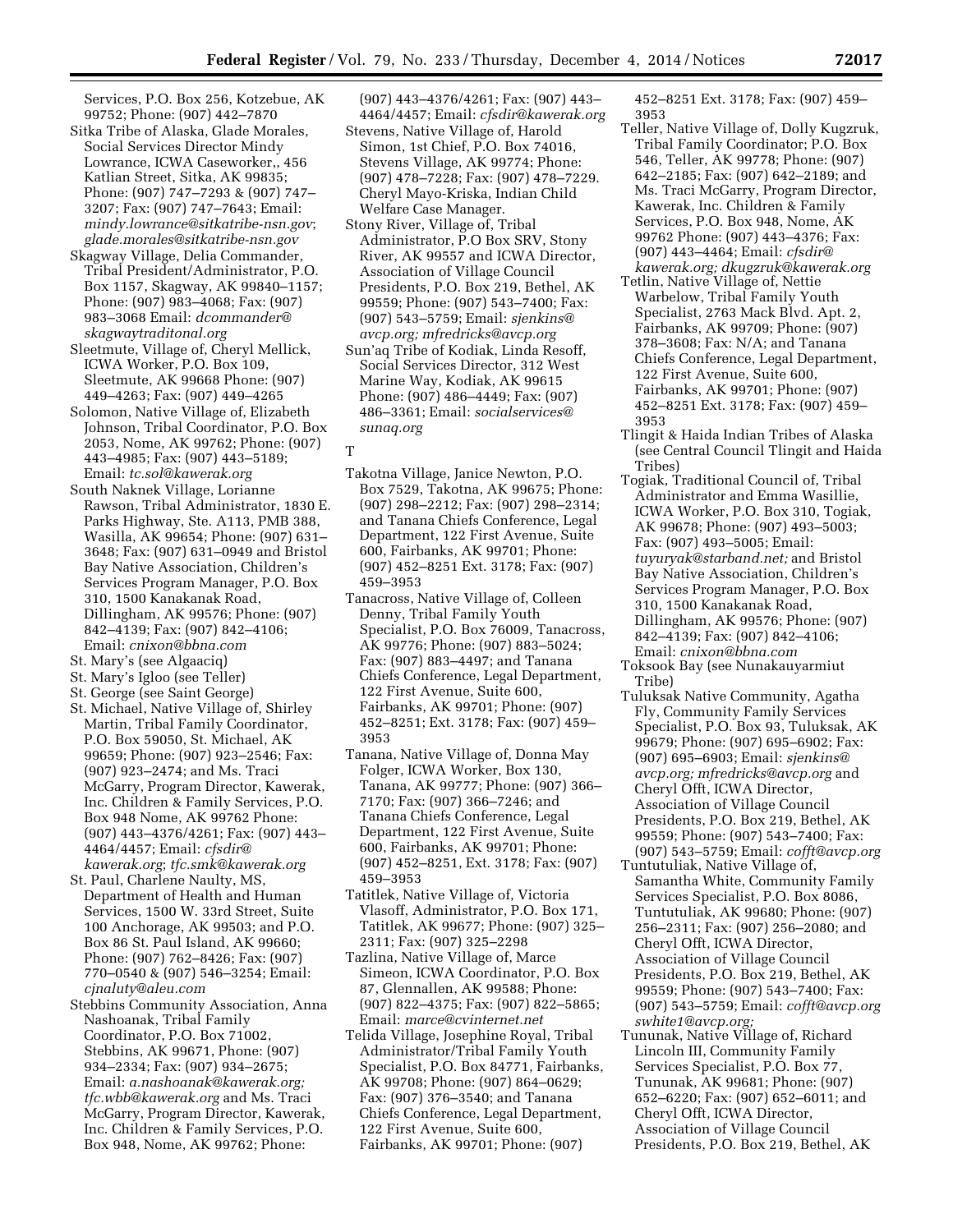Services, P.O. Box 256, Kotzebue, AK 99752; Phone: (907) 442–7870

- Sitka Tribe of Alaska, Glade Morales, Social Services Director Mindy Lowrance, ICWA Caseworker,, 456 Katlian Street, Sitka, AK 99835; Phone: (907) 747–7293 & (907) 747– 3207; Fax: (907) 747–7643; Email: *[mindy.lowrance@sitkatribe-nsn.gov](mailto:mindy.lowrance@sitkatribe-nsn.gov)*; *[glade.morales@sitkatribe-nsn.gov](mailto:glade.morales@sitkatribe-nsn.gov)*
- Skagway Village, Delia Commander, Tribal President/Administrator, P.O. Box 1157, Skagway, AK 99840–1157; Phone: (907) 983–4068; Fax: (907) 983–3068 Email: *[dcommander@](mailto:dcommander@skagwaytraditonal.org) [skagwaytraditonal.org](mailto:dcommander@skagwaytraditonal.org)*
- Sleetmute, Village of, Cheryl Mellick, ICWA Worker, P.O. Box 109, Sleetmute, AK 99668 Phone: (907) 449–4263; Fax: (907) 449–4265
- Solomon, Native Village of, Elizabeth Johnson, Tribal Coordinator, P.O. Box 2053, Nome, AK 99762; Phone: (907) 443–4985; Fax: (907) 443–5189; Email: *[tc.sol@kawerak.org](mailto:tc.sol@kawerak.org)*
- South Naknek Village, Lorianne Rawson, Tribal Administrator, 1830 E. Parks Highway, Ste. A113, PMB 388, Wasilla, AK 99654; Phone: (907) 631– 3648; Fax: (907) 631–0949 and Bristol Bay Native Association, Children's Services Program Manager, P.O. Box 310, 1500 Kanakanak Road, Dillingham, AK 99576; Phone: (907) 842–4139; Fax: (907) 842–4106; Email: *[cnixon@bbna.com](mailto:cnixon@bbna.com)*
- St. Mary's (see Algaaciq)
- St. Mary's Igloo (see Teller)
- St. George (see Saint George)
- St. Michael, Native Village of, Shirley Martin, Tribal Family Coordinator, P.O. Box 59050, St. Michael, AK 99659; Phone: (907) 923–2546; Fax: (907) 923–2474; and Ms. Traci McGarry, Program Director, Kawerak, Inc. Children & Family Services, P.O. Box 948 Nome, AK 99762 Phone: (907) 443–4376/4261; Fax: (907) 443– 4464/4457; Email: *[cfsdir@](mailto:cfsdir@kawerak.org) [kawerak.org](mailto:cfsdir@kawerak.org)*; *[tfc.smk@kawerak.org](mailto:tfc.smk@kawerak.org)*
- St. Paul, Charlene Naulty, MS, Department of Health and Human Services, 1500 W. 33rd Street, Suite 100 Anchorage, AK 99503; and P.O. Box 86 St. Paul Island, AK 99660; Phone: (907) 762–8426; Fax: (907) 770–0540 & (907) 546–3254; Email: *[cjnaluty@aleu.com](mailto:cjnaluty@aleu.com)*
- Stebbins Community Association, Anna Nashoanak, Tribal Family Coordinator, P.O. Box 71002, Stebbins, AK 99671, Phone: (907) 934–2334; Fax: (907) 934–2675; Email: *[a.nashoanak@kawerak.org;](mailto:a.nashoanak@kawerak.org)  [tfc.wbb@kawerak.org](mailto:tfc.wbb@kawerak.org)* and Ms. Traci McGarry, Program Director, Kawerak, Inc. Children & Family Services, P.O. Box 948, Nome, AK 99762; Phone:

(907) 443–4376/4261; Fax: (907) 443– 4464/4457; Email: *[cfsdir@kawerak.org](mailto:cfsdir@kawerak.org)* 

- Stevens, Native Village of, Harold Simon, 1st Chief, P.O. Box 74016, Stevens Village, AK 99774; Phone: (907) 478–7228; Fax: (907) 478–7229. Cheryl Mayo-Kriska, Indian Child Welfare Case Manager.
- Stony River, Village of, Tribal Administrator, P.O Box SRV, Stony River, AK 99557 and ICWA Director, Association of Village Council Presidents, P.O. Box 219, Bethel, AK 99559; Phone: (907) 543–7400; Fax: (907) 543–5759; Email: *[sjenkins@](mailto:sjenkins@avcp.org) [avcp.org;](mailto:sjenkins@avcp.org) [mfredricks@avcp.org](mailto:mfredricks@avcp.org)*
- Sun'aq Tribe of Kodiak, Linda Resoff, Social Services Director, 312 West Marine Way, Kodiak, AK 99615 Phone: (907) 486–4449; Fax: (907) 486–3361; Email: *[socialservices@](mailto:socialservices@sunaq.org) [sunaq.org](mailto:socialservices@sunaq.org)*
- T
- Takotna Village, Janice Newton, P.O. Box 7529, Takotna, AK 99675; Phone: (907) 298–2212; Fax: (907) 298–2314; and Tanana Chiefs Conference, Legal Department, 122 First Avenue, Suite 600, Fairbanks, AK 99701; Phone: (907) 452–8251 Ext. 3178; Fax: (907) 459–3953
- Tanacross, Native Village of, Colleen Denny, Tribal Family Youth Specialist, P.O. Box 76009, Tanacross, AK 99776; Phone: (907) 883–5024; Fax: (907) 883–4497; and Tanana Chiefs Conference, Legal Department, 122 First Avenue, Suite 600, Fairbanks, AK 99701; Phone: (907) 452–8251; Ext. 3178; Fax: (907) 459– 3953
- Tanana, Native Village of, Donna May Folger, ICWA Worker, Box 130, Tanana, AK 99777; Phone: (907) 366– 7170; Fax: (907) 366–7246; and Tanana Chiefs Conference, Legal Department, 122 First Avenue, Suite 600, Fairbanks, AK 99701; Phone: (907) 452–8251, Ext. 3178; Fax: (907) 459–3953
- Tatitlek, Native Village of, Victoria Vlasoff, Administrator, P.O. Box 171, Tatitlek, AK 99677; Phone: (907) 325– 2311; Fax: (907) 325–2298
- Tazlina, Native Village of, Marce Simeon, ICWA Coordinator, P.O. Box 87, Glennallen, AK 99588; Phone: (907) 822–4375; Fax: (907) 822–5865; Email: *[marce@cvinternet.net](mailto:marce@cvinternet.net)*
- Telida Village, Josephine Royal, Tribal Administrator/Tribal Family Youth Specialist, P.O. Box 84771, Fairbanks, AK 99708; Phone: (907) 864–0629; Fax: (907) 376–3540; and Tanana Chiefs Conference, Legal Department, 122 First Avenue, Suite 600, Fairbanks, AK 99701; Phone: (907)

452–8251 Ext. 3178; Fax: (907) 459– 3953

- Teller, Native Village of, Dolly Kugzruk, Tribal Family Coordinator; P.O. Box 546, Teller, AK 99778; Phone: (907) 642–2185; Fax: (907) 642–2189; and Ms. Traci McGarry, Program Director, Kawerak, Inc. Children & Family Services, P.O. Box 948, Nome, AK 99762 Phone: (907) 443–4376; Fax: (907) 443–4464; Email: *[cfsdir@](mailto:cfsdir@kawerak.org) [kawerak.org;](mailto:cfsdir@kawerak.org) [dkugzruk@kawerak.org](mailto:dkugzruk@kawerak.org)*
- Tetlin, Native Village of, Nettie Warbelow, Tribal Family Youth Specialist, 2763 Mack Blvd. Apt. 2, Fairbanks, AK 99709; Phone: (907) 378–3608; Fax: N/A; and Tanana Chiefs Conference, Legal Department, 122 First Avenue, Suite 600, Fairbanks, AK 99701; Phone: (907) 452–8251 Ext. 3178; Fax: (907) 459– 3953
- Tlingit & Haida Indian Tribes of Alaska (see Central Council Tlingit and Haida Tribes)
- Togiak, Traditional Council of, Tribal Administrator and Emma Wasillie, ICWA Worker, P.O. Box 310, Togiak, AK 99678; Phone: (907) 493–5003; Fax: (907) 493–5005; Email: *[tuyuryak@starband.net;](mailto:tuyuryak@starband.net)* and Bristol Bay Native Association, Children's Services Program Manager, P.O. Box 310, 1500 Kanakanak Road, Dillingham, AK 99576; Phone: (907) 842–4139; Fax: (907) 842–4106;
- Email: *[cnixon@bbna.com](mailto:cnixon@bbna.com)*  Toksook Bay (see Nunakauyarmiut Tribe)
- Tuluksak Native Community, Agatha Fly, Community Family Services Specialist, P.O. Box 93, Tuluksak, AK 99679; Phone: (907) 695–6902; Fax: (907) 695–6903; Email: *[sjenkins@](mailto:sjenkins@avcp.org) [avcp.org;](mailto:sjenkins@avcp.org) [mfredricks@avcp.org](mailto:mfredricks@avcp.org)* and Cheryl Offt, ICWA Director, Association of Village Council Presidents, P.O. Box 219, Bethel, AK 99559; Phone: (907) 543–7400; Fax: (907) 543–5759; Email: *[cofft@avcp.org](mailto:cofft@avcp.org)*
- Tuntutuliak, Native Village of, Samantha White, Community Family Services Specialist, P.O. Box 8086, Tuntutuliak, AK 99680; Phone: (907) 256–2311; Fax: (907) 256–2080; and Cheryl Offt, ICWA Director, Association of Village Council Presidents, P.O. Box 219, Bethel, AK 99559; Phone: (907) 543–7400; Fax: (907) 543–5759; Email: *[cofft@avcp.org](mailto:cofft@avcp.org)  [swhite1@avcp.org;](mailto:swhite1@avcp.org)*
- Tununak, Native Village of, Richard Lincoln III, Community Family Services Specialist, P.O. Box 77, Tununak, AK 99681; Phone: (907) 652–6220; Fax: (907) 652–6011; and Cheryl Offt, ICWA Director, Association of Village Council Presidents, P.O. Box 219, Bethel, AK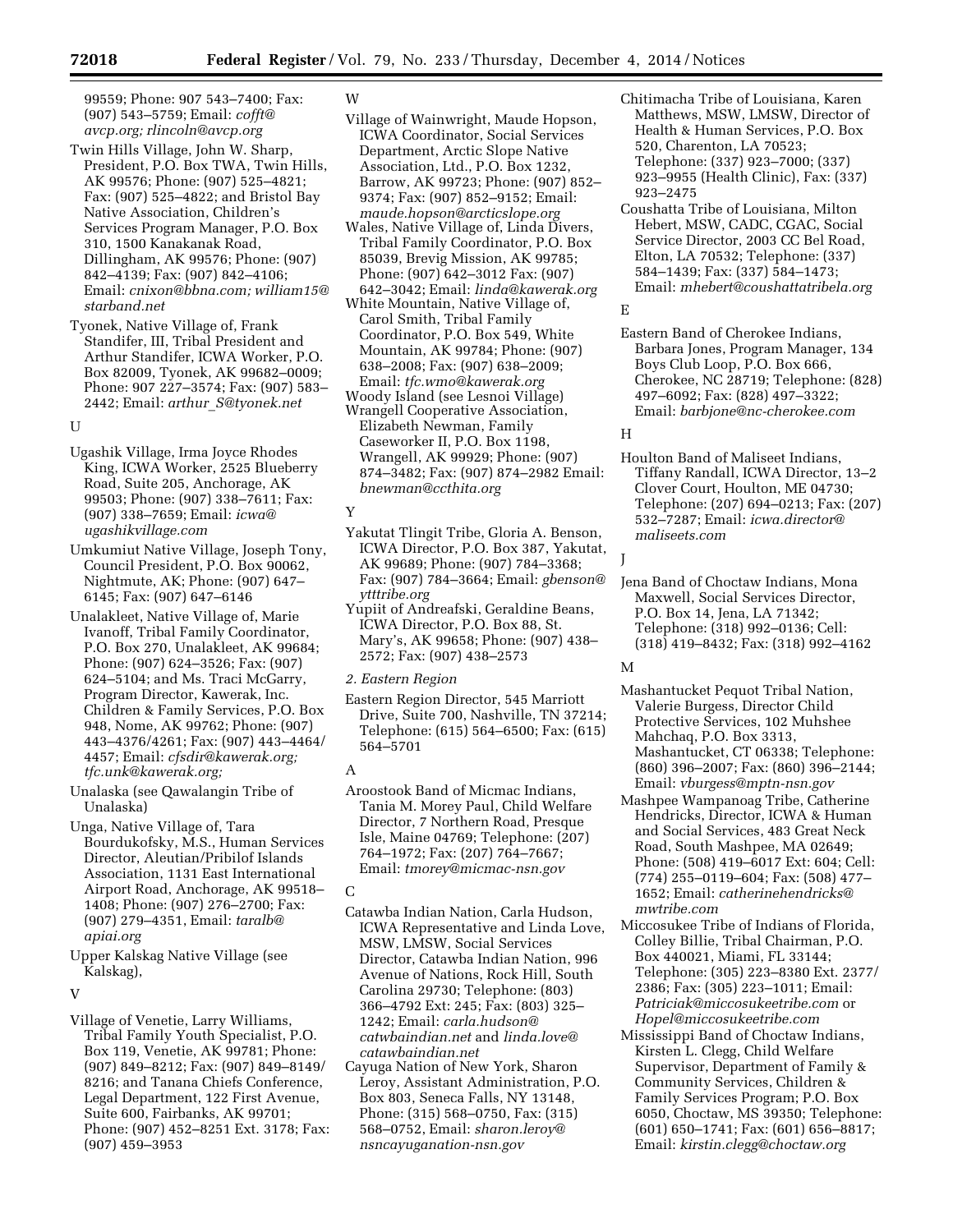99559; Phone: 907 543–7400; Fax: (907) 543–5759; Email: *[cofft@](mailto:cofft@avcp.org) [avcp.org;](mailto:cofft@avcp.org) [rlincoln@avcp.org](mailto:rlincoln@avcp.org)* 

- Twin Hills Village, John W. Sharp, President, P.O. Box TWA, Twin Hills, AK 99576; Phone: (907) 525–4821; Fax: (907) 525–4822; and Bristol Bay Native Association, Children's Services Program Manager, P.O. Box 310, 1500 Kanakanak Road, Dillingham, AK 99576; Phone: (907) 842–4139; Fax: (907) 842–4106; Email: *[cnixon@bbna.com;](mailto:cnixon@bbna.com) [william15@](mailto:william15@starband.net) [starband.net](mailto:william15@starband.net)*
- Tyonek, Native Village of, Frank Standifer, III, Tribal President and Arthur Standifer, ICWA Worker, P.O. Box 82009, Tyonek, AK 99682–0009; Phone: 907 227–3574; Fax: (907) 583– 2442; Email: *arthur*\_*[S@tyonek.net](mailto:arthur_S@tyonek.net)*

#### $U$

Ugashik Village, Irma Joyce Rhodes King, ICWA Worker, 2525 Blueberry Road, Suite 205, Anchorage, AK 99503; Phone: (907) 338–7611; Fax: (907) 338–7659; Email: *[icwa@](mailto:icwa@ugashikvillage.com) [ugashikvillage.com](mailto:icwa@ugashikvillage.com)* 

Umkumiut Native Village, Joseph Tony, Council President, P.O. Box 90062, Nightmute, AK; Phone: (907) 647– 6145; Fax: (907) 647–6146

Unalakleet, Native Village of, Marie Ivanoff, Tribal Family Coordinator, P.O. Box 270, Unalakleet, AK 99684; Phone: (907) 624–3526; Fax: (907) 624–5104; and Ms. Traci McGarry, Program Director, Kawerak, Inc. Children & Family Services, P.O. Box 948, Nome, AK 99762; Phone: (907) 443–4376/4261; Fax: (907) 443–4464/ 4457; Email: *[cfsdir@kawerak.org;](mailto:cfsdir@kawerak.org)  [tfc.unk@kawerak.org;](mailto:tfc.unk@kawerak.org)* 

Unalaska (see Qawalangin Tribe of Unalaska)

Unga, Native Village of, Tara Bourdukofsky, M.S., Human Services Director, Aleutian/Pribilof Islands Association, 1131 East International Airport Road, Anchorage, AK 99518– 1408; Phone: (907) 276–2700; Fax: (907) 279–4351, Email: *[taralb@](mailto:taralb@apiai.org) [apiai.org](mailto:taralb@apiai.org)* 

Upper Kalskag Native Village (see Kalskag),

#### $\mathbf{V}$

Village of Venetie, Larry Williams, Tribal Family Youth Specialist, P.O. Box 119, Venetie, AK 99781; Phone: (907) 849–8212; Fax: (907) 849–8149/ 8216; and Tanana Chiefs Conference, Legal Department, 122 First Avenue, Suite 600, Fairbanks, AK 99701; Phone: (907) 452–8251 Ext. 3178; Fax: (907) 459–3953

## W

- Village of Wainwright, Maude Hopson, ICWA Coordinator, Social Services Department, Arctic Slope Native Association, Ltd., P.O. Box 1232, Barrow, AK 99723; Phone: (907) 852– 9374; Fax: (907) 852–9152; Email: *[maude.hopson@arcticslope.org](mailto:maude.hopson@arcticslope.org)*
- Wales, Native Village of, Linda Divers, Tribal Family Coordinator, P.O. Box 85039, Brevig Mission, AK 99785; Phone: (907) 642–3012 Fax: (907) 642–3042; Email: *[linda@kawerak.org](mailto:linda@kawerak.org)*
- White Mountain, Native Village of, Carol Smith, Tribal Family Coordinator, P.O. Box 549, White Mountain, AK 99784; Phone: (907) 638–2008; Fax: (907) 638–2009; Email: *[tfc.wmo@kawerak.org](mailto:tfc.wmo@kawerak.org)*
- Woody Island (see Lesnoi Village) Wrangell Cooperative Association,
- Elizabeth Newman, Family Caseworker II, P.O. Box 1198, Wrangell, AK 99929; Phone: (907) 874–3482; Fax: (907) 874–2982 Email: *[bnewman@ccthita.org](mailto:bnewman@ccthita.org)*

#### Y

Yakutat Tlingit Tribe, Gloria A. Benson, ICWA Director, P.O. Box 387, Yakutat, AK 99689; Phone: (907) 784–3368; Fax: (907) 784–3664; Email: *[gbenson@](mailto:gbenson@ytttribe.org) [ytttribe.org](mailto:gbenson@ytttribe.org)* 

Yupiit of Andreafski, Geraldine Beans, ICWA Director, P.O. Box 88, St. Mary's, AK 99658; Phone: (907) 438– 2572; Fax: (907) 438–2573

#### *2. Eastern Region*

Eastern Region Director, 545 Marriott Drive, Suite 700, Nashville, TN 37214; Telephone: (615) 564–6500; Fax: (615) 564–5701

#### A

Aroostook Band of Micmac Indians, Tania M. Morey Paul, Child Welfare Director, 7 Northern Road, Presque Isle, Maine 04769; Telephone: (207) 764–1972; Fax: (207) 764–7667; Email: *[tmorey@micmac-nsn.gov](mailto:tmorey@micmac-nsn.gov)* 

#### C

- Catawba Indian Nation, Carla Hudson, ICWA Representative and Linda Love, MSW, LMSW, Social Services Director, Catawba Indian Nation, 996 Avenue of Nations, Rock Hill, South Carolina 29730; Telephone: (803) 366–4792 Ext: 245; Fax: (803) 325– 1242; Email: *[carla.hudson@](mailto:carla.hudson@catwbaindian.net) [catwbaindian.net](mailto:carla.hudson@catwbaindian.net)* and *[linda.love@](mailto:linda.love@catawbaindian.net) [catawbaindian.net](mailto:linda.love@catawbaindian.net)*
- Cayuga Nation of New York, Sharon Leroy, Assistant Administration, P.O. Box 803, Seneca Falls, NY 13148, Phone: (315) 568–0750, Fax: (315) 568–0752, Email: *[sharon.leroy@](mailto:sharon.leroy@nsncayuganation-nsn.gov) [nsncayuganation-nsn.gov](mailto:sharon.leroy@nsncayuganation-nsn.gov)*
- Chitimacha Tribe of Louisiana, Karen Matthews, MSW, LMSW, Director of Health & Human Services, P.O. Box 520, Charenton, LA 70523; Telephone: (337) 923–7000; (337) 923–9955 (Health Clinic), Fax: (337) 923–2475
- Coushatta Tribe of Louisiana, Milton Hebert, MSW, CADC, CGAC, Social Service Director, 2003 CC Bel Road, Elton, LA 70532; Telephone: (337) 584–1439; Fax: (337) 584–1473; Email: *[mhebert@coushattatribela.org](mailto:mhebert@coushattatribela.org)*

#### E

Eastern Band of Cherokee Indians, Barbara Jones, Program Manager, 134 Boys Club Loop, P.O. Box 666, Cherokee, NC 28719; Telephone: (828) 497–6092; Fax: (828) 497–3322; Email: *[barbjone@nc-cherokee.com](mailto:barbjone@nc-cherokee.com)* 

# H

Houlton Band of Maliseet Indians, Tiffany Randall, ICWA Director, 13–2 Clover Court, Houlton, ME 04730; Telephone: (207) 694–0213; Fax: (207) 532–7287; Email: *[icwa.director@](mailto:icwa.director@maliseets.com) [maliseets.com](mailto:icwa.director@maliseets.com)* 

#### J

Jena Band of Choctaw Indians, Mona Maxwell, Social Services Director, P.O. Box 14, Jena, LA 71342; Telephone: (318) 992–0136; Cell: (318) 419–8432; Fax: (318) 992–4162

# M

- Mashantucket Pequot Tribal Nation, Valerie Burgess, Director Child Protective Services, 102 Muhshee Mahchaq, P.O. Box 3313, Mashantucket, CT 06338; Telephone: (860) 396–2007; Fax: (860) 396–2144; Email: *[vburgess@mptn-nsn.gov](mailto:vburgess@mptn-nsn.gov)*
- Mashpee Wampanoag Tribe, Catherine Hendricks, Director, ICWA & Human and Social Services, 483 Great Neck Road, South Mashpee, MA 02649; Phone: (508) 419–6017 Ext: 604; Cell: (774) 255–0119–604; Fax: (508) 477– 1652; Email: *[catherinehendricks@](mailto:catherinehendricks@mwtribe.com) [mwtribe.com](mailto:catherinehendricks@mwtribe.com)*
- Miccosukee Tribe of Indians of Florida, Colley Billie, Tribal Chairman, P.O. Box 440021, Miami, FL 33144; Telephone: (305) 223–8380 Ext. 2377/ 2386; Fax: (305) 223–1011; Email: *[Patriciak@miccosukeetribe.com](mailto:Patriciak@miccosukeetribe.com)* or *[Hopel@miccosukeetribe.com](mailto:Hopel@miccosukeetribe.com)*
- Mississippi Band of Choctaw Indians, Kirsten L. Clegg, Child Welfare Supervisor, Department of Family & Community Services, Children & Family Services Program; P.O. Box 6050, Choctaw, MS 39350; Telephone: (601) 650–1741; Fax: (601) 656–8817; Email: *[kirstin.clegg@choctaw.org](mailto:kirstin.clegg@choctaw.org)*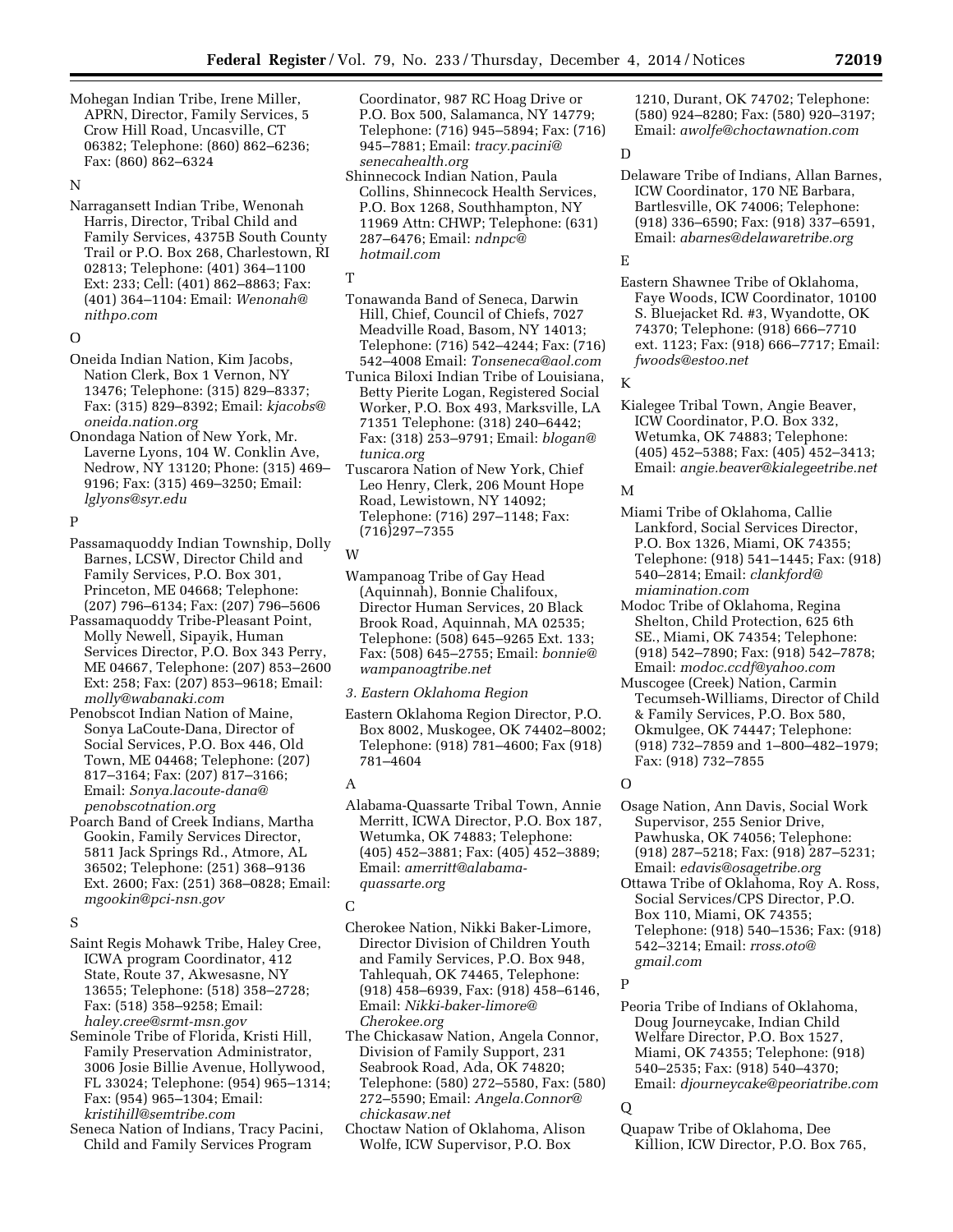Mohegan Indian Tribe, Irene Miller, APRN, Director, Family Services, 5 Crow Hill Road, Uncasville, CT 06382; Telephone: (860) 862–6236; Fax: (860) 862–6324

## N

Narragansett Indian Tribe, Wenonah Harris, Director, Tribal Child and Family Services, 4375B South County Trail or P.O. Box 268, Charlestown, RI 02813; Telephone: (401) 364–1100 Ext: 233; Cell: (401) 862–8863; Fax: (401) 364–1104: Email: *[Wenonah@](mailto:Wenonah@nithpo.com) [nithpo.com](mailto:Wenonah@nithpo.com)* 

#### $\Omega$

- Oneida Indian Nation, Kim Jacobs, Nation Clerk, Box 1 Vernon, NY 13476; Telephone: (315) 829–8337; Fax: (315) 829–8392; Email: *[kjacobs@](mailto:kjacobs@oneida.nation.org) [oneida.nation.org](mailto:kjacobs@oneida.nation.org)*
- Onondaga Nation of New York, Mr. Laverne Lyons, 104 W. Conklin Ave, Nedrow, NY 13120; Phone: (315) 469– 9196; Fax: (315) 469–3250; Email: *[lglyons@syr.edu](mailto:lglyons@syr.edu)*

#### P

- Passamaquoddy Indian Township, Dolly Barnes, LCSW, Director Child and Family Services, P.O. Box 301, Princeton, ME 04668; Telephone: (207) 796–6134; Fax: (207) 796–5606
- Passamaquoddy Tribe-Pleasant Point, Molly Newell, Sipayik, Human Services Director, P.O. Box 343 Perry, ME 04667, Telephone: (207) 853–2600 Ext: 258; Fax: (207) 853–9618; Email: *[molly@wabanaki.com](mailto:molly@wabanaki.com)*
- Penobscot Indian Nation of Maine, Sonya LaCoute-Dana, Director of Social Services, P.O. Box 446, Old Town, ME 04468; Telephone: (207) 817–3164; Fax: (207) 817–3166; Email: *[Sonya.lacoute-dana@](mailto:Sonya.lacoute-dana@penobscotnation.org) [penobscotnation.org](mailto:Sonya.lacoute-dana@penobscotnation.org)*
- Poarch Band of Creek Indians, Martha Gookin, Family Services Director, 5811 Jack Springs Rd., Atmore, AL 36502; Telephone: (251) 368–9136 Ext. 2600; Fax: (251) 368–0828; Email: *[mgookin@pci-nsn.gov](mailto:mgookin@pci-nsn.gov)*

#### S

Saint Regis Mohawk Tribe, Haley Cree, ICWA program Coordinator, 412 State, Route 37, Akwesasne, NY 13655; Telephone: (518) 358–2728; Fax: (518) 358–9258; Email: *[haley.cree@srmt-msn.gov](mailto:haley.cree@srmt-msn.gov)* 

- Seminole Tribe of Florida, Kristi Hill, Family Preservation Administrator, 3006 Josie Billie Avenue, Hollywood, FL 33024; Telephone: (954) 965–1314; Fax: (954) 965–1304; Email: *[kristihill@semtribe.com](mailto:kristihill@semtribe.com)*
- Seneca Nation of Indians, Tracy Pacini, Child and Family Services Program

Coordinator, 987 RC Hoag Drive or P.O. Box 500, Salamanca, NY 14779; Telephone: (716) 945–5894; Fax: (716) 945–7881; Email: *[tracy.pacini@](mailto:tracy.pacini@senecahealth.org) [senecahealth.org](mailto:tracy.pacini@senecahealth.org)* 

Shinnecock Indian Nation, Paula Collins, Shinnecock Health Services, P.O. Box 1268, Southhampton, NY 11969 Attn: CHWP; Telephone: (631) 287–6476; Email: *[ndnpc@](mailto:ndnpc@hotmail.com) [hotmail.com](mailto:ndnpc@hotmail.com)* 

#### T

Tonawanda Band of Seneca, Darwin Hill, Chief, Council of Chiefs, 7027 Meadville Road, Basom, NY 14013; Telephone: (716) 542–4244; Fax: (716) 542–4008 Email: *[Tonseneca@aol.com](mailto:Tonseneca@aol.com)* 

- Tunica Biloxi Indian Tribe of Louisiana, Betty Pierite Logan, Registered Social Worker, P.O. Box 493, Marksville, LA 71351 Telephone: (318) 240–6442; Fax: (318) 253–9791; Email: *[blogan@](mailto:blogan@tunica.org) [tunica.org](mailto:blogan@tunica.org)*
- Tuscarora Nation of New York, Chief Leo Henry, Clerk, 206 Mount Hope Road, Lewistown, NY 14092; Telephone: (716) 297–1148; Fax: (716)297–7355

#### W

Wampanoag Tribe of Gay Head (Aquinnah), Bonnie Chalifoux, Director Human Services, 20 Black Brook Road, Aquinnah, MA 02535; Telephone: (508) 645–9265 Ext. 133; Fax: (508) 645–2755; Email: *[bonnie@](mailto:bonnie@wampanoagtribe.net) [wampanoagtribe.net](mailto:bonnie@wampanoagtribe.net)* 

# *3. Eastern Oklahoma Region*

Eastern Oklahoma Region Director, P.O. Box 8002, Muskogee, OK 74402–8002; Telephone: (918) 781–4600; Fax (918) 781–4604

### A

Alabama-Quassarte Tribal Town, Annie Merritt, ICWA Director, P.O. Box 187, Wetumka, OK 74883; Telephone: (405) 452–3881; Fax: (405) 452–3889; Email: *[amerritt@alabama](mailto:amerritt@alabama-quassarte.org)[quassarte.org](mailto:amerritt@alabama-quassarte.org)* 

#### $\mathsf{C}$

- Cherokee Nation, Nikki Baker-Limore, Director Division of Children Youth and Family Services, P.O. Box 948, Tahlequah, OK 74465, Telephone: (918) 458–6939, Fax: (918) 458–6146, Email: *[Nikki-baker-limore@](mailto:Nikki-baker-limore@Cherokee.org) [Cherokee.org](mailto:Nikki-baker-limore@Cherokee.org)*
- The Chickasaw Nation, Angela Connor, Division of Family Support, 231 Seabrook Road, Ada, OK 74820; Telephone: (580) 272–5580, Fax: (580) 272–5590; Email: *[Angela.Connor@](mailto:Angela.Connor@chickasaw.net) [chickasaw.net](mailto:Angela.Connor@chickasaw.net)*
- Choctaw Nation of Oklahoma, Alison Wolfe, ICW Supervisor, P.O. Box

1210, Durant, OK 74702; Telephone: (580) 924–8280; Fax: (580) 920–3197; Email: *[awolfe@choctawnation.com](mailto:awolfe@choctawnation.com)* 

# D

Delaware Tribe of Indians, Allan Barnes, ICW Coordinator, 170 NE Barbara, Bartlesville, OK 74006; Telephone: (918) 336–6590; Fax: (918) 337–6591, Email: *[abarnes@delawaretribe.org](mailto:abarnes@delawaretribe.org)* 

# E

Eastern Shawnee Tribe of Oklahoma, Faye Woods, ICW Coordinator, 10100 S. Bluejacket Rd. #3, Wyandotte, OK 74370; Telephone: (918) 666–7710 ext. 1123; Fax: (918) 666–7717; Email: *[fwoods@estoo.net](mailto:fwoods@estoo.net)* 

# K

Kialegee Tribal Town, Angie Beaver, ICW Coordinator, P.O. Box 332, Wetumka, OK 74883; Telephone: (405) 452–5388; Fax: (405) 452–3413; Email: *[angie.beaver@kialegeetribe.net](mailto:angie.beaver@kialegeetribe.net)* 

## M

- Miami Tribe of Oklahoma, Callie Lankford, Social Services Director, P.O. Box 1326, Miami, OK 74355; Telephone: (918) 541–1445; Fax: (918) 540–2814; Email: *[clankford@](mailto:clankford@miamination.com) [miamination.com](mailto:clankford@miamination.com)*
- Modoc Tribe of Oklahoma, Regina Shelton, Child Protection, 625 6th SE., Miami, OK 74354; Telephone: (918) 542–7890; Fax: (918) 542–7878; Email: *[modoc.ccdf@yahoo.com](mailto:modoc.ccdf@yahoo.com)*
- Muscogee (Creek) Nation, Carmin Tecumseh-Williams, Director of Child & Family Services, P.O. Box 580, Okmulgee, OK 74447; Telephone: (918) 732–7859 and 1–800–482–1979; Fax: (918) 732–7855

#### $\Omega$

- Osage Nation, Ann Davis, Social Work Supervisor, 255 Senior Drive, Pawhuska, OK 74056; Telephone: (918) 287–5218; Fax: (918) 287–5231; Email: *[edavis@osagetribe.org](mailto:edavis@osagetribe.org)*
- Ottawa Tribe of Oklahoma, Roy A. Ross, Social Services/CPS Director, P.O. Box 110, Miami, OK 74355; Telephone: (918) 540–1536; Fax: (918) 542–3214; Email: *[rross.oto@](mailto:rross.oto@gmail.com) [gmail.com](mailto:rross.oto@gmail.com)*

P

Peoria Tribe of Indians of Oklahoma, Doug Journeycake, Indian Child Welfare Director, P.O. Box 1527, Miami, OK 74355; Telephone: (918) 540–2535; Fax: (918) 540–4370; Email: *[djourneycake@peoriatribe.com](mailto:djourneycake@peoriatribe.com)* 

#### $\Omega$

Quapaw Tribe of Oklahoma, Dee Killion, ICW Director, P.O. Box 765,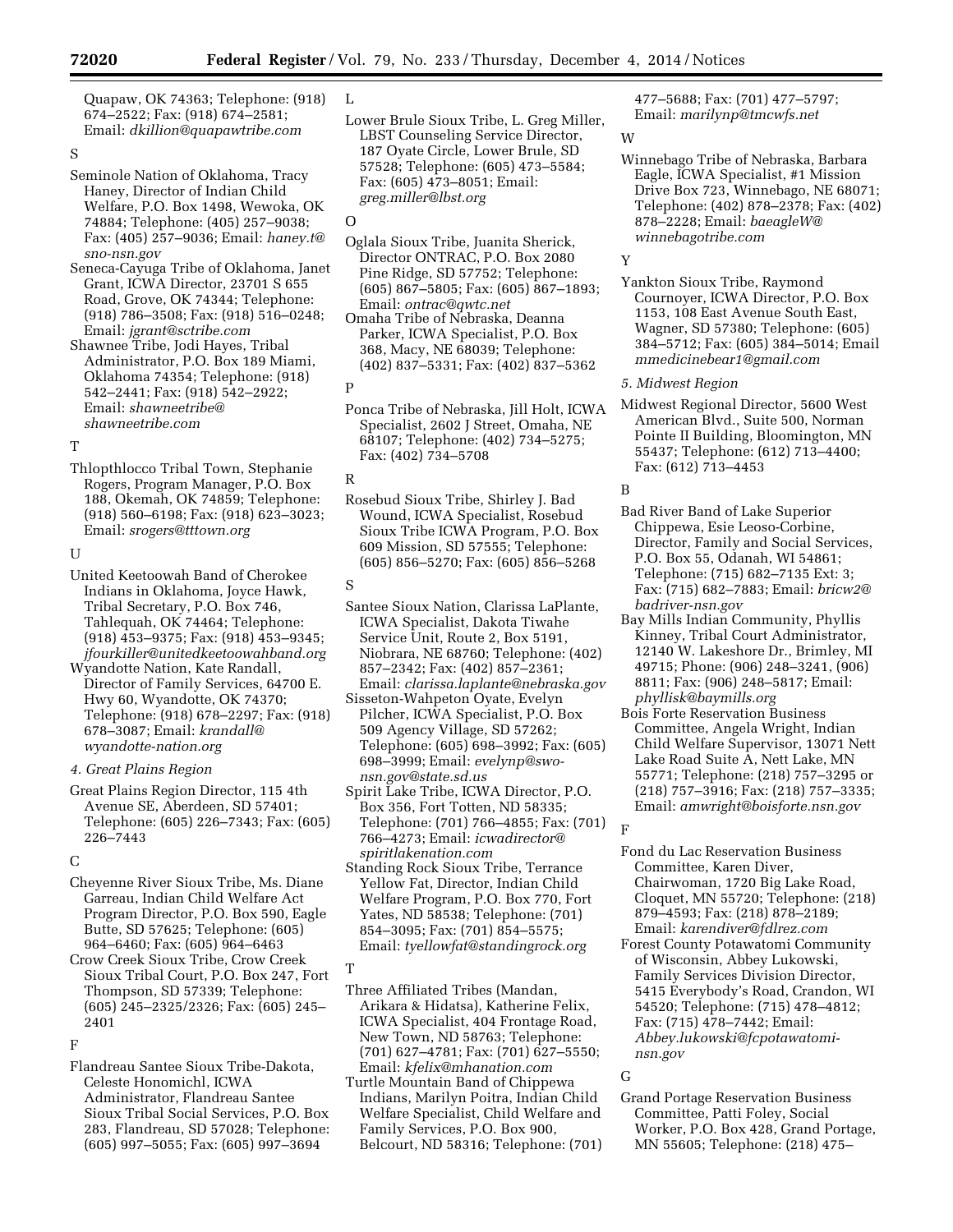Quapaw, OK 74363; Telephone: (918) 674–2522; Fax: (918) 674–2581; Email: *[dkillion@quapawtribe.com](mailto:dkillion@quapawtribe.com)* 

## S

Seminole Nation of Oklahoma, Tracy Haney, Director of Indian Child Welfare, P.O. Box 1498, Wewoka, OK 74884; Telephone: (405) 257–9038; Fax: (405) 257–9036; Email: *[haney.t@](mailto:haney.t@sno-nsn.gov) [sno-nsn.gov](mailto:haney.t@sno-nsn.gov)* 

Seneca-Cayuga Tribe of Oklahoma, Janet Grant, ICWA Director, 23701 S 655 Road, Grove, OK 74344; Telephone: (918) 786–3508; Fax: (918) 516–0248; Email: *[jgrant@sctribe.com](mailto:jgrant@sctribe.com)* 

Shawnee Tribe, Jodi Hayes, Tribal Administrator, P.O. Box 189 Miami, Oklahoma 74354; Telephone: (918) 542–2441; Fax: (918) 542–2922; Email: *[shawneetribe@](mailto:shawneetribe@shawneetribe.com) [shawneetribe.com](mailto:shawneetribe@shawneetribe.com)* 

#### T

Thlopthlocco Tribal Town, Stephanie Rogers, Program Manager, P.O. Box 188, Okemah, OK 74859; Telephone: (918) 560–6198; Fax: (918) 623–3023; Email: *[srogers@tttown.org](mailto:srogers@tttown.org)* 

#### $\mathbf{I}$

United Keetoowah Band of Cherokee Indians in Oklahoma, Joyce Hawk, Tribal Secretary, P.O. Box 746, Tahlequah, OK 74464; Telephone: (918) 453–9375; Fax: (918) 453–9345; *[jfourkiller@unitedkeetoowahband.org](mailto:jfourkiller@unitedkeetoowahband.org)* 

Wyandotte Nation, Kate Randall, Director of Family Services, 64700 E. Hwy 60, Wyandotte, OK 74370; Telephone: (918) 678–2297; Fax: (918) 678–3087; Email: *[krandall@](mailto:krandall@wyandotte-nation.org) [wyandotte-nation.org](mailto:krandall@wyandotte-nation.org)* 

#### *4. Great Plains Region*

Great Plains Region Director, 115 4th Avenue SE, Aberdeen, SD 57401; Telephone: (605) 226–7343; Fax: (605) 226–7443

#### $\mathcal{C}$

Cheyenne River Sioux Tribe, Ms. Diane Garreau, Indian Child Welfare Act Program Director, P.O. Box 590, Eagle Butte, SD 57625; Telephone: (605) 964–6460; Fax: (605) 964–6463

Crow Creek Sioux Tribe, Crow Creek Sioux Tribal Court, P.O. Box 247, Fort Thompson, SD 57339; Telephone: (605) 245–2325/2326; Fax: (605) 245– 2401

#### F

Flandreau Santee Sioux Tribe-Dakota, Celeste Honomichl, ICWA Administrator, Flandreau Santee Sioux Tribal Social Services, P.O. Box 283, Flandreau, SD 57028; Telephone: (605) 997–5055; Fax: (605) 997–3694

## $\mathbf{I}$ .

Lower Brule Sioux Tribe, L. Greg Miller, LBST Counseling Service Director, 187 Oyate Circle, Lower Brule, SD 57528; Telephone: (605) 473–5584; Fax: (605) 473–8051; Email: *[greg.miller@lbst.org](mailto:greg.miller@lbst.org)* 

#### O

- Oglala Sioux Tribe, Juanita Sherick, Director ONTRAC, P.O. Box 2080 Pine Ridge, SD 57752; Telephone: (605) 867–5805; Fax: (605) 867–1893; Email: *[ontrac@qwtc.net](mailto:ontrac@qwtc.net)*
- Omaha Tribe of Nebraska, Deanna Parker, ICWA Specialist, P.O. Box 368, Macy, NE 68039; Telephone: (402) 837–5331; Fax: (402) 837–5362

# P

Ponca Tribe of Nebraska, Jill Holt, ICWA Specialist, 2602 J Street, Omaha, NE 68107; Telephone: (402) 734–5275; Fax: (402) 734–5708

#### R

Rosebud Sioux Tribe, Shirley J. Bad Wound, ICWA Specialist, Rosebud Sioux Tribe ICWA Program, P.O. Box 609 Mission, SD 57555; Telephone: (605) 856–5270; Fax: (605) 856–5268

## S

- Santee Sioux Nation, Clarissa LaPlante, ICWA Specialist, Dakota Tiwahe Service Unit, Route 2, Box 5191, Niobrara, NE 68760; Telephone: (402) 857–2342; Fax: (402) 857–2361; Email: *[clarissa.laplante@nebraska.gov](mailto:clarissa.laplante@nebraska.gov)*
- Sisseton-Wahpeton Oyate, Evelyn Pilcher, ICWA Specialist, P.O. Box 509 Agency Village, SD 57262; Telephone: (605) 698–3992; Fax: (605) 698–3999; Email: *[evelynp@swo](mailto:evelynp@swo-nsn.gov@state.sd.us)[nsn.gov@state.sd.us](mailto:evelynp@swo-nsn.gov@state.sd.us)*
- Spirit Lake Tribe, ICWA Director, P.O. Box 356, Fort Totten, ND 58335; Telephone: (701) 766–4855; Fax: (701) 766–4273; Email: *[icwadirector@](mailto:icwadirector@spiritlakenation.com) [spiritlakenation.com](mailto:icwadirector@spiritlakenation.com)*
- Standing Rock Sioux Tribe, Terrance Yellow Fat, Director, Indian Child Welfare Program, P.O. Box 770, Fort Yates, ND 58538; Telephone: (701) 854–3095; Fax: (701) 854–5575; Email: *[tyellowfat@standingrock.org](mailto:tyellowfat@standingrock.org)*

# T

- Three Affiliated Tribes (Mandan, Arikara & Hidatsa), Katherine Felix, ICWA Specialist, 404 Frontage Road, New Town, ND 58763; Telephone: (701) 627–4781; Fax: (701) 627–5550; Email: *[kfelix@mhanation.com](mailto:kfelix@mhanation.com)*
- Turtle Mountain Band of Chippewa Indians, Marilyn Poitra, Indian Child Welfare Specialist, Child Welfare and Family Services, P.O. Box 900, Belcourt, ND 58316; Telephone: (701)

# 477–5688; Fax: (701) 477–5797; Email: *[marilynp@tmcwfs.net](mailto:marilynp@tmcwfs.net)*

#### W

Winnebago Tribe of Nebraska, Barbara Eagle, ICWA Specialist, #1 Mission Drive Box 723, Winnebago, NE 68071; Telephone: (402) 878–2378; Fax: (402) 878–2228; Email: *[baeagleW@](mailto:baeagleW@winnebagotribe.com) [winnebagotribe.com](mailto:baeagleW@winnebagotribe.com)* 

# Y

Yankton Sioux Tribe, Raymond Cournoyer, ICWA Director, P.O. Box 1153, 108 East Avenue South East, Wagner, SD 57380; Telephone: (605) 384–5712; Fax: (605) 384–5014; Email *[mmedicinebear1@gmail.com](mailto:mmedicinebear1@gmail.com)* 

# *5. Midwest Region*

Midwest Regional Director, 5600 West American Blvd., Suite 500, Norman Pointe II Building, Bloomington, MN 55437; Telephone: (612) 713–4400; Fax: (612) 713–4453

# B

- Bad River Band of Lake Superior Chippewa, Esie Leoso-Corbine, Director, Family and Social Services, P.O. Box 55, Odanah, WI 54861; Telephone: (715) 682–7135 Ext: 3; Fax: (715) 682–7883; Email: *[bricw2@](mailto:bricw2@badriver-nsn.gov) [badriver-nsn.gov](mailto:bricw2@badriver-nsn.gov)*
- Bay Mills Indian Community, Phyllis Kinney, Tribal Court Administrator, 12140 W. Lakeshore Dr., Brimley, MI 49715; Phone: (906) 248–3241, (906) 8811; Fax: (906) 248–5817; Email: *[phyllisk@baymills.org](mailto:phyllisk@baymills.org)*
- Bois Forte Reservation Business Committee, Angela Wright, Indian Child Welfare Supervisor, 13071 Nett Lake Road Suite A, Nett Lake, MN 55771; Telephone: (218) 757–3295 or (218) 757–3916; Fax: (218) 757–3335; Email: *[amwright@boisforte.nsn.gov](mailto:amwright@boisforte.nsn.gov)*

# Fond du Lac Reservation Business Committee, Karen Diver,

- Chairwoman, 1720 Big Lake Road, Cloquet, MN 55720; Telephone: (218) 879–4593; Fax: (218) 878–2189; Email: *[karendiver@fdlrez.com](mailto:karendiver@fdlrez.com)*
- Forest County Potawatomi Community of Wisconsin, Abbey Lukowski, Family Services Division Director, 5415 Everybody's Road, Crandon, WI 54520; Telephone: (715) 478–4812; Fax: (715) 478–7442; Email: *[Abbey.lukowski@fcpotawatomi](mailto:Abbey.lukowski@fcpotawatomi-nsn.gov)[nsn.gov](mailto:Abbey.lukowski@fcpotawatomi-nsn.gov)*

#### G

F

Grand Portage Reservation Business Committee, Patti Foley, Social Worker, P.O. Box 428, Grand Portage, MN 55605; Telephone: (218) 475–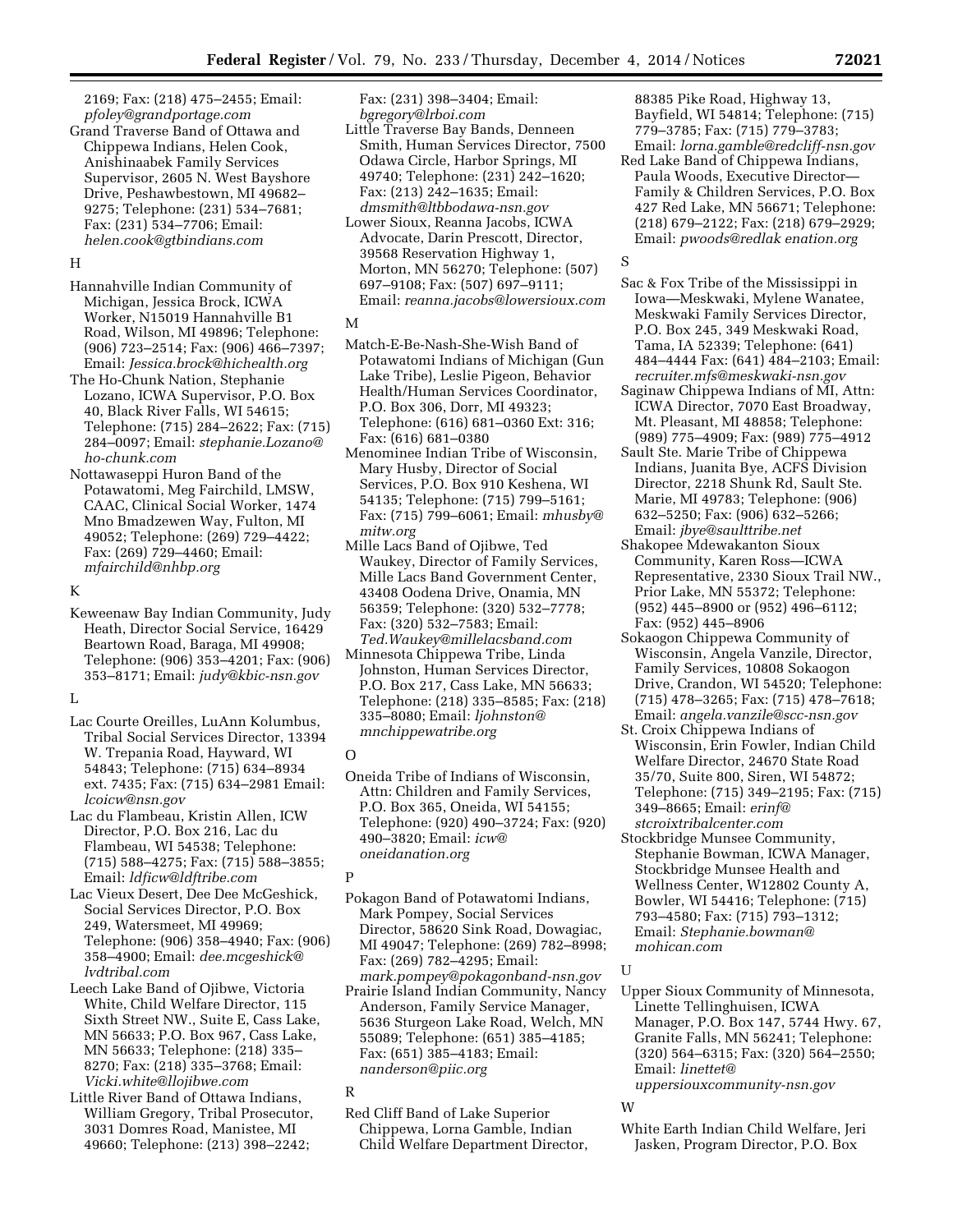2169; Fax: (218) 475–2455; Email: *[pfoley@grandportage.com](mailto:pfoley@grandportage.com)* 

Grand Traverse Band of Ottawa and Chippewa Indians, Helen Cook, Anishinaabek Family Services Supervisor, 2605 N. West Bayshore Drive, Peshawbestown, MI 49682– 9275; Telephone: (231) 534–7681; Fax: (231) 534–7706; Email: *[helen.cook@gtbindians.com](mailto:helen.cook@gtbindians.com)* 

#### H

- Hannahville Indian Community of Michigan, Jessica Brock, ICWA Worker, N15019 Hannahville B1 Road, Wilson, MI 49896; Telephone: (906) 723–2514; Fax: (906) 466–7397; Email: *[Jessica.brock@hichealth.org](mailto:Jessica.brock@hichealth.org)*
- The Ho-Chunk Nation, Stephanie Lozano, ICWA Supervisor, P.O. Box 40, Black River Falls, WI 54615; Telephone: (715) 284–2622; Fax: (715) 284–0097; Email: *[stephanie.Lozano@](mailto:stephanie.Lozano@ho-chunk.com) [ho-chunk.com](mailto:stephanie.Lozano@ho-chunk.com)*
- Nottawaseppi Huron Band of the Potawatomi, Meg Fairchild, LMSW, CAAC, Clinical Social Worker, 1474 Mno Bmadzewen Way, Fulton, MI 49052; Telephone: (269) 729–4422; Fax: (269) 729–4460; Email: *[mfairchild@nhbp.org](mailto:mfairchild@nhbp.org)*

#### K

Keweenaw Bay Indian Community, Judy Heath, Director Social Service, 16429 Beartown Road, Baraga, MI 49908; Telephone: (906) 353–4201; Fax: (906) 353–8171; Email: *[judy@kbic-nsn.gov](mailto:judy@kbic-nsn.gov)* 

## L

- Lac Courte Oreilles, LuAnn Kolumbus, Tribal Social Services Director, 13394 W. Trepania Road, Hayward, WI 54843; Telephone: (715) 634–8934 ext. 7435; Fax: (715) 634–2981 Email: *[lcoicw@nsn.gov](mailto:lcoicw@nsn.gov)*
- Lac du Flambeau, Kristin Allen, ICW Director, P.O. Box 216, Lac du Flambeau, WI 54538; Telephone: (715) 588–4275; Fax: (715) 588–3855; Email: *[ldficw@ldftribe.com](mailto:ldficw@ldftribe.com)*
- Lac Vieux Desert, Dee Dee McGeshick, Social Services Director, P.O. Box 249, Watersmeet, MI 49969; Telephone: (906) 358–4940; Fax: (906) 358–4900; Email: *[dee.mcgeshick@](mailto:dee.mcgeshick@lvdtribal.com) [lvdtribal.com](mailto:dee.mcgeshick@lvdtribal.com)*
- Leech Lake Band of Ojibwe, Victoria White, Child Welfare Director, 115 Sixth Street NW., Suite E, Cass Lake, MN 56633; P.O. Box 967, Cass Lake, MN 56633; Telephone: (218) 335– 8270; Fax: (218) 335–3768; Email: *[Vicki.white@llojibwe.com](mailto:Vicki.white@llojibwe.com)*
- Little River Band of Ottawa Indians, William Gregory, Tribal Prosecutor, 3031 Domres Road, Manistee, MI 49660; Telephone: (213) 398–2242;

Fax: (231) 398–3404; Email: *[bgregory@lrboi.com](mailto:bgregory@lrboi.com)* 

- Little Traverse Bay Bands, Denneen Smith, Human Services Director, 7500 Odawa Circle, Harbor Springs, MI 49740; Telephone: (231) 242–1620; Fax: (213) 242–1635; Email: *[dmsmith@ltbbodawa-nsn.gov](mailto:dmsmith@ltbbodawa-nsn.gov)*
- Lower Sioux, Reanna Jacobs, ICWA Advocate, Darin Prescott, Director, 39568 Reservation Highway 1, Morton, MN 56270; Telephone: (507) 697–9108; Fax: (507) 697–9111; Email: *[reanna.jacobs@lowersioux.com](mailto:reanna.jacobs@lowersioux.com)*

#### M

- Match-E-Be-Nash-She-Wish Band of Potawatomi Indians of Michigan (Gun Lake Tribe), Leslie Pigeon, Behavior Health/Human Services Coordinator, P.O. Box 306, Dorr, MI 49323; Telephone: (616) 681–0360 Ext: 316; Fax: (616) 681–0380
- Menominee Indian Tribe of Wisconsin, Mary Husby, Director of Social Services, P.O. Box 910 Keshena, WI 54135; Telephone: (715) 799–5161; Fax: (715) 799–6061; Email: *[mhusby@](mailto:mhusby@mitw.org) [mitw.org](mailto:mhusby@mitw.org)*
- Mille Lacs Band of Ojibwe, Ted Waukey, Director of Family Services, Mille Lacs Band Government Center, 43408 Oodena Drive, Onamia, MN 56359; Telephone: (320) 532–7778; Fax: (320) 532–7583; Email: *[Ted.Waukey@millelacsband.com](mailto:Ted.Waukey@millelacsband.com)*
- Minnesota Chippewa Tribe, Linda Johnston, Human Services Director, P.O. Box 217, Cass Lake, MN 56633; Telephone: (218) 335–8585; Fax: (218) 335–8080; Email: *[ljohnston@](mailto:ljohnston@mnchippewatribe.org) [mnchippewatribe.org](mailto:ljohnston@mnchippewatribe.org)*

#### O

Oneida Tribe of Indians of Wisconsin, Attn: Children and Family Services, P.O. Box 365, Oneida, WI 54155; Telephone: (920) 490–3724; Fax: (920) 490–3820; Email: *[icw@](mailto:icw@oneidanation.org) [oneidanation.org](mailto:icw@oneidanation.org)* 

#### P

- Pokagon Band of Potawatomi Indians, Mark Pompey, Social Services Director, 58620 Sink Road, Dowagiac, MI 49047; Telephone: (269) 782–8998; Fax: (269) 782–4295; Email: *[mark.pompey@pokagonband-nsn.gov](mailto:mark.pompey@pokagonband-nsn.gov)*
- Prairie Island Indian Community, Nancy Anderson, Family Service Manager, 5636 Sturgeon Lake Road, Welch, MN 55089; Telephone: (651) 385–4185; Fax: (651) 385–4183; Email: *[nanderson@piic.org](mailto:nanderson@piic.org)*

#### R

Red Cliff Band of Lake Superior Chippewa, Lorna Gamble, Indian Child Welfare Department Director, 88385 Pike Road, Highway 13, Bayfield, WI 54814; Telephone: (715) 779–3785; Fax: (715) 779–3783; Email: *[lorna.gamble@redcliff-nsn.gov](mailto:lorna.gamble@redcliff-nsn.gov)* 

Red Lake Band of Chippewa Indians, Paula Woods, Executive Director— Family & Children Services, P.O. Box 427 Red Lake, MN 56671; Telephone: (218) 679–2122; Fax: (218) 679–2929; Email: *[pwoods@redlak enation.org](mailto:pwoods@redlakenation.org)* 

# S

- Sac & Fox Tribe of the Mississippi in Iowa—Meskwaki, Mylene Wanatee, Meskwaki Family Services Director, P.O. Box 245, 349 Meskwaki Road, Tama, IA 52339; Telephone: (641) 484–4444 Fax: (641) 484–2103; Email: *[recruiter.mfs@meskwaki-nsn.gov](mailto:recruiter.mfs@meskwaki-nsn.gov)*
- Saginaw Chippewa Indians of MI, Attn: ICWA Director, 7070 East Broadway, Mt. Pleasant, MI 48858; Telephone: (989) 775–4909; Fax: (989) 775–4912
- Sault Ste. Marie Tribe of Chippewa Indians, Juanita Bye, ACFS Division Director, 2218 Shunk Rd, Sault Ste. Marie, MI 49783; Telephone: (906) 632–5250; Fax: (906) 632–5266; Email: *[jbye@saulttribe.net](mailto:jbye@saulttribe.net)*
- Shakopee Mdewakanton Sioux Community, Karen Ross—ICWA Representative, 2330 Sioux Trail NW., Prior Lake, MN 55372; Telephone: (952) 445–8900 or (952) 496–6112; Fax: (952) 445–8906
- Sokaogon Chippewa Community of Wisconsin, Angela Vanzile, Director, Family Services, 10808 Sokaogon Drive, Crandon, WI 54520; Telephone: (715) 478–3265; Fax: (715) 478–7618; Email: *[angela.vanzile@scc-nsn.gov](mailto:angela.vanzile@scc-nsn.gov)*
- St. Croix Chippewa Indians of Wisconsin, Erin Fowler, Indian Child Welfare Director, 24670 State Road 35/70, Suite 800, Siren, WI 54872; Telephone: (715) 349–2195; Fax: (715) 349–8665; Email: *[erinf@](mailto:erinf@stcroixtribalcenter.com) [stcroixtribalcenter.com](mailto:erinf@stcroixtribalcenter.com)*
- Stockbridge Munsee Community, Stephanie Bowman, ICWA Manager, Stockbridge Munsee Health and Wellness Center, W12802 County A, Bowler, WI 54416; Telephone: (715) 793–4580; Fax: (715) 793–1312; Email: *[Stephanie.bowman@](mailto:Stephanie.bowman@mohican.com) [mohican.com](mailto:Stephanie.bowman@mohican.com)*

#### U

Upper Sioux Community of Minnesota, Linette Tellinghuisen, ICWA Manager, P.O. Box 147, 5744 Hwy. 67, Granite Falls, MN 56241; Telephone: (320) 564–6315; Fax: (320) 564–2550; Email: *[linettet@](mailto:linettet@uppersiouxcommunity-nsn.gov) [uppersiouxcommunity-nsn.gov](mailto:linettet@uppersiouxcommunity-nsn.gov)* 

### W

White Earth Indian Child Welfare, Jeri Jasken, Program Director, P.O. Box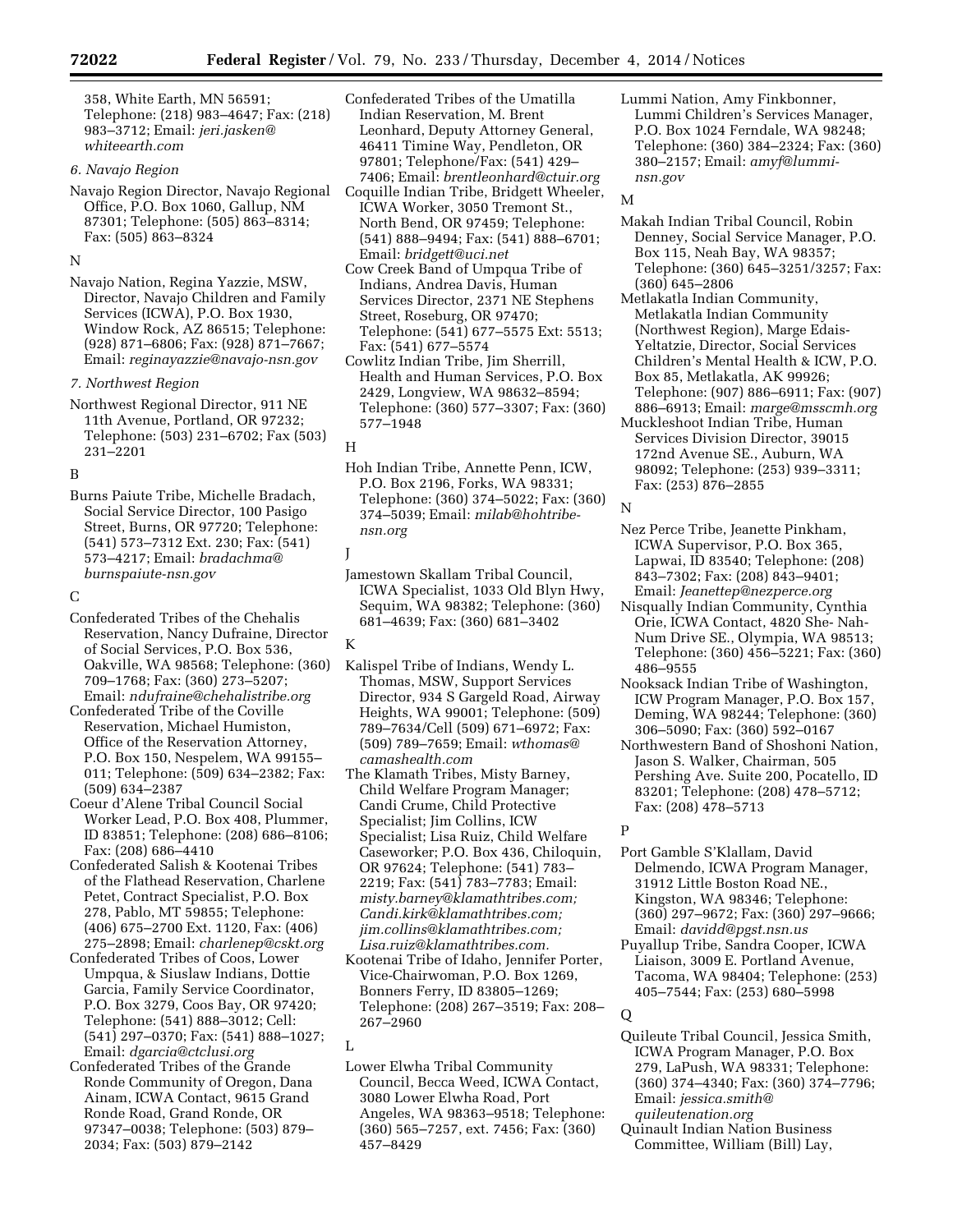358, White Earth, MN 56591; Telephone: (218) 983–4647; Fax: (218) 983–3712; Email: *[jeri.jasken@](mailto:jeri.jasken@whiteearth.com) [whiteearth.com](mailto:jeri.jasken@whiteearth.com)* 

#### *6. Navajo Region*

Navajo Region Director, Navajo Regional Office, P.O. Box 1060, Gallup, NM 87301; Telephone: (505) 863–8314; Fax: (505) 863–8324

#### N

Navajo Nation, Regina Yazzie, MSW, Director, Navajo Children and Family Services (ICWA), P.O. Box 1930, Window Rock, AZ 86515; Telephone: (928) 871–6806; Fax: (928) 871–7667; Email: *[reginayazzie@navajo-nsn.gov](mailto:reginayazzie@navajo-nsn.gov)* 

#### *7. Northwest Region*

Northwest Regional Director, 911 NE 11th Avenue, Portland, OR 97232; Telephone: (503) 231–6702; Fax (503) 231–2201

## B

Burns Paiute Tribe, Michelle Bradach, Social Service Director, 100 Pasigo Street, Burns, OR 97720; Telephone: (541) 573–7312 Ext. 230; Fax: (541) 573–4217; Email: *[bradachma@](mailto:bradachma@burnspaiute-nsn.gov) [burnspaiute-nsn.gov](mailto:bradachma@burnspaiute-nsn.gov)* 

# $\mathcal{C}$

Confederated Tribes of the Chehalis Reservation, Nancy Dufraine, Director of Social Services, P.O. Box 536, Oakville, WA 98568; Telephone: (360) 709–1768; Fax: (360) 273–5207; Email: *[ndufraine@chehalistribe.org](mailto:ndufraine@chehalistribe.org)* 

- Confederated Tribe of the Coville Reservation, Michael Humiston, Office of the Reservation Attorney, P.O. Box 150, Nespelem, WA 99155– 011; Telephone: (509) 634–2382; Fax: (509) 634–2387
- Coeur d'Alene Tribal Council Social Worker Lead, P.O. Box 408, Plummer, ID 83851; Telephone: (208) 686–8106; Fax: (208) 686–4410
- Confederated Salish & Kootenai Tribes of the Flathead Reservation, Charlene Petet, Contract Specialist, P.O. Box 278, Pablo, MT 59855; Telephone: (406) 675–2700 Ext. 1120, Fax: (406) 275–2898; Email: *[charlenep@cskt.org](mailto:charlenep@cskt.org)*
- Confederated Tribes of Coos, Lower Umpqua, & Siuslaw Indians, Dottie Garcia, Family Service Coordinator, P.O. Box 3279, Coos Bay, OR 97420; Telephone: (541) 888–3012; Cell: (541) 297–0370; Fax: (541) 888–1027; Email: *[dgarcia@ctclusi.org](mailto:dgarcia@ctclusi.org)*
- Confederated Tribes of the Grande Ronde Community of Oregon, Dana Ainam, ICWA Contact, 9615 Grand Ronde Road, Grand Ronde, OR 97347–0038; Telephone: (503) 879– 2034; Fax: (503) 879–2142
- Confederated Tribes of the Umatilla Indian Reservation, M. Brent Leonhard, Deputy Attorney General, 46411 Timine Way, Pendleton, OR 97801; Telephone/Fax: (541) 429– 7406; Email: *[brentleonhard@ctuir.org](mailto:brentleonhard@ctuir.org)*
- Coquille Indian Tribe, Bridgett Wheeler, ICWA Worker, 3050 Tremont St., North Bend, OR 97459; Telephone: (541) 888–9494; Fax: (541) 888–6701; Email: *[bridgett@uci.net](mailto:bridgett@uci.net)*
- Cow Creek Band of Umpqua Tribe of Indians, Andrea Davis, Human Services Director, 2371 NE Stephens Street, Roseburg, OR 97470; Telephone: (541) 677–5575 Ext: 5513; Fax: (541) 677–5574
- Cowlitz Indian Tribe, Jim Sherrill, Health and Human Services, P.O. Box 2429, Longview, WA 98632–8594; Telephone: (360) 577–3307; Fax: (360) 577–1948

Hoh Indian Tribe, Annette Penn, ICW, P.O. Box 2196, Forks, WA 98331; Telephone: (360) 374–5022; Fax: (360) 374–5039; Email: *[milab@hohtribe](mailto:milab@hohtribe-nsn.org)[nsn.org](mailto:milab@hohtribe-nsn.org)* 

J

Jamestown Skallam Tribal Council, ICWA Specialist, 1033 Old Blyn Hwy, Sequim, WA 98382; Telephone: (360) 681–4639; Fax: (360) 681–3402

#### K

- Kalispel Tribe of Indians, Wendy L. Thomas, MSW, Support Services Director, 934 S Gargeld Road, Airway Heights, WA 99001; Telephone: (509) 789–7634/Cell (509) 671–6972; Fax: (509) 789–7659; Email: *[wthomas@](mailto:wthomas@camashealth.com) [camashealth.com](mailto:wthomas@camashealth.com)*
- The Klamath Tribes, Misty Barney, Child Welfare Program Manager; Candi Crume, Child Protective Specialist; Jim Collins, ICW Specialist; Lisa Ruiz, Child Welfare Caseworker; P.O. Box 436, Chiloquin, OR 97624; Telephone: (541) 783– 2219; Fax: (541) 783–7783; Email: *[misty.barney@klamathtribes.com;](mailto:misty.barney@klamathtribes.com)  [Candi.kirk@klamathtribes.com;](mailto:Candi.kirk@klamathtribes.com) [jim.collins@klamathtribes.com;](mailto:jim.collins@klamathtribes.com)  [Lisa.ruiz@klamathtribes.com.](mailto:Lisa.ruiz@klamathtribes.com)*
- Kootenai Tribe of Idaho, Jennifer Porter, Vice-Chairwoman, P.O. Box 1269, Bonners Ferry, ID 83805–1269; Telephone: (208) 267–3519; Fax: 208– 267–2960

 $\mathbf{L}$ 

Lower Elwha Tribal Community Council, Becca Weed, ICWA Contact, 3080 Lower Elwha Road, Port Angeles, WA 98363–9518; Telephone: (360) 565–7257, ext. 7456; Fax: (360) 457–8429

Lummi Nation, Amy Finkbonner, Lummi Children's Services Manager, P.O. Box 1024 Ferndale, WA 98248; Telephone: (360) 384–2324; Fax: (360) 380–2157; Email: *[amyf@lummi](mailto:amyf@lummi-nsn.gov)[nsn.gov](mailto:amyf@lummi-nsn.gov)* 

#### M

- Makah Indian Tribal Council, Robin Denney, Social Service Manager, P.O. Box 115, Neah Bay, WA 98357; Telephone: (360) 645–3251/3257; Fax: (360) 645–2806
- Metlakatla Indian Community, Metlakatla Indian Community (Northwest Region), Marge Edais-Yeltatzie, Director, Social Services Children's Mental Health & ICW, P.O. Box 85, Metlakatla, AK 99926; Telephone: (907) 886–6911; Fax: (907) 886–6913; Email: *[marge@msscmh.org](mailto:marge@msscmh.org)*
- Muckleshoot Indian Tribe, Human Services Division Director, 39015 172nd Avenue SE., Auburn, WA 98092; Telephone: (253) 939–3311; Fax: (253) 876–2855

#### N

- Nez Perce Tribe, Jeanette Pinkham, ICWA Supervisor, P.O. Box 365, Lapwai, ID 83540; Telephone: (208) 843–7302; Fax: (208) 843–9401; Email: *[Jeanettep@nezperce.org](mailto:Jeanettep@nezperce.org)*
- Nisqually Indian Community, Cynthia Orie, ICWA Contact, 4820 She- Nah-Num Drive SE., Olympia, WA 98513; Telephone: (360) 456–5221; Fax: (360) 486–9555
- Nooksack Indian Tribe of Washington, ICW Program Manager, P.O. Box 157, Deming, WA 98244; Telephone: (360) 306–5090; Fax: (360) 592–0167
- Northwestern Band of Shoshoni Nation, Jason S. Walker, Chairman, 505 Pershing Ave. Suite 200, Pocatello, ID 83201; Telephone: (208) 478–5712; Fax: (208) 478–5713

## P

- Port Gamble S'Klallam, David Delmendo, ICWA Program Manager, 31912 Little Boston Road NE., Kingston, WA 98346; Telephone: (360) 297–9672; Fax: (360) 297–9666; Email: *[davidd@pgst.nsn.us](mailto:davidd@pgst.nsn.us)*
- Puyallup Tribe, Sandra Cooper, ICWA Liaison, 3009 E. Portland Avenue, Tacoma, WA 98404; Telephone: (253) 405–7544; Fax: (253) 680–5998

#### Q

- Quileute Tribal Council, Jessica Smith, ICWA Program Manager, P.O. Box 279, LaPush, WA 98331; Telephone: (360) 374–4340; Fax: (360) 374–7796; Email: *[jessica.smith@](mailto:jessica.smith@quileutenation.org) [quileutenation.org](mailto:jessica.smith@quileutenation.org)*
- Quinault Indian Nation Business
- Committee, William (Bill) Lay,

H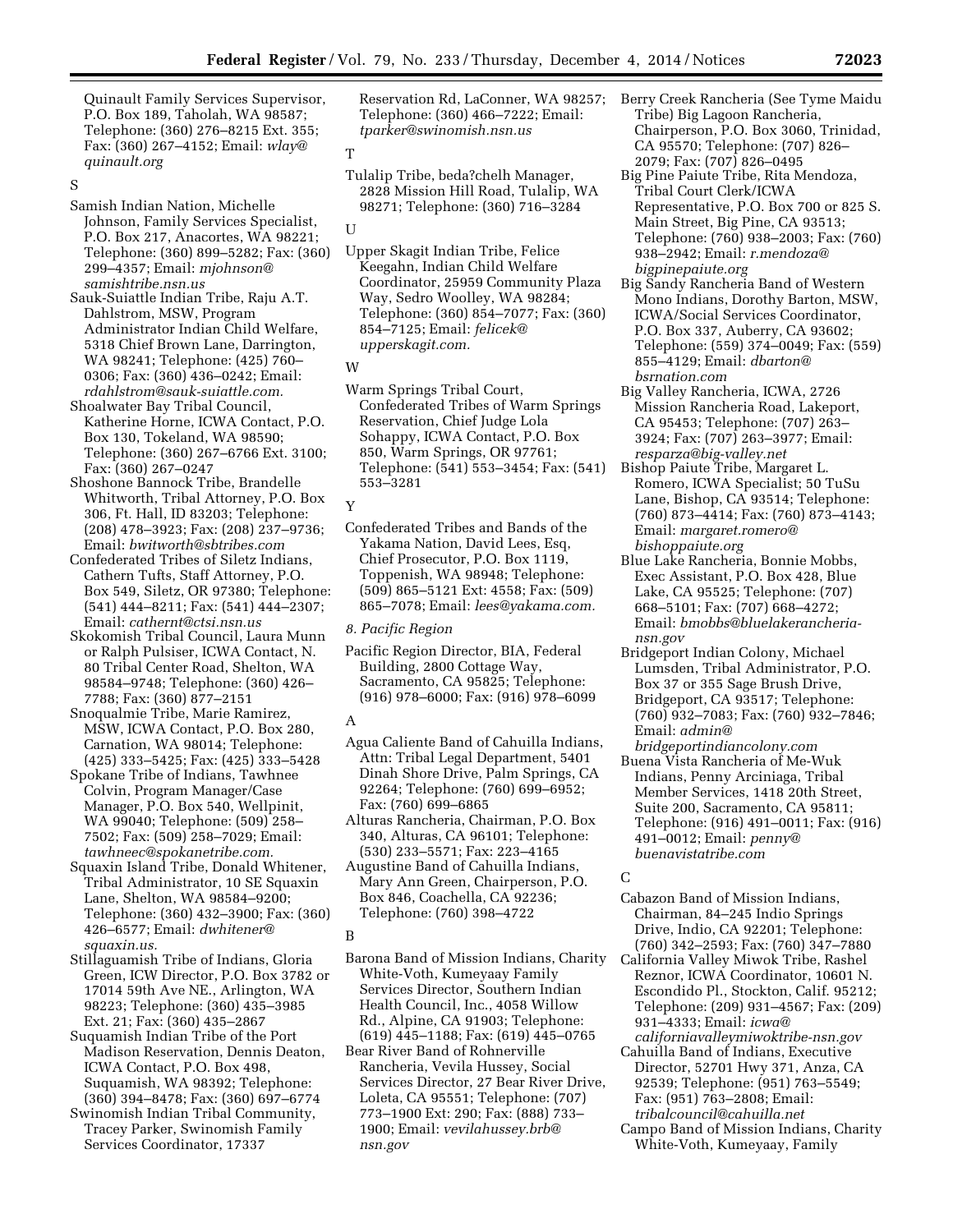Quinault Family Services Supervisor, P.O. Box 189, Taholah, WA 98587; Telephone: (360) 276–8215 Ext. 355; Fax: (360) 267–4152; Email: *[wlay@](mailto:wlay@quinault.org) [quinault.org](mailto:wlay@quinault.org)* 

# S

- Samish Indian Nation, Michelle Johnson, Family Services Specialist, P.O. Box 217, Anacortes, WA 98221; Telephone: (360) 899–5282; Fax: (360) 299–4357; Email: *[mjohnson@](mailto:mjohnson@samishtribe.nsn.us) [samishtribe.nsn.us](mailto:mjohnson@samishtribe.nsn.us)*
- Sauk-Suiattle Indian Tribe, Raju A.T. Dahlstrom, MSW, Program Administrator Indian Child Welfare, 5318 Chief Brown Lane, Darrington, WA 98241; Telephone: (425) 760– 0306; Fax: (360) 436–0242; Email: *[rdahlstrom@sauk-suiattle.com.](mailto:rdahlstrom@sauk-suiattle.com)*
- Shoalwater Bay Tribal Council, Katherine Horne, ICWA Contact, P.O. Box 130, Tokeland, WA 98590; Telephone: (360) 267–6766 Ext. 3100; Fax: (360) 267–0247
- Shoshone Bannock Tribe, Brandelle Whitworth, Tribal Attorney, P.O. Box 306, Ft. Hall, ID 83203; Telephone: (208) 478–3923; Fax: (208) 237–9736; Email: *[bwitworth@sbtribes.com](mailto:bwitworth@sbtribes.com)*
- Confederated Tribes of Siletz Indians, Cathern Tufts, Staff Attorney, P.O. Box 549, Siletz, OR 97380; Telephone: (541) 444–8211; Fax: (541) 444–2307; Email: *[cathernt@ctsi.nsn.us](mailto:cathernt@ctsi.nsn.us)*
- Skokomish Tribal Council, Laura Munn or Ralph Pulsiser, ICWA Contact, N. 80 Tribal Center Road, Shelton, WA 98584–9748; Telephone: (360) 426– 7788; Fax: (360) 877–2151
- Snoqualmie Tribe, Marie Ramirez, MSW, ICWA Contact, P.O. Box 280, Carnation, WA 98014; Telephone: (425) 333–5425; Fax: (425) 333–5428
- Spokane Tribe of Indians, Tawhnee Colvin, Program Manager/Case Manager, P.O. Box 540, Wellpinit, WA 99040; Telephone: (509) 258– 7502; Fax: (509) 258–7029; Email: *[tawhneec@spokanetribe.com.](mailto:tawhneec@spokanetribe.com)*
- Squaxin Island Tribe, Donald Whitener, Tribal Administrator, 10 SE Squaxin Lane, Shelton, WA 98584–9200; Telephone: (360) 432–3900; Fax: (360) 426–6577; Email: *[dwhitener@](mailto:dwhitener@squaxin.us) [squaxin.us.](mailto:dwhitener@squaxin.us)*
- Stillaguamish Tribe of Indians, Gloria Green, ICW Director, P.O. Box 3782 or 17014 59th Ave NE., Arlington, WA 98223; Telephone: (360) 435–3985 Ext. 21; Fax: (360) 435–2867
- Suquamish Indian Tribe of the Port Madison Reservation, Dennis Deaton, ICWA Contact, P.O. Box 498, Suquamish, WA 98392; Telephone: (360) 394–8478; Fax: (360) 697–6774
- Swinomish Indian Tribal Community, Tracey Parker, Swinomish Family Services Coordinator, 17337

Reservation Rd, LaConner, WA 98257; Telephone: (360) 466–7222; Email: *[tparker@swinomish.nsn.us](mailto:tparker@swinomish.nsn.us)* 

# T

Tulalip Tribe, beda?chelh Manager, 2828 Mission Hill Road, Tulalip, WA 98271; Telephone: (360) 716–3284

### U

Upper Skagit Indian Tribe, Felice Keegahn, Indian Child Welfare Coordinator, 25959 Community Plaza Way, Sedro Woolley, WA 98284; Telephone: (360) 854–7077; Fax: (360) 854–7125; Email: *[felicek@](mailto:felicek@upperskagit.com) [upperskagit.com.](mailto:felicek@upperskagit.com)* 

#### W

Warm Springs Tribal Court, Confederated Tribes of Warm Springs Reservation, Chief Judge Lola Sohappy, ICWA Contact, P.O. Box 850, Warm Springs, OR 97761; Telephone: (541) 553–3454; Fax: (541) 553–3281

## Y

Confederated Tribes and Bands of the Yakama Nation, David Lees, Esq, Chief Prosecutor, P.O. Box 1119, Toppenish, WA 98948; Telephone: (509) 865–5121 Ext: 4558; Fax: (509) 865–7078; Email: *[lees@yakama.com.](mailto:lees@yakama.com)* 

#### *8. Pacific Region*

Pacific Region Director, BIA, Federal Building, 2800 Cottage Way, Sacramento, CA 95825; Telephone: (916) 978–6000; Fax: (916) 978–6099

#### A

- Agua Caliente Band of Cahuilla Indians, Attn: Tribal Legal Department, 5401 Dinah Shore Drive, Palm Springs, CA 92264; Telephone: (760) 699–6952; Fax: (760) 699–6865
- Alturas Rancheria, Chairman, P.O. Box 340, Alturas, CA 96101; Telephone: (530) 233–5571; Fax: 223–4165
- Augustine Band of Cahuilla Indians, Mary Ann Green, Chairperson, P.O. Box 846, Coachella, CA 92236; Telephone: (760) 398–4722

#### B

- Barona Band of Mission Indians, Charity White-Voth, Kumeyaay Family Services Director, Southern Indian Health Council, Inc., 4058 Willow Rd., Alpine, CA 91903; Telephone: (619) 445–1188; Fax: (619) 445–0765
- Bear River Band of Rohnerville Rancheria, Vevila Hussey, Social Services Director, 27 Bear River Drive, Loleta, CA 95551; Telephone: (707) 773–1900 Ext: 290; Fax: (888) 733– 1900; Email: *[vevilahussey.brb@](mailto:vevilahussey.brb@nsn.gov) [nsn.gov](mailto:vevilahussey.brb@nsn.gov)*
- Berry Creek Rancheria (See Tyme Maidu Tribe) Big Lagoon Rancheria, Chairperson, P.O. Box 3060, Trinidad, CA 95570; Telephone: (707) 826– 2079; Fax: (707) 826–0495
- Big Pine Paiute Tribe, Rita Mendoza, Tribal Court Clerk/ICWA Representative, P.O. Box 700 or 825 S. Main Street, Big Pine, CA 93513; Telephone: (760) 938–2003; Fax: (760) 938–2942; Email: *[r.mendoza@](mailto:r.mendoza@bigpinepaiute.org) [bigpinepaiute.org](mailto:r.mendoza@bigpinepaiute.org)*
- Big Sandy Rancheria Band of Western Mono Indians, Dorothy Barton, MSW, ICWA/Social Services Coordinator, P.O. Box 337, Auberry, CA 93602; Telephone: (559) 374–0049; Fax: (559) 855–4129; Email: *[dbarton@](mailto:dbarton@bsrnation.com) [bsrnation.com](mailto:dbarton@bsrnation.com)*
- Big Valley Rancheria, ICWA, 2726 Mission Rancheria Road, Lakeport, CA 95453; Telephone: (707) 263– 3924; Fax: (707) 263–3977; Email: *[resparza@big-valley.net](mailto:resparza@big-valley.net)*
- Bishop Paiute Tribe, Margaret L. Romero, ICWA Specialist; 50 TuSu Lane, Bishop, CA 93514; Telephone: (760) 873–4414; Fax: (760) 873–4143; Email: *[margaret.romero@](mailto:margaret.romero@bishoppaiute.org) [bishoppaiute.org](mailto:margaret.romero@bishoppaiute.org)*
- Blue Lake Rancheria, Bonnie Mobbs, Exec Assistant, P.O. Box 428, Blue Lake, CA 95525; Telephone: (707) 668–5101; Fax: (707) 668–4272; Email: *[bmobbs@bluelakerancheria](mailto:bmobbs@bluelakerancheria-nsn.gov)[nsn.gov](mailto:bmobbs@bluelakerancheria-nsn.gov)*
- Bridgeport Indian Colony, Michael Lumsden, Tribal Administrator, P.O. Box 37 or 355 Sage Brush Drive, Bridgeport, CA 93517; Telephone: (760) 932–7083; Fax: (760) 932–7846; Email: *[admin@](mailto:admin@bridgeportindiancolony.com)*
- *[bridgeportindiancolony.com](mailto:admin@bridgeportindiancolony.com)*  Buena Vista Rancheria of Me-Wuk Indians, Penny Arciniaga, Tribal Member Services, 1418 20th Street, Suite 200, Sacramento, CA 95811; Telephone: (916) 491–0011; Fax: (916) 491–0012; Email: *[penny@](mailto:penny@buenavistatribe.com) [buenavistatribe.com](mailto:penny@buenavistatribe.com)*

# $\Gamma$

- Cabazon Band of Mission Indians, Chairman, 84–245 Indio Springs Drive, Indio, CA 92201; Telephone: (760) 342–2593; Fax: (760) 347–7880
- California Valley Miwok Tribe, Rashel Reznor, ICWA Coordinator, 10601 N. Escondido Pl., Stockton, Calif. 95212; Telephone: (209) 931–4567; Fax: (209) 931–4333; Email: *[icwa@](mailto:icwa@californiavalleymiwoktribe-nsn.gov)*
- *[californiavalleymiwoktribe-nsn.gov](mailto:icwa@californiavalleymiwoktribe-nsn.gov)*  Cahuilla Band of Indians, Executive Director, 52701 Hwy 371, Anza, CA
- 92539; Telephone: (951) 763–5549; Fax: (951) 763–2808; Email:
- *[tribalcouncil@cahuilla.net](mailto:tribalcouncil@cahuilla.net)*  Campo Band of Mission Indians, Charity
- White-Voth, Kumeyaay, Family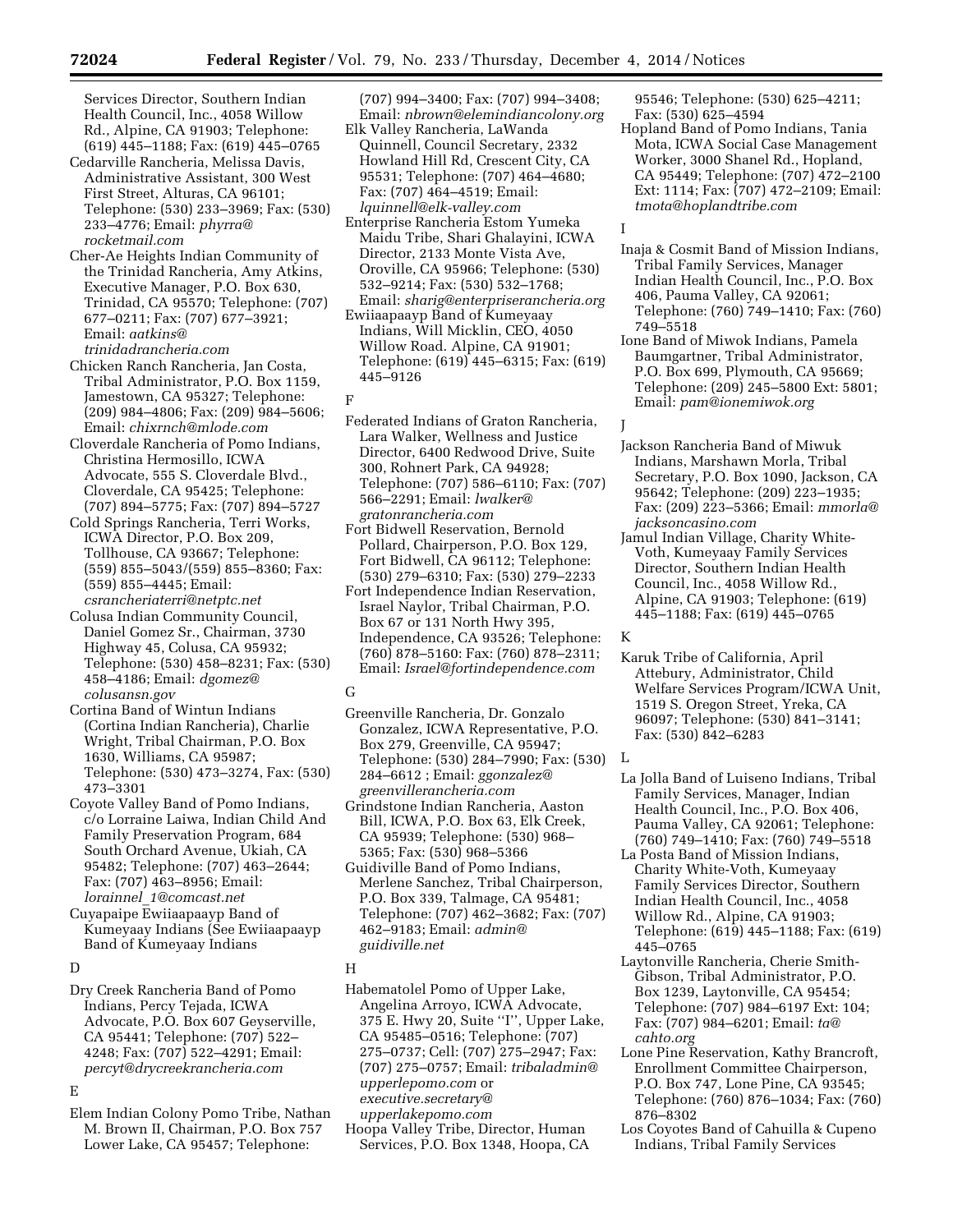Services Director, Southern Indian Health Council, Inc., 4058 Willow Rd., Alpine, CA 91903; Telephone: (619) 445–1188; Fax: (619) 445–0765

- Cedarville Rancheria, Melissa Davis, Administrative Assistant, 300 West First Street, Alturas, CA 96101; Telephone: (530) 233–3969; Fax: (530) 233–4776; Email: *[phyrra@](mailto:phyrra@rocketmail.com) [rocketmail.com](mailto:phyrra@rocketmail.com)*
- Cher-Ae Heights Indian Community of the Trinidad Rancheria, Amy Atkins, Executive Manager, P.O. Box 630, Trinidad, CA 95570; Telephone: (707) 677–0211; Fax: (707) 677–3921; Email: *[aatkins@](mailto:aatkins@trinidadrancheria.com) [trinidadrancheria.com](mailto:aatkins@trinidadrancheria.com)*
- Chicken Ranch Rancheria, Jan Costa, Tribal Administrator, P.O. Box 1159, Jamestown, CA 95327; Telephone: (209) 984–4806; Fax: (209) 984–5606; Email: *[chixrnch@mlode.com](mailto:chixrnch@mlode.com)*
- Cloverdale Rancheria of Pomo Indians, Christina Hermosillo, ICWA Advocate, 555 S. Cloverdale Blvd., Cloverdale, CA 95425; Telephone: (707) 894–5775; Fax: (707) 894–5727
- Cold Springs Rancheria, Terri Works, ICWA Director, P.O. Box 209, Tollhouse, CA 93667; Telephone: (559) 855–5043/(559) 855–8360; Fax: (559) 855–4445; Email: *[csrancheriaterri@netptc.net](mailto:csrancheriaterri@netptc.net)*
- Colusa Indian Community Council, Daniel Gomez Sr., Chairman, 3730 Highway 45, Colusa, CA 95932; Telephone: (530) 458–8231; Fax: (530) 458–4186; Email: *[dgomez@](mailto:dgomez@colusansn.gov) [colusansn.gov](mailto:dgomez@colusansn.gov)*
- Cortina Band of Wintun Indians (Cortina Indian Rancheria), Charlie Wright, Tribal Chairman, P.O. Box 1630, Williams, CA 95987; Telephone: (530) 473–3274, Fax: (530) 473–3301
- Coyote Valley Band of Pomo Indians, c/o Lorraine Laiwa, Indian Child And Family Preservation Program, 684 South Orchard Avenue, Ukiah, CA 95482; Telephone: (707) 463–2644; Fax: (707) 463–8956; Email: *lorainnel*\_*[1@comcast.net](mailto:lorainnel_1@comcast.net)*
- Cuyapaipe Ewiiaapaayp Band of Kumeyaay Indians (See Ewiiaapaayp Band of Kumeyaay Indians

# D

Dry Creek Rancheria Band of Pomo Indians, Percy Tejada, ICWA Advocate, P.O. Box 607 Geyserville, CA 95441; Telephone: (707) 522– 4248; Fax: (707) 522–4291; Email: *[percyt@drycreekrancheria.com](mailto:percyt@drycreekrancheria.com)* 

## E

Elem Indian Colony Pomo Tribe, Nathan M. Brown II, Chairman, P.O. Box 757 Lower Lake, CA 95457; Telephone:

(707) 994–3400; Fax: (707) 994–3408; Email: *[nbrown@elemindiancolony.org](mailto:nbrown@elemindiancolony.org)* 

- Elk Valley Rancheria, LaWanda Quinnell, Council Secretary, 2332 Howland Hill Rd, Crescent City, CA 95531; Telephone: (707) 464–4680; Fax: (707) 464–4519; Email: *[lquinnell@elk-valley.com](mailto:lquinnell@elk-valley.com)*
- Enterprise Rancheria Estom Yumeka Maidu Tribe, Shari Ghalayini, ICWA Director, 2133 Monte Vista Ave, Oroville, CA 95966; Telephone: (530) 532–9214; Fax: (530) 532–1768; Email: *[sharig@enterpriserancheria.org](mailto:sharig@enterpriserancheria.org)*
- Ewiiaapaayp Band of Kumeyaay Indians, Will Micklin, CEO, 4050 Willow Road. Alpine, CA 91901; Telephone: (619) 445–6315; Fax: (619) 445–9126
- F
- Federated Indians of Graton Rancheria, Lara Walker, Wellness and Justice Director, 6400 Redwood Drive, Suite 300, Rohnert Park, CA 94928; Telephone: (707) 586–6110; Fax: (707) 566–2291; Email: *[lwalker@](mailto:lwalker@gratonrancheria.com) [gratonrancheria.com](mailto:lwalker@gratonrancheria.com)*
- Fort Bidwell Reservation, Bernold Pollard, Chairperson, P.O. Box 129, Fort Bidwell, CA 96112; Telephone: (530) 279–6310; Fax: (530) 279–2233
- Fort Independence Indian Reservation, Israel Naylor, Tribal Chairman, P.O. Box 67 or 131 North Hwy 395, Independence, CA 93526; Telephone: (760) 878–5160: Fax: (760) 878–2311; Email: *[Israel@fortindependence.com](mailto:Israel@fortindependence.com)*

# G

- Greenville Rancheria, Dr. Gonzalo Gonzalez, ICWA Representative, P.O. Box 279, Greenville, CA 95947; Telephone: (530) 284–7990; Fax: (530) L 284–6612 ; Email: *[ggonzalez@](mailto:ggonzalez@greenvillerancheria.com) [greenvillerancheria.com](mailto:ggonzalez@greenvillerancheria.com)*
- Grindstone Indian Rancheria, Aaston Bill, ICWA, P.O. Box 63, Elk Creek, CA 95939; Telephone: (530) 968– 5365; Fax: (530) 968–5366
- Guidiville Band of Pomo Indians, Merlene Sanchez, Tribal Chairperson, P.O. Box 339, Talmage, CA 95481; Telephone: (707) 462–3682; Fax: (707) 462–9183; Email: *[admin@](mailto:admin@guidiville.net) [guidiville.net](mailto:admin@guidiville.net)*

# H

- Habematolel Pomo of Upper Lake, Angelina Arroyo, ICWA Advocate, 375 E. Hwy 20, Suite ''I'', Upper Lake, CA 95485–0516; Telephone: (707) 275–0737; Cell: (707) 275–2947; Fax: (707) 275–0757; Email: *[tribaladmin@](mailto:tribaladmin@upperlepomo.com) [upperlepomo.com](mailto:tribaladmin@upperlepomo.com)* or *[executive.secretary@](mailto:executive.secretary@upperlakepomo.com) [upperlakepomo.com](mailto:executive.secretary@upperlakepomo.com)*
- Hoopa Valley Tribe, Director, Human Services, P.O. Box 1348, Hoopa, CA

95546; Telephone: (530) 625–4211; Fax: (530) 625–4594

Hopland Band of Pomo Indians, Tania Mota, ICWA Social Case Management Worker, 3000 Shanel Rd., Hopland, CA 95449; Telephone: (707) 472–2100 Ext: 1114; Fax: (707) 472–2109; Email: *[tmota@hoplandtribe.com](mailto:tmota@hoplandtribe.com)* 

# I

- Inaja & Cosmit Band of Mission Indians, Tribal Family Services, Manager Indian Health Council, Inc., P.O. Box 406, Pauma Valley, CA 92061; Telephone: (760) 749–1410; Fax: (760) 749–5518
- Ione Band of Miwok Indians, Pamela Baumgartner, Tribal Administrator, P.O. Box 699, Plymouth, CA 95669; Telephone: (209) 245–5800 Ext: 5801; Email: *[pam@ionemiwok.org](mailto:pam@ionemiwok.org)*

J

- Jackson Rancheria Band of Miwuk Indians, Marshawn Morla, Tribal Secretary, P.O. Box 1090, Jackson, CA 95642; Telephone: (209) 223–1935; Fax: (209) 223–5366; Email: *[mmorla@](mailto:mmorla@jacksoncasino.com) [jacksoncasino.com](mailto:mmorla@jacksoncasino.com)*
- Jamul Indian Village, Charity White-Voth, Kumeyaay Family Services Director, Southern Indian Health Council, Inc., 4058 Willow Rd., Alpine, CA 91903; Telephone: (619) 445–1188; Fax: (619) 445–0765

# K

Karuk Tribe of California, April Attebury, Administrator, Child Welfare Services Program/ICWA Unit, 1519 S. Oregon Street, Yreka, CA 96097; Telephone: (530) 841–3141; Fax: (530) 842–6283

- La Jolla Band of Luiseno Indians, Tribal Family Services, Manager, Indian Health Council, Inc., P.O. Box 406, Pauma Valley, CA 92061; Telephone: (760) 749–1410; Fax: (760) 749–5518
- La Posta Band of Mission Indians, Charity White-Voth, Kumeyaay Family Services Director, Southern Indian Health Council, Inc., 4058 Willow Rd., Alpine, CA 91903; Telephone: (619) 445–1188; Fax: (619) 445–0765
- Laytonville Rancheria, Cherie Smith-Gibson, Tribal Administrator, P.O. Box 1239, Laytonville, CA 95454; Telephone: (707) 984–6197 Ext: 104; Fax: (707) 984–6201; Email: *[ta@](mailto:ta@cahto.org) [cahto.org](mailto:ta@cahto.org)*
- Lone Pine Reservation, Kathy Brancroft, Enrollment Committee Chairperson, P.O. Box 747, Lone Pine, CA 93545; Telephone: (760) 876–1034; Fax: (760) 876–8302
- Los Coyotes Band of Cahuilla & Cupeno Indians, Tribal Family Services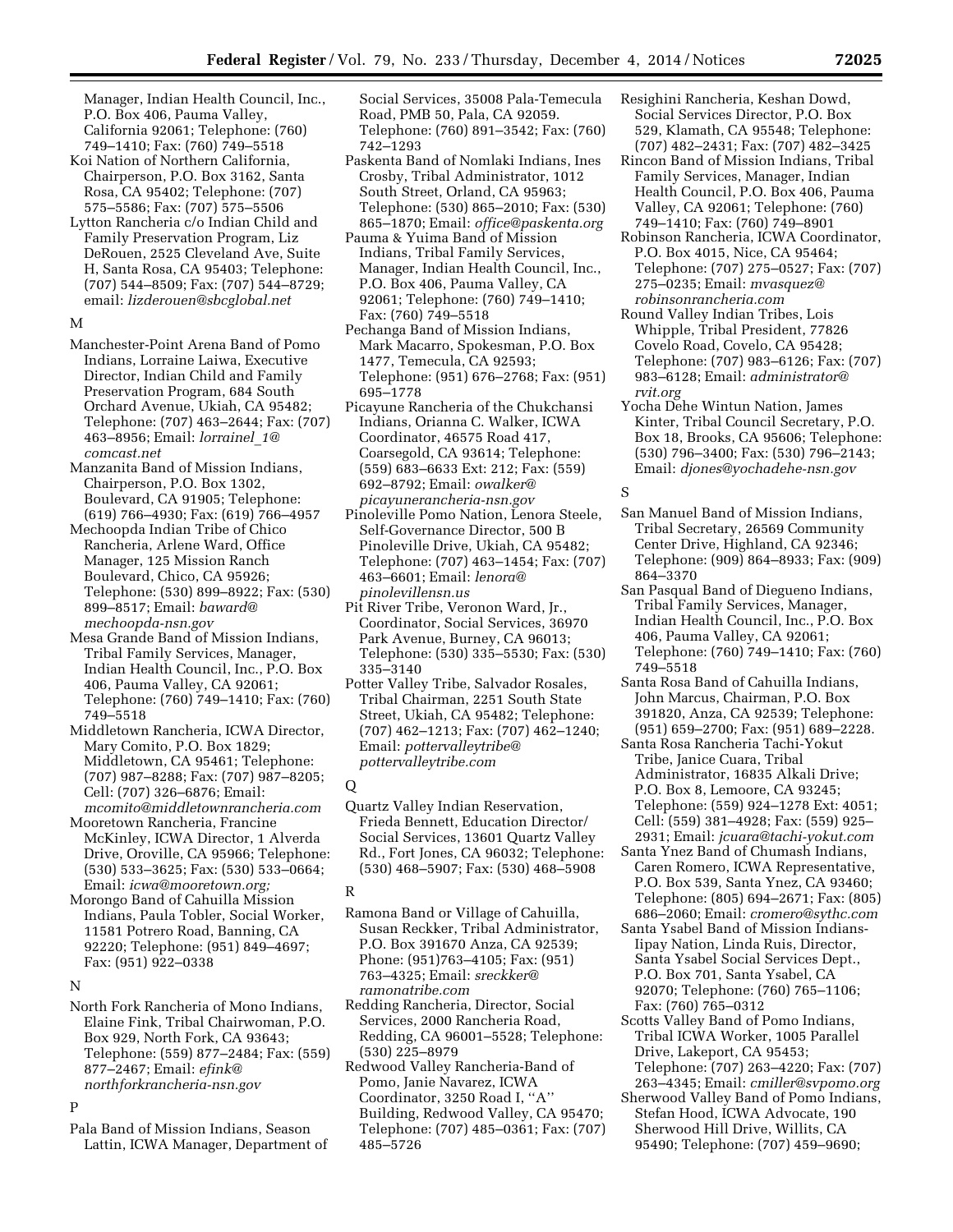Manager, Indian Health Council, Inc., P.O. Box 406, Pauma Valley, California 92061; Telephone: (760) 749–1410; Fax: (760) 749–5518

- Koi Nation of Northern California, Chairperson, P.O. Box 3162, Santa Rosa, CA 95402; Telephone: (707) 575–5586; Fax: (707) 575–5506
- Lytton Rancheria c/o Indian Child and Family Preservation Program, Liz DeRouen, 2525 Cleveland Ave, Suite H, Santa Rosa, CA 95403; Telephone: (707) 544–8509; Fax: (707) 544–8729; email: *[lizderouen@sbcglobal.net](mailto:lizderouen@sbcglobal.net)*

#### M

- Manchester-Point Arena Band of Pomo Indians, Lorraine Laiwa, Executive Director, Indian Child and Family Preservation Program, 684 South Orchard Avenue, Ukiah, CA 95482; Telephone: (707) 463–2644; Fax: (707) 463–8956; Email: *[lorrainel](mailto:lorrainel_1@comcast.net)*\_*1@ [comcast.net](mailto:lorrainel_1@comcast.net)*
- Manzanita Band of Mission Indians, Chairperson, P.O. Box 1302, Boulevard, CA 91905; Telephone: (619) 766–4930; Fax: (619) 766–4957
- Mechoopda Indian Tribe of Chico Rancheria, Arlene Ward, Office Manager, 125 Mission Ranch Boulevard, Chico, CA 95926; Telephone: (530) 899–8922; Fax: (530) 899–8517; Email: *[baward@](mailto:baward@mechoopda-nsn.gov) [mechoopda-nsn.gov](mailto:baward@mechoopda-nsn.gov)*
- Mesa Grande Band of Mission Indians, Tribal Family Services, Manager, Indian Health Council, Inc., P.O. Box 406, Pauma Valley, CA 92061; Telephone: (760) 749–1410; Fax: (760) 749–5518
- Middletown Rancheria, ICWA Director, Mary Comito, P.O. Box 1829; Middletown, CA 95461; Telephone: (707) 987–8288; Fax: (707) 987–8205; Cell: (707) 326–6876; Email: *[mcomito@middletownrancheria.com](mailto:mcomito@middletownrancheria.com)*
- Mooretown Rancheria, Francine McKinley, ICWA Director, 1 Alverda Drive, Oroville, CA 95966; Telephone: (530) 533–3625; Fax: (530) 533–0664; Email: *[icwa@mooretown.org;](mailto:icwa@mooretown.org)*

Morongo Band of Cahuilla Mission Indians, Paula Tobler, Social Worker, 11581 Potrero Road, Banning, CA 92220; Telephone: (951) 849–4697; Fax: (951) 922–0338

#### N

North Fork Rancheria of Mono Indians, Elaine Fink, Tribal Chairwoman, P.O. Box 929, North Fork, CA 93643; Telephone: (559) 877–2484; Fax: (559) 877–2467; Email: *[efink@](mailto:efink@northforkrancheria-nsn.gov) [northforkrancheria-nsn.gov](mailto:efink@northforkrancheria-nsn.gov)* 

## P

Pala Band of Mission Indians, Season Lattin, ICWA Manager, Department of Social Services, 35008 Pala-Temecula Road, PMB 50, Pala, CA 92059. Telephone: (760) 891–3542; Fax: (760) 742–1293

- Paskenta Band of Nomlaki Indians, Ines Crosby, Tribal Administrator, 1012 South Street, Orland, CA 95963; Telephone: (530) 865–2010; Fax: (530) 865–1870; Email: *[office@paskenta.org](mailto:office@paskenta.org)*
- Pauma & Yuima Band of Mission Indians, Tribal Family Services, Manager, Indian Health Council, Inc., P.O. Box 406, Pauma Valley, CA 92061; Telephone: (760) 749–1410; Fax: (760) 749–5518
- Pechanga Band of Mission Indians, Mark Macarro, Spokesman, P.O. Box 1477, Temecula, CA 92593; Telephone: (951) 676–2768; Fax: (951) 695–1778
- Picayune Rancheria of the Chukchansi Indians, Orianna C. Walker, ICWA Coordinator, 46575 Road 417, Coarsegold, CA 93614; Telephone: (559) 683–6633 Ext: 212; Fax: (559) 692–8792; Email: *[owalker@](mailto:owalker@picayunerancheria-nsn.gov) [picayunerancheria-nsn.gov](mailto:owalker@picayunerancheria-nsn.gov)*
- Pinoleville Pomo Nation, Lenora Steele, Self-Governance Director, 500 B Pinoleville Drive, Ukiah, CA 95482; Telephone: (707) 463–1454; Fax: (707) 463–6601; Email: *[lenora@](mailto:lenora@pinolevillensn.us) [pinolevillensn.us](mailto:lenora@pinolevillensn.us)*
- Pit River Tribe, Veronon Ward, Jr., Coordinator, Social Services, 36970 Park Avenue, Burney, CA 96013; Telephone: (530) 335–5530; Fax: (530) 335–3140
- Potter Valley Tribe, Salvador Rosales, Tribal Chairman, 2251 South State Street, Ukiah, CA 95482; Telephone: (707) 462–1213; Fax: (707) 462–1240; Email: *[pottervalleytribe@](mailto:pottervalleytribe@pottervalleytribe.com) [pottervalleytribe.com](mailto:pottervalleytribe@pottervalleytribe.com)*

### $\Omega$

Quartz Valley Indian Reservation, Frieda Bennett, Education Director/ Social Services, 13601 Quartz Valley Rd., Fort Jones, CA 96032; Telephone: (530) 468–5907; Fax: (530) 468–5908

## R

Ramona Band or Village of Cahuilla, Susan Reckker, Tribal Administrator, P.O. Box 391670 Anza, CA 92539; Phone: (951)763–4105; Fax: (951) 763–4325; Email: *[sreckker@](mailto:sreckker@ramonatribe.com) [ramonatribe.com](mailto:sreckker@ramonatribe.com)* 

Redding Rancheria, Director, Social Services, 2000 Rancheria Road, Redding, CA 96001–5528; Telephone: (530) 225–8979

Redwood Valley Rancheria-Band of Pomo, Janie Navarez, ICWA Coordinator, 3250 Road I, ''A'' Building, Redwood Valley, CA 95470; Telephone: (707) 485–0361; Fax: (707) 485–5726

- Resighini Rancheria, Keshan Dowd, Social Services Director, P.O. Box 529, Klamath, CA 95548; Telephone: (707) 482–2431; Fax: (707) 482–3425
- Rincon Band of Mission Indians, Tribal Family Services, Manager, Indian Health Council, P.O. Box 406, Pauma Valley, CA 92061; Telephone: (760) 749–1410; Fax: (760) 749–8901
- Robinson Rancheria, ICWA Coordinator, P.O. Box 4015, Nice, CA 95464; Telephone: (707) 275–0527; Fax: (707) 275–0235; Email: *[mvasquez@](mailto:mvasquez@robinsonrancheria.com) [robinsonrancheria.com](mailto:mvasquez@robinsonrancheria.com)*
- Round Valley Indian Tribes, Lois Whipple, Tribal President, 77826 Covelo Road, Covelo, CA 95428; Telephone: (707) 983–6126; Fax: (707) 983–6128; Email: *[administrator@](mailto:administrator@rvit.org) [rvit.org](mailto:administrator@rvit.org)*
- Yocha Dehe Wintun Nation, James Kinter, Tribal Council Secretary, P.O. Box 18, Brooks, CA 95606; Telephone: (530) 796–3400; Fax: (530) 796–2143; Email: *[djones@yochadehe-nsn.gov](mailto:djones@yochadehe-nsn.gov)*

#### S

- San Manuel Band of Mission Indians, Tribal Secretary, 26569 Community Center Drive, Highland, CA 92346; Telephone: (909) 864–8933; Fax: (909) 864–3370
- San Pasqual Band of Diegueno Indians, Tribal Family Services, Manager, Indian Health Council, Inc., P.O. Box 406, Pauma Valley, CA 92061; Telephone: (760) 749–1410; Fax: (760) 749–5518
- Santa Rosa Band of Cahuilla Indians, John Marcus, Chairman, P.O. Box 391820, Anza, CA 92539; Telephone: (951) 659–2700; Fax: (951) 689–2228.
- Santa Rosa Rancheria Tachi-Yokut Tribe, Janice Cuara, Tribal Administrator, 16835 Alkali Drive; P.O. Box 8, Lemoore, CA 93245; Telephone: (559) 924–1278 Ext: 4051; Cell: (559) 381–4928; Fax: (559) 925– 2931; Email: *[jcuara@tachi-yokut.com](mailto:jcuara@tachi-yokut.com)*
- Santa Ynez Band of Chumash Indians, Caren Romero, ICWA Representative, P.O. Box 539, Santa Ynez, CA 93460; Telephone: (805) 694–2671; Fax: (805) 686–2060; Email: *[cromero@sythc.com](mailto:cromero@sythc.com)*
- Santa Ysabel Band of Mission Indians-Iipay Nation, Linda Ruis, Director, Santa Ysabel Social Services Dept., P.O. Box 701, Santa Ysabel, CA 92070; Telephone: (760) 765–1106; Fax: (760) 765–0312
- Scotts Valley Band of Pomo Indians, Tribal ICWA Worker, 1005 Parallel Drive, Lakeport, CA 95453; Telephone: (707) 263–4220; Fax: (707)
- 263–4345; Email: *[cmiller@svpomo.org](mailto:cmiller@svpomo.org)*
- Sherwood Valley Band of Pomo Indians, Stefan Hood, ICWA Advocate, 190 Sherwood Hill Drive, Willits, CA 95490; Telephone: (707) 459–9690;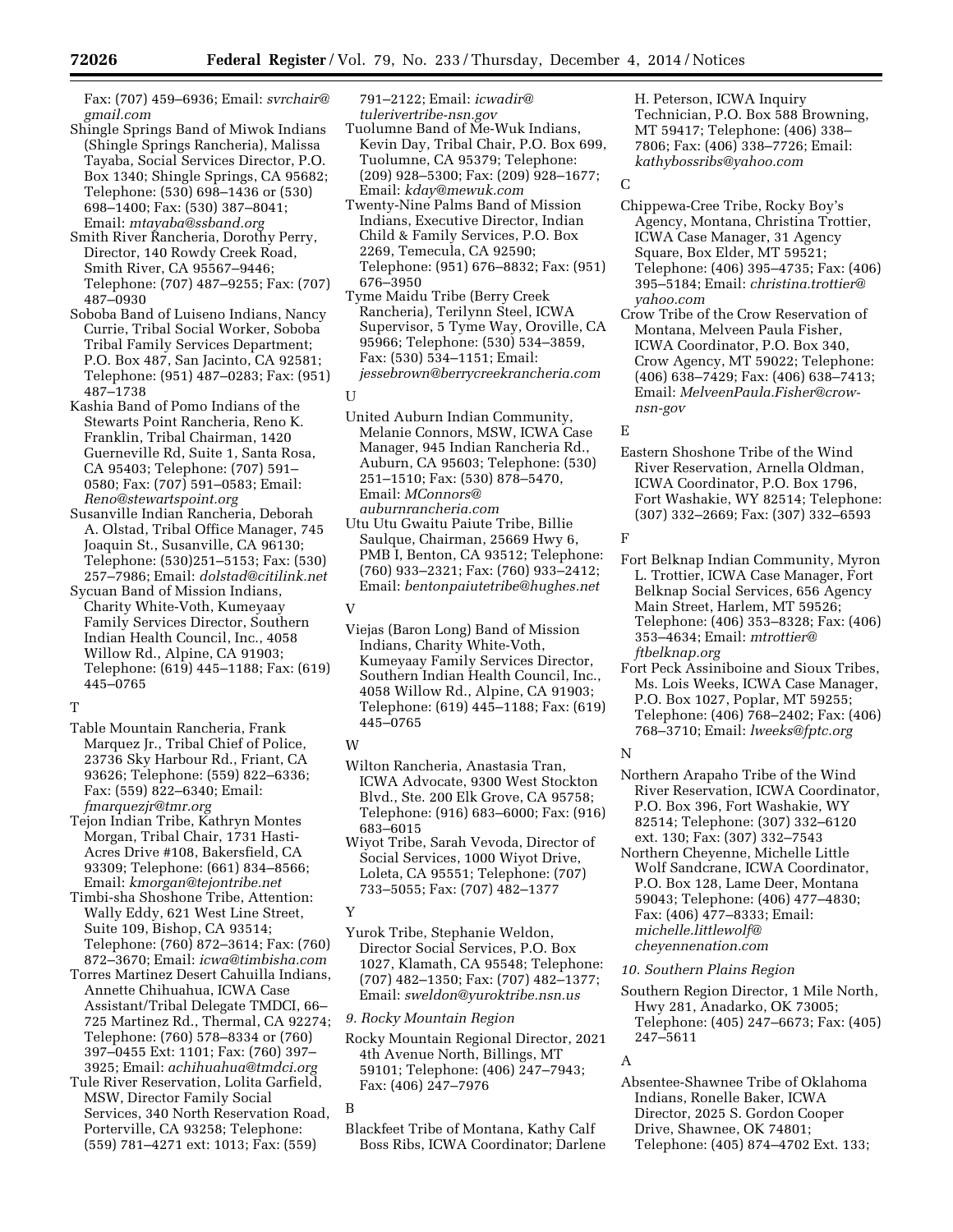Fax: (707) 459–6936; Email: *[svrchair@](mailto:svrchair@gmail.com) [gmail.com](mailto:svrchair@gmail.com)* 

- Shingle Springs Band of Miwok Indians (Shingle Springs Rancheria), Malissa Tayaba, Social Services Director, P.O. Box 1340; Shingle Springs, CA 95682; Telephone: (530) 698–1436 or (530) 698–1400; Fax: (530) 387–8041; Email: *[mtayaba@ssband.org](mailto:mtayaba@ssband.org)*
- Smith River Rancheria, Dorothy Perry, Director, 140 Rowdy Creek Road, Smith River, CA 95567–9446; Telephone: (707) 487–9255; Fax: (707) 487–0930
- Soboba Band of Luiseno Indians, Nancy Currie, Tribal Social Worker, Soboba Tribal Family Services Department; P.O. Box 487, San Jacinto, CA 92581; Telephone: (951) 487–0283; Fax: (951) 487–1738
- Kashia Band of Pomo Indians of the Stewarts Point Rancheria, Reno K. Franklin, Tribal Chairman, 1420 Guerneville Rd, Suite 1, Santa Rosa, CA 95403; Telephone: (707) 591– 0580; Fax: (707) 591–0583; Email: *[Reno@stewartspoint.org](mailto:Reno@stewartspoint.org)*
- Susanville Indian Rancheria, Deborah A. Olstad, Tribal Office Manager, 745 Joaquin St., Susanville, CA 96130; Telephone: (530)251–5153; Fax: (530) 257–7986; Email: *[dolstad@citilink.net](mailto:dolstad@citilink.net)*
- Sycuan Band of Mission Indians, Charity White-Voth, Kumeyaay Family Services Director, Southern Indian Health Council, Inc., 4058 Willow Rd., Alpine, CA 91903; Telephone: (619) 445–1188; Fax: (619) 445–0765
- T
- Table Mountain Rancheria, Frank Marquez Jr., Tribal Chief of Police, 23736 Sky Harbour Rd., Friant, CA 93626; Telephone: (559) 822–6336; Fax: (559) 822–6340; Email: *[fmarquezjr@tmr.org](mailto:fmarquezjr@tmr.org)*
- Tejon Indian Tribe, Kathryn Montes Morgan, Tribal Chair, 1731 Hasti-Acres Drive #108, Bakersfield, CA 93309; Telephone: (661) 834–8566; Email: *[kmorgan@tejontribe.net](mailto:kmorgan@tejontribe.net)*
- Timbi-sha Shoshone Tribe, Attention: Wally Eddy, 621 West Line Street, Suite 109, Bishop, CA 93514; Telephone: (760) 872–3614; Fax: (760) 872–3670; Email: *[icwa@timbisha.com](mailto:icwa@timbisha.com)*
- Torres Martinez Desert Cahuilla Indians, Annette Chihuahua, ICWA Case Assistant/Tribal Delegate TMDCI, 66– 725 Martinez Rd., Thermal, CA 92274; Telephone: (760) 578–8334 or (760) 397–0455 Ext: 1101; Fax: (760) 397– 3925; Email: *[achihuahua@tmdci.org](mailto:achihuahua@tmdci.org)*
- Tule River Reservation, Lolita Garfield, MSW, Director Family Social Services, 340 North Reservation Road, Porterville, CA 93258; Telephone: (559) 781–4271 ext: 1013; Fax: (559)

791–2122; Email: *[icwadir@](mailto:icwadir@tulerivertribe-nsn.gov) [tulerivertribe-nsn.gov](mailto:icwadir@tulerivertribe-nsn.gov)* 

- Tuolumne Band of Me-Wuk Indians, Kevin Day, Tribal Chair, P.O. Box 699, Tuolumne, CA 95379; Telephone: (209) 928–5300; Fax: (209) 928–1677; Email: *[kday@mewuk.com](mailto:kday@mewuk.com)*
- Twenty-Nine Palms Band of Mission Indians, Executive Director, Indian Child & Family Services, P.O. Box 2269, Temecula, CA 92590; Telephone: (951) 676–8832; Fax: (951) 676–3950
- Tyme Maidu Tribe (Berry Creek Rancheria), Terilynn Steel, ICWA Supervisor, 5 Tyme Way, Oroville, CA 95966; Telephone: (530) 534–3859, Fax: (530) 534–1151; Email: *[jessebrown@berrycreekrancheria.com](mailto:jessebrown@berrycreekrancheria.com)*
- U
- United Auburn Indian Community, Melanie Connors, MSW, ICWA Case Manager, 945 Indian Rancheria Rd., Auburn, CA 95603; Telephone: (530) 251–1510; Fax: (530) 878–5470, Email: *[MConnors@](mailto:MConnors@auburnrancheria.com) [auburnrancheria.com](mailto:MConnors@auburnrancheria.com)*
- Utu Utu Gwaitu Paiute Tribe, Billie Saulque, Chairman, 25669 Hwy 6, PMB I, Benton, CA 93512; Telephone: (760) 933–2321; Fax: (760) 933–2412; Email: *[bentonpaiutetribe@hughes.net](mailto:bentonpaiutetribe@hughes.net)*
- V
- Viejas (Baron Long) Band of Mission Indians, Charity White-Voth, Kumeyaay Family Services Director, Southern Indian Health Council, Inc., 4058 Willow Rd., Alpine, CA 91903; Telephone: (619) 445–1188; Fax: (619) 445–0765

# W

- Wilton Rancheria, Anastasia Tran, ICWA Advocate, 9300 West Stockton Blvd., Ste. 200 Elk Grove, CA 95758; Telephone: (916) 683–6000; Fax: (916) 683–6015
- Wiyot Tribe, Sarah Vevoda, Director of Social Services, 1000 Wiyot Drive, Loleta, CA 95551; Telephone: (707) 733–5055; Fax: (707) 482–1377

# Y

- Yurok Tribe, Stephanie Weldon, Director Social Services, P.O. Box 1027, Klamath, CA 95548; Telephone: (707) 482–1350; Fax: (707) 482–1377; Email: *[sweldon@yuroktribe.nsn.us](mailto:sweldon@yuroktribe.nsn.us)*
- *9. Rocky Mountain Region*
- Rocky Mountain Regional Director, 2021 4th Avenue North, Billings, MT 59101; Telephone: (406) 247–7943; Fax: (406) 247–7976

Blackfeet Tribe of Montana, Kathy Calf Boss Ribs, ICWA Coordinator; Darlene H. Peterson, ICWA Inquiry Technician, P.O. Box 588 Browning, MT 59417; Telephone: (406) 338– 7806; Fax: (406) 338–7726; Email: *[kathybossribs@yahoo.com](mailto:kathybossribs@yahoo.com)* 

# $\Gamma$

- Chippewa-Cree Tribe, Rocky Boy's Agency, Montana, Christina Trottier, ICWA Case Manager, 31 Agency Square, Box Elder, MT 59521; Telephone: (406) 395–4735; Fax: (406) 395–5184; Email: *[christina.trottier@](mailto:christina.trottier@yahoo.com) [yahoo.com](mailto:christina.trottier@yahoo.com)*
- Crow Tribe of the Crow Reservation of Montana, Melveen Paula Fisher, ICWA Coordinator, P.O. Box 340, Crow Agency, MT 59022; Telephone: (406) 638–7429; Fax: (406) 638–7413; Email: *[MelveenPaula.Fisher@crow](mailto:MelveenPaula.Fisher@crow-nsn-gov)[nsn-gov](mailto:MelveenPaula.Fisher@crow-nsn-gov)*

# E

Eastern Shoshone Tribe of the Wind River Reservation, Arnella Oldman, ICWA Coordinator, P.O. Box 1796, Fort Washakie, WY 82514; Telephone: (307) 332–2669; Fax: (307) 332–6593

F

- Fort Belknap Indian Community, Myron L. Trottier, ICWA Case Manager, Fort Belknap Social Services, 656 Agency Main Street, Harlem, MT 59526; Telephone: (406) 353–8328; Fax: (406) 353–4634; Email: *[mtrottier@](mailto:mtrottier@ftbelknap.org) [ftbelknap.org](mailto:mtrottier@ftbelknap.org)*
- Fort Peck Assiniboine and Sioux Tribes, Ms. Lois Weeks, ICWA Case Manager, P.O. Box 1027, Poplar, MT 59255; Telephone: (406) 768–2402; Fax: (406) 768–3710; Email: *[lweeks@fptc.org](mailto:lweeks@fptc.org)*

# N

- Northern Arapaho Tribe of the Wind River Reservation, ICWA Coordinator, P.O. Box 396, Fort Washakie, WY 82514; Telephone: (307) 332–6120 ext. 130; Fax: (307) 332–7543
- Northern Cheyenne, Michelle Little Wolf Sandcrane, ICWA Coordinator, P.O. Box 128, Lame Deer, Montana 59043; Telephone: (406) 477–4830; Fax: (406) 477–8333; Email: *[michelle.littlewolf@](mailto:michelle.littlewolf@cheyennenation.com) [cheyennenation.com](mailto:michelle.littlewolf@cheyennenation.com)*

# *10. Southern Plains Region*

Southern Region Director, 1 Mile North, Hwy 281, Anadarko, OK 73005; Telephone: (405) 247–6673; Fax: (405) 247–5611

# A

Absentee-Shawnee Tribe of Oklahoma Indians, Ronelle Baker, ICWA Director, 2025 S. Gordon Cooper Drive, Shawnee, OK 74801; Telephone: (405) 874–4702 Ext. 133;

B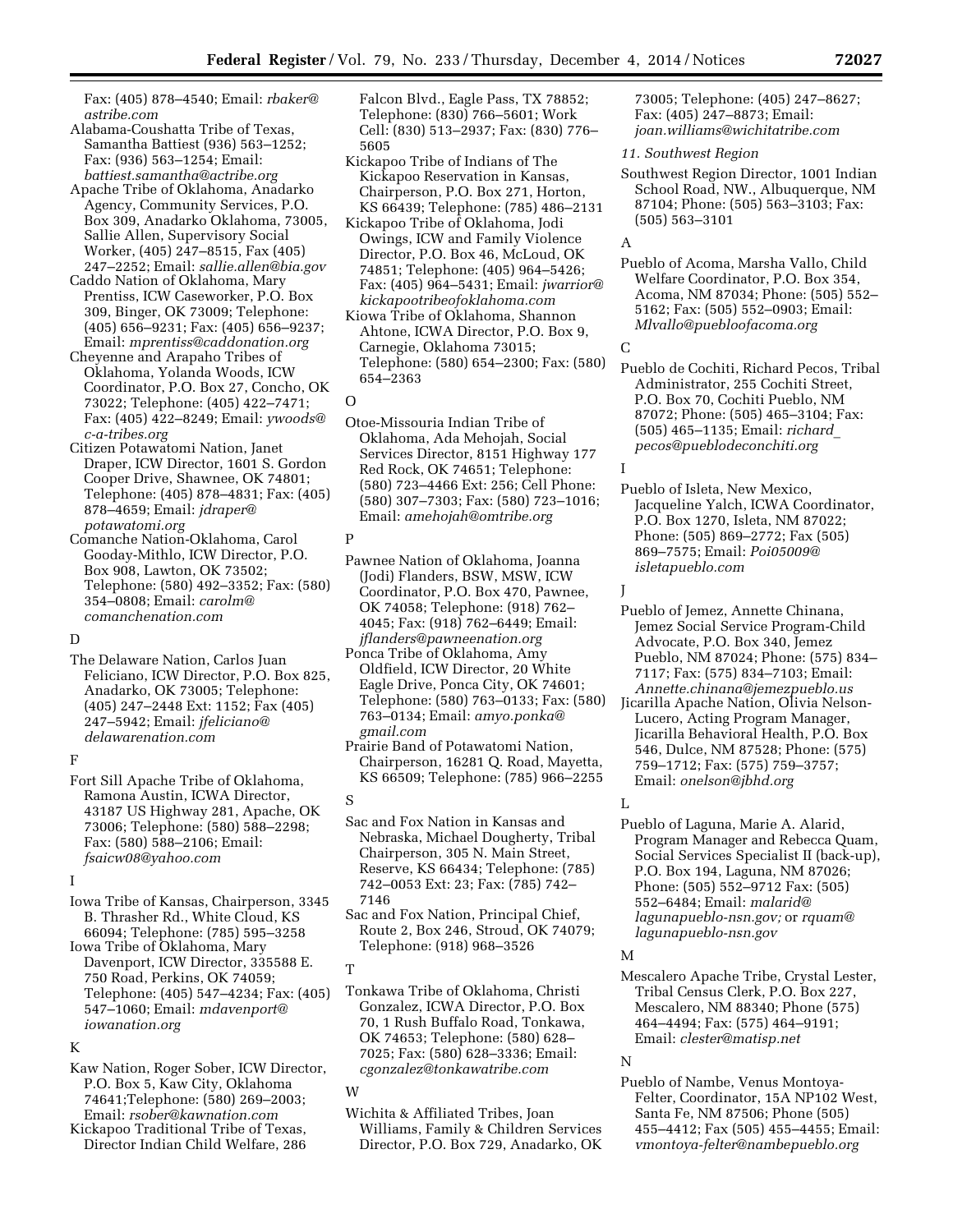Fax: (405) 878–4540; Email: *[rbaker@](mailto:rbaker@astribe.com) [astribe.com](mailto:rbaker@astribe.com)* 

- Alabama-Coushatta Tribe of Texas, Samantha Battiest (936) 563–1252; Fax: (936) 563–1254; Email: *[battiest.samantha@actribe.org](mailto:battiest.samantha@actribe.org)*
- Apache Tribe of Oklahoma, Anadarko Agency, Community Services, P.O. Box 309, Anadarko Oklahoma, 73005, Sallie Allen, Supervisory Social Worker, (405) 247–8515, Fax (405) 247–2252; Email: *[sallie.allen@bia.gov](mailto:sallie.allen@bia.gov)*
- Caddo Nation of Oklahoma, Mary Prentiss, ICW Caseworker, P.O. Box 309, Binger, OK 73009; Telephone: (405) 656–9231; Fax: (405) 656–9237; Email: *[mprentiss@caddonation.org](mailto:mprentiss@caddonation.org)*
- Cheyenne and Arapaho Tribes of Oklahoma, Yolanda Woods, ICW Coordinator, P.O. Box 27, Concho, OK 73022; Telephone: (405) 422–7471; Fax: (405) 422–8249; Email: *[ywoods@](mailto:ywoods@c-a-tribes.org) [c-a-tribes.org](mailto:ywoods@c-a-tribes.org)*
- Citizen Potawatomi Nation, Janet Draper, ICW Director, 1601 S. Gordon Cooper Drive, Shawnee, OK 74801; Telephone: (405) 878–4831; Fax: (405) 878–4659; Email: *[jdraper@](mailto:jdraper@potawatomi.org) [potawatomi.org](mailto:jdraper@potawatomi.org)*
- Comanche Nation-Oklahoma, Carol Gooday-Mithlo, ICW Director, P.O. Box 908, Lawton, OK 73502; Telephone: (580) 492–3352; Fax: (580) 354–0808; Email: *[carolm@](mailto:carolm@comanchenation.com) [comanchenation.com](mailto:carolm@comanchenation.com)*

# $\Gamma$

The Delaware Nation, Carlos Juan Feliciano, ICW Director, P.O. Box 825, Anadarko, OK 73005; Telephone: (405) 247–2448 Ext: 1152; Fax (405) 247–5942; Email: *[jfeliciano@](mailto:jfeliciano@delawarenation.com) [delawarenation.com](mailto:jfeliciano@delawarenation.com)* 

### F

Fort Sill Apache Tribe of Oklahoma, Ramona Austin, ICWA Director, 43187 US Highway 281, Apache, OK 73006; Telephone: (580) 588–2298; Fax: (580) 588–2106; Email: *[fsaicw08@yahoo.com](mailto:fsaicw08@yahoo.com)* 

# I

Iowa Tribe of Kansas, Chairperson, 3345 B. Thrasher Rd., White Cloud, KS 66094; Telephone: (785) 595–3258

Iowa Tribe of Oklahoma, Mary Davenport, ICW Director, 335588 E. 750 Road, Perkins, OK 74059; Telephone: (405) 547–4234; Fax: (405) 547–1060; Email: *[mdavenport@](mailto:mdavenport@iowanation.org) [iowanation.org](mailto:mdavenport@iowanation.org)* 

#### K

- Kaw Nation, Roger Sober, ICW Director, P.O. Box 5, Kaw City, Oklahoma 74641;Telephone: (580) 269–2003; Email: *[rsober@kawnation.com](mailto:rsober@kawnation.com)*
- Kickapoo Traditional Tribe of Texas, Director Indian Child Welfare, 286

Falcon Blvd., Eagle Pass, TX 78852; Telephone: (830) 766–5601; Work Cell: (830) 513–2937; Fax: (830) 776– 5605

- Kickapoo Tribe of Indians of The Kickapoo Reservation in Kansas, Chairperson, P.O. Box 271, Horton, KS 66439; Telephone: (785) 486–2131
- Kickapoo Tribe of Oklahoma, Jodi Owings, ICW and Family Violence Director, P.O. Box 46, McLoud, OK 74851; Telephone: (405) 964–5426; Fax: (405) 964–5431; Email: *[jwarrior@](mailto:jwarrior@kickapootribeofoklahoma.com) [kickapootribeofoklahoma.com](mailto:jwarrior@kickapootribeofoklahoma.com)*
- Kiowa Tribe of Oklahoma, Shannon Ahtone, ICWA Director, P.O. Box 9, Carnegie, Oklahoma 73015; Telephone: (580) 654–2300; Fax: (580) 654–2363
- $\cap$
- Otoe-Missouria Indian Tribe of Oklahoma, Ada Mehojah, Social Services Director, 8151 Highway 177 Red Rock, OK 74651; Telephone: (580) 723–4466 Ext: 256; Cell Phone: (580) 307–7303; Fax: (580) 723–1016; Email: *[amehojah@omtribe.org](mailto:amehojah@omtribe.org)*

# P

- Pawnee Nation of Oklahoma, Joanna (Jodi) Flanders, BSW, MSW, ICW Coordinator, P.O. Box 470, Pawnee, OK 74058; Telephone: (918) 762– 4045; Fax: (918) 762–6449; Email: *[jflanders@pawneenation.org](mailto:jflanders@pawneenation.org)*
- Ponca Tribe of Oklahoma, Amy Oldfield, ICW Director, 20 White Eagle Drive, Ponca City, OK 74601; Telephone: (580) 763–0133; Fax: (580) 763–0134; Email: *[amyo.ponka@](mailto:amyo.ponka@gmail.com) [gmail.com](mailto:amyo.ponka@gmail.com)*
- Prairie Band of Potawatomi Nation, Chairperson, 16281 Q. Road, Mayetta, KS 66509; Telephone: (785) 966–2255

#### S

- Sac and Fox Nation in Kansas and Nebraska, Michael Dougherty, Tribal Chairperson, 305 N. Main Street, Reserve, KS 66434; Telephone: (785) 742–0053 Ext: 23; Fax: (785) 742– 7146
- Sac and Fox Nation, Principal Chief, Route 2, Box 246, Stroud, OK 74079; Telephone: (918) 968–3526

# T

Tonkawa Tribe of Oklahoma, Christi Gonzalez, ICWA Director, P.O. Box 70, 1 Rush Buffalo Road, Tonkawa, OK 74653; Telephone: (580) 628– 7025; Fax: (580) 628–3336; Email: *[cgonzalez@tonkawatribe.com](mailto:cgonzalez@tonkawatribe.com)* 

#### W

Wichita & Affiliated Tribes, Joan Williams, Family & Children Services Director, P.O. Box 729, Anadarko, OK 73005; Telephone: (405) 247–8627; Fax: (405) 247–8873; Email: *[joan.williams@wichitatribe.com](mailto:joan.williams@wichitatribe.com)* 

### *11. Southwest Region*

Southwest Region Director, 1001 Indian School Road, NW., Albuquerque, NM 87104; Phone: (505) 563–3103; Fax: (505) 563–3101

## A

Pueblo of Acoma, Marsha Vallo, Child Welfare Coordinator, P.O. Box 354, Acoma, NM 87034; Phone: (505) 552– 5162; Fax: (505) 552–0903; Email: *[Mlvallo@puebloofacoma.org](mailto:Mlvallo@puebloofacoma.org)* 

## $\mathcal{C}$

Pueblo de Cochiti, Richard Pecos, Tribal Administrator, 255 Cochiti Street, P.O. Box 70, Cochiti Pueblo, NM 87072; Phone: (505) 465–3104; Fax: (505) 465–1135; Email: *[richard](mailto:richard_pecos@pueblodeconchiti.org)*\_ *[pecos@pueblodeconchiti.org](mailto:richard_pecos@pueblodeconchiti.org)* 

# I

Pueblo of Isleta, New Mexico, Jacqueline Yalch, ICWA Coordinator, P.O. Box 1270, Isleta, NM 87022; Phone: (505) 869–2772; Fax (505) 869–7575; Email: *[Poi05009@](mailto:Poi05009@isletapueblo.com) [isletapueblo.com](mailto:Poi05009@isletapueblo.com)* 

J

- Pueblo of Jemez, Annette Chinana, Jemez Social Service Program-Child Advocate, P.O. Box 340, Jemez Pueblo, NM 87024; Phone: (575) 834– 7117; Fax: (575) 834–7103; Email:
- *[Annette.chinana@jemezpueblo.us](mailto:Annette.chinana@jemezpueblo.us)*  Jicarilla Apache Nation, Olivia Nelson-Lucero, Acting Program Manager, Jicarilla Behavioral Health, P.O. Box 546, Dulce, NM 87528; Phone: (575) 759–1712; Fax: (575) 759–3757; Email: *[onelson@jbhd.org](mailto:onelson@jbhd.org)*

# L

Pueblo of Laguna, Marie A. Alarid, Program Manager and Rebecca Quam, Social Services Specialist II (back-up), P.O. Box 194, Laguna, NM 87026; Phone: (505) 552–9712 Fax: (505) 552–6484; Email: *[malarid@](mailto:malarid@lagunapueblo-nsn.gov) [lagunapueblo-nsn.gov;](mailto:malarid@lagunapueblo-nsn.gov)* or *[rquam@](mailto:rquam@lagunapueblo-nsn.gov) [lagunapueblo-nsn.gov](mailto:rquam@lagunapueblo-nsn.gov)* 

#### M

Mescalero Apache Tribe, Crystal Lester, Tribal Census Clerk, P.O. Box 227, Mescalero, NM 88340; Phone (575) 464–4494; Fax: (575) 464–9191; Email: *[clester@matisp.net](mailto:clester@matisp.net)* 

#### N

Pueblo of Nambe, Venus Montoya-Felter, Coordinator, 15A NP102 West, Santa Fe, NM 87506; Phone (505) 455–4412; Fax (505) 455–4455; Email: *[vmontoya-felter@nambepueblo.org](mailto:vmontoya-felter@nambepueblo.org)*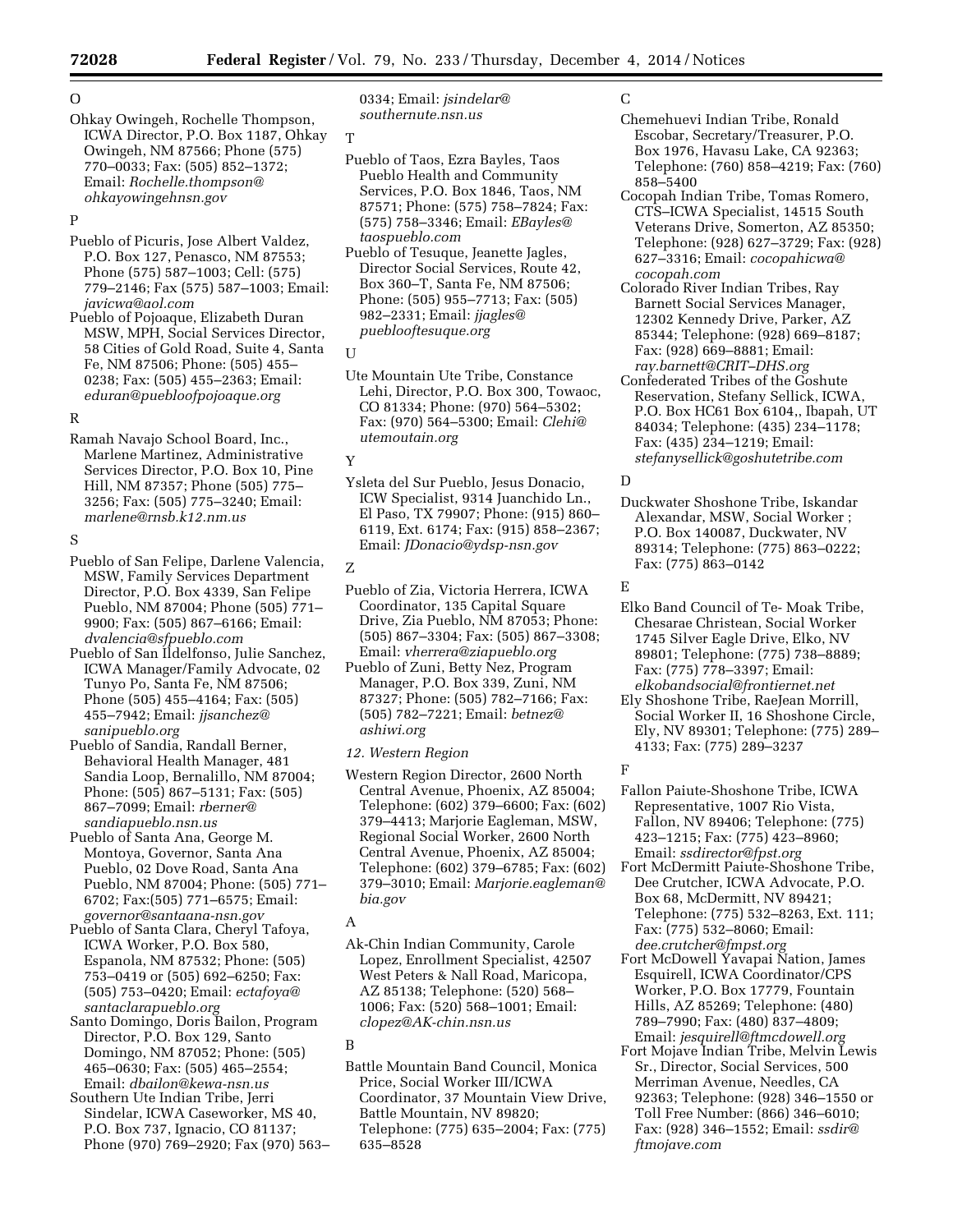# $\Omega$

Ohkay Owingeh, Rochelle Thompson, ICWA Director, P.O. Box 1187, Ohkay Owingeh, NM 87566; Phone (575) 770–0033; Fax: (505) 852–1372; Email: *[Rochelle.thompson@](mailto:Rochelle.thompson@ohkayowingehnsn.gov) [ohkayowingehnsn.gov](mailto:Rochelle.thompson@ohkayowingehnsn.gov)* 

# P

Pueblo of Picuris, Jose Albert Valdez, P.O. Box 127, Penasco, NM 87553; Phone (575) 587–1003; Cell: (575) 779–2146; Fax (575) 587–1003; Email: *[javicwa@aol.com](mailto:javicwa@aol.com)* 

Pueblo of Pojoaque, Elizabeth Duran MSW, MPH, Social Services Director, 58 Cities of Gold Road, Suite 4, Santa Fe, NM 87506; Phone: (505) 455– 0238; Fax: (505) 455–2363; Email: *[eduran@puebloofpojoaque.org](mailto:eduran@puebloofpojoaque.org)* 

# R

Ramah Navajo School Board, Inc., Marlene Martinez, Administrative Services Director, P.O. Box 10, Pine Hill, NM 87357; Phone (505) 775– 3256; Fax: (505) 775–3240; Email: *[marlene@rnsb.k12.nm.us](mailto:marlene@rnsb.k12.nm.us)* 

# S

Pueblo of San Felipe, Darlene Valencia, MSW, Family Services Department Director, P.O. Box 4339, San Felipe Pueblo, NM 87004; Phone (505) 771– 9900; Fax: (505) 867–6166; Email: *[dvalencia@sfpueblo.com](mailto:dvalencia@sfpueblo.com)* 

- Pueblo of San Ildelfonso, Julie Sanchez, ICWA Manager/Family Advocate, 02 Tunyo Po, Santa Fe, NM 87506; Phone (505) 455–4164; Fax: (505) 455–7942; Email: *[jjsanchez@](mailto:jjsanchez@sanipueblo.org) [sanipueblo.org](mailto:jjsanchez@sanipueblo.org)*
- Pueblo of Sandia, Randall Berner, Behavioral Health Manager, 481 Sandia Loop, Bernalillo, NM 87004; Phone: (505) 867–5131; Fax: (505) 867–7099; Email: *[rberner@](mailto:rberner@sandiapueblo.nsn.us) [sandiapueblo.nsn.us](mailto:rberner@sandiapueblo.nsn.us)*
- Pueblo of Santa Ana, George M. Montoya, Governor, Santa Ana Pueblo, 02 Dove Road, Santa Ana Pueblo, NM 87004; Phone: (505) 771– 6702; Fax:(505) 771–6575; Email: *[governor@santaana-nsn.gov](mailto:governor@santaana-nsn.gov)*
- Pueblo of Santa Clara, Cheryl Tafoya, ICWA Worker, P.O. Box 580, Espanola, NM 87532; Phone: (505) 753–0419 or (505) 692–6250; Fax: (505) 753–0420; Email: *[ectafoya@](mailto:ectafoya@santaclarapueblo.org) [santaclarapueblo.org](mailto:ectafoya@santaclarapueblo.org)*
- Santo Domingo, Doris Bailon, Program Director, P.O. Box 129, Santo Domingo, NM 87052; Phone: (505) 465–0630; Fax: (505) 465–2554; Email: *[dbailon@kewa-nsn.us](mailto:dbailon@kewa-nsn.us)*
- Southern Ute Indian Tribe, Jerri Sindelar, ICWA Caseworker, MS 40, P.O. Box 737, Ignacio, CO 81137; Phone (970) 769–2920; Fax (970) 563–

0334; Email: *[jsindelar@](mailto:jsindelar@southernute.nsn.us) [southernute.nsn.us](mailto:jsindelar@southernute.nsn.us)* 

#### T

- Pueblo of Taos, Ezra Bayles, Taos Pueblo Health and Community Services, P.O. Box 1846, Taos, NM 87571; Phone: (575) 758–7824; Fax: (575) 758–3346; Email: *[EBayles@](mailto:EBayles@taospueblo.com) [taospueblo.com](mailto:EBayles@taospueblo.com)*
- Pueblo of Tesuque, Jeanette Jagles, Director Social Services, Route 42, Box 360–T, Santa Fe, NM 87506; Phone: (505) 955–7713; Fax: (505) 982–2331; Email: *[jjagles@](mailto:jjagles@pueblooftesuque.org) [pueblooftesuque.org](mailto:jjagles@pueblooftesuque.org)*

# U

Ute Mountain Ute Tribe, Constance Lehi, Director, P.O. Box 300, Towaoc, CO 81334; Phone: (970) 564–5302; Fax: (970) 564–5300; Email: *[Clehi@](mailto:Clehi@utemoutain.org) [utemoutain.org](mailto:Clehi@utemoutain.org)* 

## Y

Ysleta del Sur Pueblo, Jesus Donacio, ICW Specialist, 9314 Juanchido Ln., El Paso, TX 79907; Phone: (915) 860– 6119, Ext. 6174; Fax: (915) 858–2367; Email: *[JDonacio@ydsp-nsn.gov](mailto:JDonacio@ydsp-nsn.gov)* 

# Z

- Pueblo of Zia, Victoria Herrera, ICWA Coordinator, 135 Capital Square Drive, Zia Pueblo, NM 87053; Phone: (505) 867–3304; Fax: (505) 867–3308; Email: *[vherrera@ziapueblo.org](mailto:vherrera@ziapueblo.org)*
- Pueblo of Zuni, Betty Nez, Program Manager, P.O. Box 339, Zuni, NM 87327; Phone: (505) 782–7166; Fax: (505) 782–7221; Email: *[betnez@](mailto:betnez@ashiwi.org) [ashiwi.org](mailto:betnez@ashiwi.org)*

# *12. Western Region*

Western Region Director, 2600 North Central Avenue, Phoenix, AZ 85004; Telephone: (602) 379–6600; Fax: (602) 379–4413; Marjorie Eagleman, MSW, Regional Social Worker, 2600 North Central Avenue, Phoenix, AZ 85004; Telephone: (602) 379–6785; Fax: (602) 379–3010; Email: *[Marjorie.eagleman@](mailto:Marjorie.eagleman@bia.gov) [bia.gov](mailto:Marjorie.eagleman@bia.gov)* 

# A

Ak-Chin Indian Community, Carole Lopez, Enrollment Specialist, 42507 West Peters & Nall Road, Maricopa, AZ 85138; Telephone: (520) 568– 1006; Fax: (520) 568–1001; Email: *[clopez@AK-chin.nsn.us](mailto:clopez@AK-chin.nsn.us)* 

# B

Battle Mountain Band Council, Monica Price, Social Worker III/ICWA Coordinator, 37 Mountain View Drive, Battle Mountain, NV 89820; Telephone: (775) 635–2004; Fax: (775) 635–8528

# C

- Chemehuevi Indian Tribe, Ronald Escobar, Secretary/Treasurer, P.O. Box 1976, Havasu Lake, CA 92363; Telephone: (760) 858–4219; Fax: (760) 858–5400
- Cocopah Indian Tribe, Tomas Romero, CTS–ICWA Specialist, 14515 South Veterans Drive, Somerton, AZ 85350; Telephone: (928) 627–3729; Fax: (928) 627–3316; Email: *[cocopahicwa@](mailto:cocopahicwa@cocopah.com) [cocopah.com](mailto:cocopahicwa@cocopah.com)*
- Colorado River Indian Tribes, Ray Barnett Social Services Manager, 12302 Kennedy Drive, Parker, AZ 85344; Telephone: (928) 669–8187; Fax: (928) 669–8881; Email: *[ray.barnett@CRIT–DHS.org](mailto:ray.barnett@CRIT-DHS.org)*
- Confederated Tribes of the Goshute Reservation, Stefany Sellick, ICWA, P.O. Box HC61 Box 6104,, Ibapah, UT 84034; Telephone: (435) 234–1178; Fax: (435) 234–1219; Email: *[stefanysellick@goshutetribe.com](mailto:stefanysellick@goshutetribe.com)*

# D

Duckwater Shoshone Tribe, Iskandar Alexandar, MSW, Social Worker ; P.O. Box 140087, Duckwater, NV 89314; Telephone: (775) 863–0222; Fax: (775) 863–0142

# E

- Elko Band Council of Te- Moak Tribe, Chesarae Christean, Social Worker 1745 Silver Eagle Drive, Elko, NV 89801; Telephone: (775) 738–8889; Fax: (775) 778–3397; Email: *[elkobandsocial@frontiernet.net](mailto:elkobandsocial@frontiernet.net)*
- Ely Shoshone Tribe, RaeJean Morrill, Social Worker II, 16 Shoshone Circle, Ely, NV 89301; Telephone: (775) 289– 4133; Fax: (775) 289–3237

# F

- Fallon Paiute-Shoshone Tribe, ICWA Representative, 1007 Rio Vista, Fallon, NV 89406; Telephone: (775) 423–1215; Fax: (775) 423–8960; Email: *[ssdirector@fpst.org](mailto:ssdirector@fpst.org)*
- Fort McDermitt Paiute-Shoshone Tribe, Dee Crutcher, ICWA Advocate, P.O. Box 68, McDermitt, NV 89421; Telephone: (775) 532–8263, Ext. 111; Fax: (775) 532–8060; Email: *[dee.crutcher@fmpst.org](mailto:dee.crutcher@fmpst.org)*
- Fort McDowell Yavapai Nation, James Esquirell, ICWA Coordinator/CPS Worker, P.O. Box 17779, Fountain Hills, AZ 85269; Telephone: (480) 789–7990; Fax: (480) 837–4809; Email: *[jesquirell@ftmcdowell.org](mailto:jesquirell@ftmcdowell.org)*
- Fort Mojave Indian Tribe, Melvin Lewis Sr., Director, Social Services, 500 Merriman Avenue, Needles, CA 92363; Telephone: (928) 346–1550 or Toll Free Number: (866) 346–6010; Fax: (928) 346–1552; Email: *[ssdir@](mailto:ssdir@ftmojave.com) [ftmojave.com](mailto:ssdir@ftmojave.com)*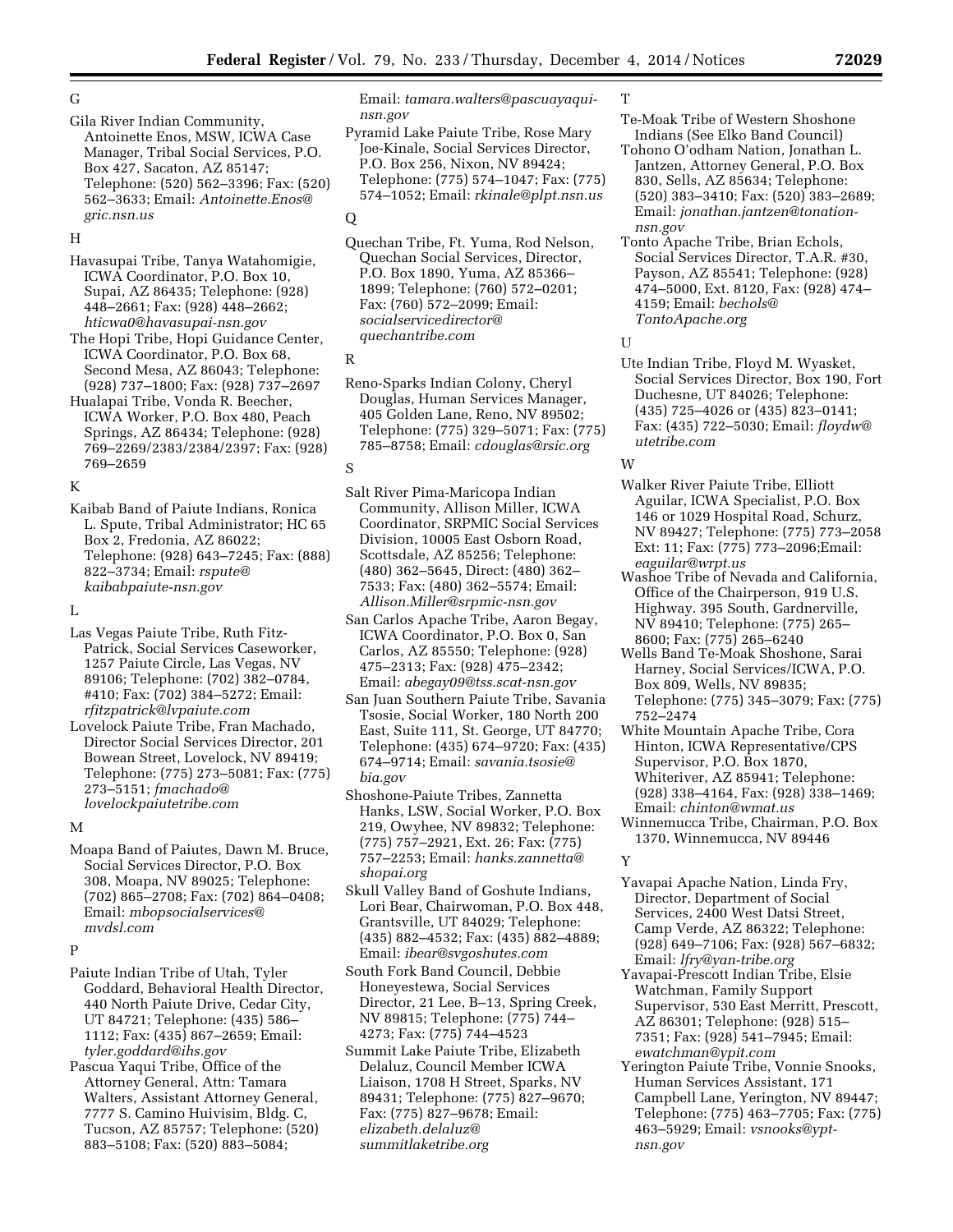# G

Gila River Indian Community, Antoinette Enos, MSW, ICWA Case Manager, Tribal Social Services, P.O. Box 427, Sacaton, AZ 85147; Telephone: (520) 562–3396; Fax: (520) 562–3633; Email: *[Antoinette.Enos@](mailto:Antoinette.Enos@gric.nsn.us) [gric.nsn.us](mailto:Antoinette.Enos@gric.nsn.us)* 

## H

Havasupai Tribe, Tanya Watahomigie, ICWA Coordinator, P.O. Box 10, Supai, AZ 86435; Telephone: (928) 448–2661; Fax: (928) 448–2662; *[hticwa0@havasupai-nsn.gov](mailto:hticwa0@havasupai-nsn.gov)* 

The Hopi Tribe, Hopi Guidance Center, ICWA Coordinator, P.O. Box 68, Second Mesa, AZ 86043; Telephone: (928) 737–1800; Fax: (928) 737–2697

Hualapai Tribe, Vonda R. Beecher, ICWA Worker, P.O. Box 480, Peach Springs, AZ 86434; Telephone: (928) 769–2269/2383/2384/2397; Fax: (928) 769–2659

# K

Kaibab Band of Paiute Indians, Ronica L. Spute, Tribal Administrator; HC 65 Box 2, Fredonia, AZ 86022; Telephone: (928) 643–7245; Fax: (888) 822–3734; Email: *[rspute@](mailto:rspute@kaibabpaiute-nsn.gov) [kaibabpaiute-nsn.gov](mailto:rspute@kaibabpaiute-nsn.gov)* 

L

Las Vegas Paiute Tribe, Ruth Fitz-Patrick, Social Services Caseworker, 1257 Paiute Circle, Las Vegas, NV 89106; Telephone: (702) 382–0784, #410; Fax: (702) 384–5272; Email: *[rfitzpatrick@lvpaiute.com](mailto:rfitzpatrick@lvpaiute.com)* 

Lovelock Paiute Tribe, Fran Machado, Director Social Services Director, 201 Bowean Street, Lovelock, NV 89419; Telephone: (775) 273–5081; Fax: (775) 273–5151; *[fmachado@](mailto:fmachado@lovelockpaiutetribe.com) [lovelockpaiutetribe.com](mailto:fmachado@lovelockpaiutetribe.com)* 

#### M

Moapa Band of Paiutes, Dawn M. Bruce, Social Services Director, P.O. Box 308, Moapa, NV 89025; Telephone: (702) 865–2708; Fax: (702) 864–0408; Email: *[mbopsocialservices@](mailto:mbopsocialservices@mvdsl.com) [mvdsl.com](mailto:mbopsocialservices@mvdsl.com)* 

## P

- Paiute Indian Tribe of Utah, Tyler Goddard, Behavioral Health Director, 440 North Paiute Drive, Cedar City, UT 84721; Telephone: (435) 586– 1112; Fax: (435) 867–2659; Email: *[tyler.goddard@ihs.gov](mailto:tyler.goddard@ihs.gov)*
- Pascua Yaqui Tribe, Office of the Attorney General, Attn: Tamara Walters, Assistant Attorney General, 7777 S. Camino Huivisim, Bldg. C, Tucson, AZ 85757; Telephone: (520) 883–5108; Fax: (520) 883–5084;

Email: *[tamara.walters@pascuayaqui](mailto:tamara.walters@pascuayaqui-nsn.gov)[nsn.gov](mailto:tamara.walters@pascuayaqui-nsn.gov)* 

Pyramid Lake Paiute Tribe, Rose Mary Joe-Kinale, Social Services Director, P.O. Box 256, Nixon, NV 89424; Telephone: (775) 574–1047; Fax: (775) 574–1052; Email: *[rkinale@plpt.nsn.us](mailto:rkinale@plpt.nsn.us)* 

## $\Omega$

Quechan Tribe, Ft. Yuma, Rod Nelson, Quechan Social Services, Director, P.O. Box 1890, Yuma, AZ 85366– 1899; Telephone: (760) 572–0201; Fax: (760) 572–2099; Email: *[socialservicedirector@](mailto:socialservicedirector@quechantribe.com) [quechantribe.com](mailto:socialservicedirector@quechantribe.com)* 

R

Reno-Sparks Indian Colony, Cheryl Douglas, Human Services Manager, 405 Golden Lane, Reno, NV 89502; Telephone: (775) 329–5071; Fax: (775) 785–8758; Email: *[cdouglas@rsic.org](mailto:cdouglas@rsic.org)* 

#### S

- Salt River Pima-Maricopa Indian Community, Allison Miller, ICWA Coordinator, SRPMIC Social Services Division, 10005 East Osborn Road, Scottsdale, AZ 85256; Telephone: (480) 362–5645, Direct: (480) 362– 7533; Fax: (480) 362–5574; Email: *[Allison.Miller@srpmic-nsn.gov](mailto:Allison.Miller@srpmic-nsn.gov)*
- San Carlos Apache Tribe, Aaron Begay, ICWA Coordinator, P.O. Box 0, San Carlos, AZ 85550; Telephone: (928) 475–2313; Fax: (928) 475–2342; Email: *[abegay09@tss.scat-nsn.gov](mailto:abegay09@tss.scat-nsn.gov)*
- San Juan Southern Paiute Tribe, Savania Tsosie, Social Worker, 180 North 200 East, Suite 111, St. George, UT 84770; Telephone: (435) 674–9720; Fax: (435) 674–9714; Email: *[savania.tsosie@](mailto:savania.tsosie@bia.gov) [bia.gov](mailto:savania.tsosie@bia.gov)*
- Shoshone-Paiute Tribes, Zannetta Hanks, LSW, Social Worker, P.O. Box 219, Owyhee, NV 89832; Telephone: (775) 757–2921, Ext. 26; Fax: (775) 757–2253; Email: *[hanks.zannetta@](mailto:hanks.zannetta@shopai.org) [shopai.org](mailto:hanks.zannetta@shopai.org)*
- Skull Valley Band of Goshute Indians, Lori Bear, Chairwoman, P.O. Box 448, Grantsville, UT 84029; Telephone: (435) 882–4532; Fax: (435) 882–4889; Email: *[ibear@svgoshutes.com](mailto:ibear@svgoshutes.com)*
- South Fork Band Council, Debbie Honeyestewa, Social Services Director, 21 Lee, B–13, Spring Creek, NV 89815; Telephone: (775) 744– 4273; Fax: (775) 744–4523
- Summit Lake Paiute Tribe, Elizabeth Delaluz, Council Member ICWA Liaison, 1708 H Street, Sparks, NV 89431; Telephone: (775) 827–9670; Fax: (775) 827–9678; Email: *[elizabeth.delaluz@](mailto:elizabeth.delaluz@summitlaketribe.org) [summitlaketribe.org](mailto:elizabeth.delaluz@summitlaketribe.org)*

# T

- Te-Moak Tribe of Western Shoshone Indians (See Elko Band Council)
- Tohono O'odham Nation, Jonathan L. Jantzen, Attorney General, P.O. Box 830, Sells, AZ 85634; Telephone: (520) 383–3410; Fax: (520) 383–2689; Email: *[jonathan.jantzen@tonation](mailto:jonathan.jantzen@tonation-nsn.gov)[nsn.gov](mailto:jonathan.jantzen@tonation-nsn.gov)*
- Tonto Apache Tribe, Brian Echols, Social Services Director, T.A.R. #30, Payson, AZ 85541; Telephone: (928) 474–5000, Ext. 8120, Fax: (928) 474– 4159; Email: *[bechols@](mailto:bechols@TontoApache.org) [TontoApache.org](mailto:bechols@TontoApache.org)*

U

Ute Indian Tribe, Floyd M. Wyasket, Social Services Director, Box 190, Fort Duchesne, UT 84026; Telephone: (435) 725–4026 or (435) 823–0141; Fax: (435) 722–5030; Email: *[floydw@](mailto:floydw@utetribe.com) [utetribe.com](mailto:floydw@utetribe.com)* 

# W

- Walker River Paiute Tribe, Elliott Aguilar, ICWA Specialist, P.O. Box 146 or 1029 Hospital Road, Schurz, NV 89427; Telephone: (775) 773–2058 Ext: 11; Fax: (775) 773–2096;Email: *[eaguilar@wrpt.us](mailto:eaguilar@wrpt.us)*
- Washoe Tribe of Nevada and California, Office of the Chairperson, 919 U.S. Highway. 395 South, Gardnerville, NV 89410; Telephone: (775) 265– 8600; Fax: (775) 265–6240
- Wells Band Te-Moak Shoshone, Sarai Harney, Social Services/ICWA, P.O. Box 809, Wells, NV 89835; Telephone: (775) 345–3079; Fax: (775) 752–2474
- White Mountain Apache Tribe, Cora Hinton, ICWA Representative/CPS Supervisor, P.O. Box 1870, Whiteriver, AZ 85941; Telephone: (928) 338–4164, Fax: (928) 338–1469; Email: *[chinton@wmat.us](mailto:chinton@wmat.us)*
- Winnemucca Tribe, Chairman, P.O. Box 1370, Winnemucca, NV 89446

## Y

- Yavapai Apache Nation, Linda Fry, Director, Department of Social Services, 2400 West Datsi Street, Camp Verde, AZ 86322; Telephone: (928) 649–7106; Fax: (928) 567–6832; Email: *[lfry@yan-tribe.org](mailto:lfry@yan-tribe.org)*
- Yavapai-Prescott Indian Tribe, Elsie Watchman, Family Support Supervisor, 530 East Merritt, Prescott, AZ 86301; Telephone: (928) 515– 7351; Fax: (928) 541–7945; Email: *[ewatchman@ypit.com](mailto:ewatchman@ypit.com)*
- Yerington Paiute Tribe, Vonnie Snooks, Human Services Assistant, 171 Campbell Lane, Yerington, NV 89447; Telephone: (775) 463–7705; Fax: (775) 463–5929; Email: *[vsnooks@ypt](mailto:vsnooks@ypt-nsn.gov)[nsn.gov](mailto:vsnooks@ypt-nsn.gov)*